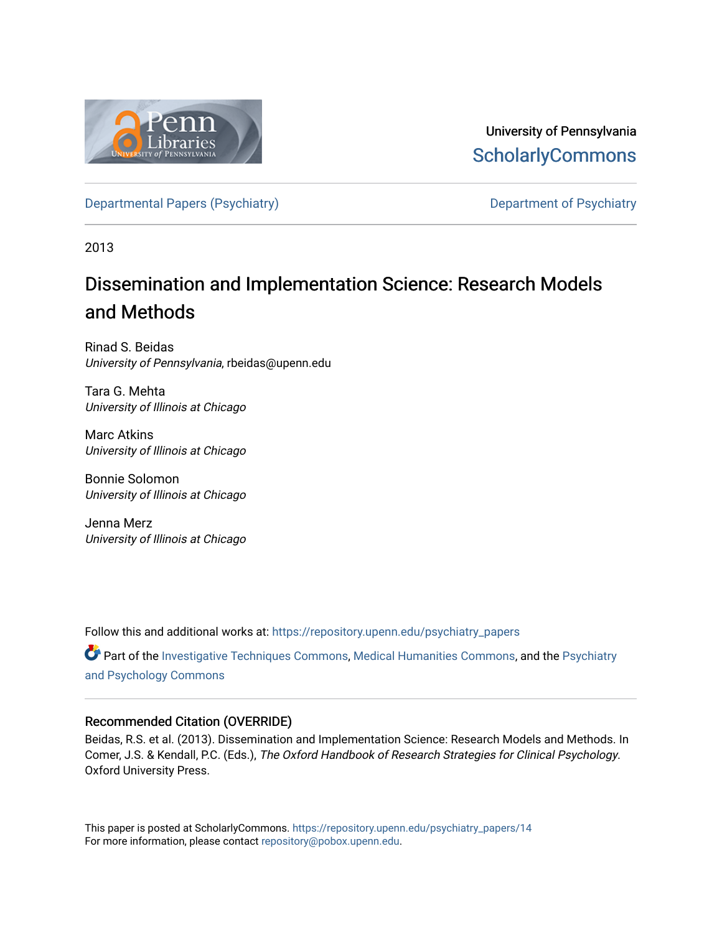

University of Pennsylvania **ScholarlyCommons** 

[Departmental Papers \(Psychiatry\)](https://repository.upenn.edu/psychiatry_papers) Department of Psychiatry

2013

# Dissemination and Implementation Science: Research Models and Methods

Rinad S. Beidas University of Pennsylvania, rbeidas@upenn.edu

Tara G. Mehta University of Illinois at Chicago

Marc Atkins University of Illinois at Chicago

Bonnie Solomon University of Illinois at Chicago

Jenna Merz University of Illinois at Chicago

Follow this and additional works at: [https://repository.upenn.edu/psychiatry\\_papers](https://repository.upenn.edu/psychiatry_papers?utm_source=repository.upenn.edu%2Fpsychiatry_papers%2F14&utm_medium=PDF&utm_campaign=PDFCoverPages)

 $\bullet$  Part of the [Investigative Techniques Commons](http://network.bepress.com/hgg/discipline/922?utm_source=repository.upenn.edu%2Fpsychiatry_papers%2F14&utm_medium=PDF&utm_campaign=PDFCoverPages), [Medical Humanities Commons](http://network.bepress.com/hgg/discipline/1303?utm_source=repository.upenn.edu%2Fpsychiatry_papers%2F14&utm_medium=PDF&utm_campaign=PDFCoverPages), and the [Psychiatry](http://network.bepress.com/hgg/discipline/908?utm_source=repository.upenn.edu%2Fpsychiatry_papers%2F14&utm_medium=PDF&utm_campaign=PDFCoverPages) [and Psychology Commons](http://network.bepress.com/hgg/discipline/908?utm_source=repository.upenn.edu%2Fpsychiatry_papers%2F14&utm_medium=PDF&utm_campaign=PDFCoverPages) 

## Recommended Citation (OVERRIDE)

Beidas, R.S. et al. (2013). Dissemination and Implementation Science: Research Models and Methods. In Comer, J.S. & Kendall, P.C. (Eds.), The Oxford Handbook of Research Strategies for Clinical Psychology. Oxford University Press.

This paper is posted at ScholarlyCommons. [https://repository.upenn.edu/psychiatry\\_papers/14](https://repository.upenn.edu/psychiatry_papers/14) For more information, please contact [repository@pobox.upenn.edu.](mailto:repository@pobox.upenn.edu)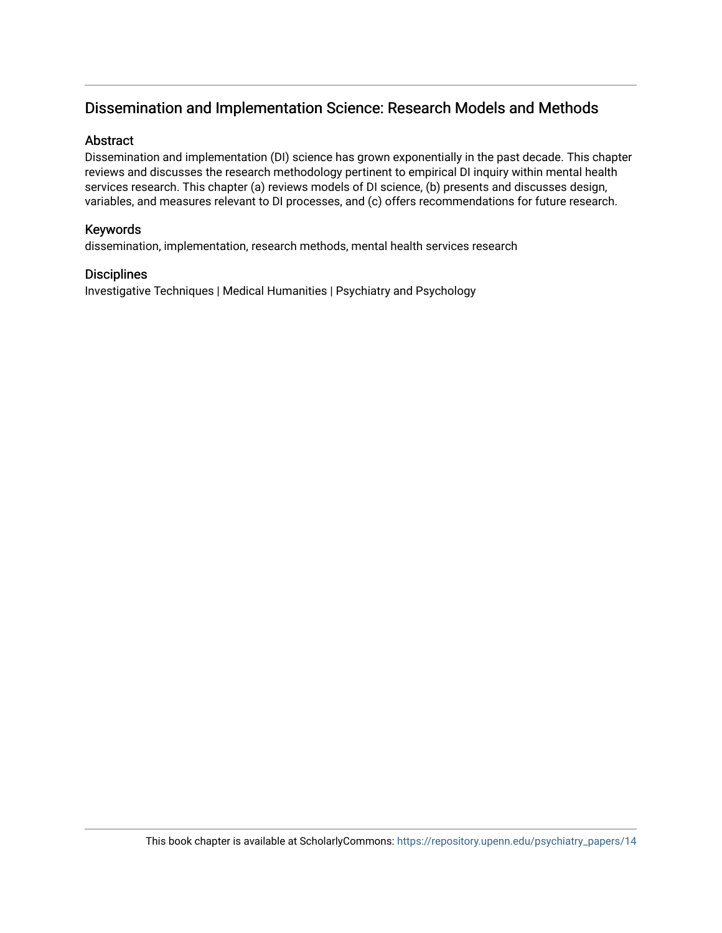## Abstract

Dissemination and implementation (DI) science has grown exponentially in the past decade. This chapter reviews and discusses the research methodology pertinent to empirical DI inquiry within mental health services research. This chapter (a) reviews models of DI science, (b) presents and discusses design, variables, and measures relevant to DI processes, and (c) offers recommendations for future research.

### Keywords

dissemination, implementation, research methods, mental health services research

#### **Disciplines**

Investigative Techniques | Medical Humanities | Psychiatry and Psychology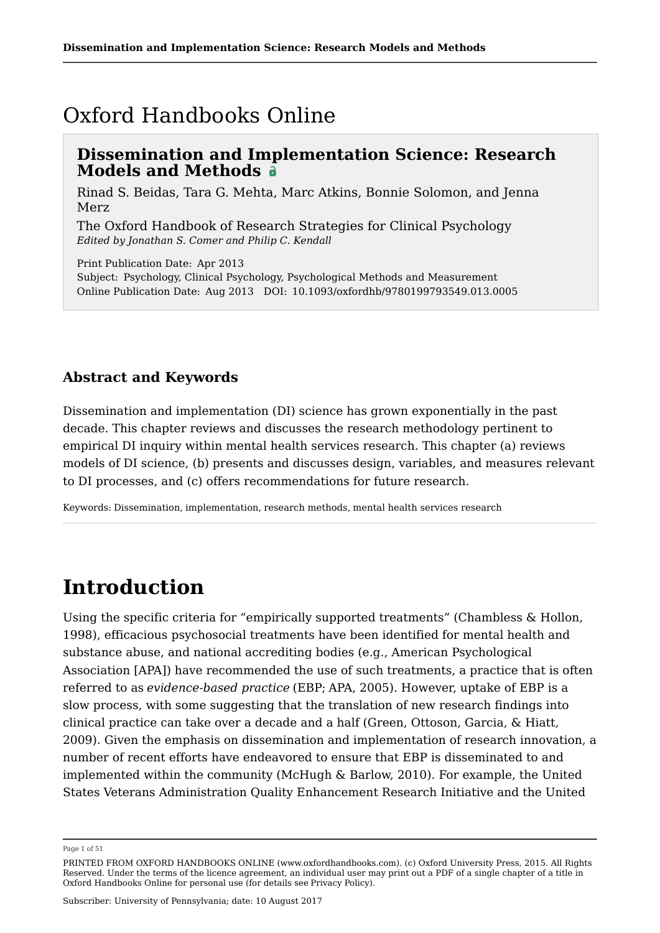# Oxford Handbooks Online

# **Dissemination and Implementation Science: Research Models and Methods**

Rinad S. Beidas, Tara G. Mehta, Marc Atkins, Bonnie Solomon, and Jenna Merz

The Oxford Handbook of Research Strategies for Clinical Psychology *Edited by Jonathan S. Comer and Philip C. Kendall*

Print Publication Date: Apr 2013 Subject: Psychology, Clinical Psychology, Psychological Methods and Measurement Online Publication Date: Aug 2013 DOI: 10.1093/oxfordhb/9780199793549.013.0005

# **Abstract and Keywords**

Dissemination and implementation (DI) science has grown exponentially in the past decade. This chapter reviews and discusses the research methodology pertinent to empirical DI inquiry within mental health services research. This chapter (a) reviews models of DI science, (b) presents and discusses design, variables, and measures relevant to DI processes, and (c) offers recommendations for future research.

Keywords: Dissemination, implementation, research methods, mental health services research

# **Introduction**

Using the specific criteria for "empirically supported treatments" (Chambless & Hollon, 1998), efficacious psychosocial treatments have been identified for mental health and substance abuse, and national accrediting bodies (e.g., American Psychological Association [APA]) have recommended the use of such treatments, a practice that is often referred to as *evidence-based practice* (EBP; APA, 2005). However, uptake of EBP is a slow process, with some suggesting that the translation of new research findings into clinical practice can take over a decade and a half (Green, Ottoson, Garcia, & Hiatt, 2009). Given the emphasis on dissemination and implementation of research innovation, a number of recent efforts have endeavored to ensure that EBP is disseminated to and implemented within the community (McHugh & Barlow, 2010). For example, the United States Veterans Administration Quality Enhancement Research Initiative and the United

Page 1 of 51

PRINTED FROM OXFORD HANDBOOKS ONLINE (www.oxfordhandbooks.com). (c) Oxford University Press, 2015. All Rights Reserved. Under the terms of the licence agreement, an individual user may print out a PDF of a single chapter of a title in Oxford Handbooks Online for personal use (for details see Privacy Policy).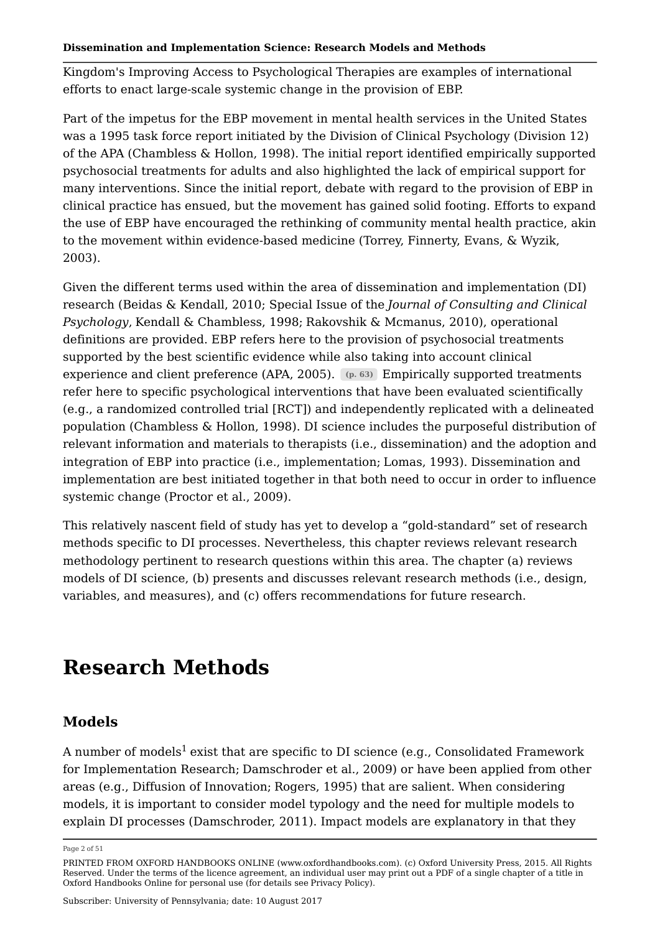Kingdom's Improving Access to Psychological Therapies are examples of international efforts to enact large-scale systemic change in the provision of EBP.

Part of the impetus for the EBP movement in mental health services in the United States was a 1995 task force report initiated by the Division of Clinical Psychology (Division 12) of the APA (Chambless & Hollon, 1998). The initial report identified empirically supported psychosocial treatments for adults and also highlighted the lack of empirical support for many interventions. Since the initial report, debate with regard to the provision of EBP in clinical practice has ensued, but the movement has gained solid footing. Efforts to expand the use of EBP have encouraged the rethinking of community mental health practice, akin to the movement within evidence-based medicine (Torrey, Finnerty, Evans, & Wyzik, 2003).

Given the different terms used within the area of dissemination and implementation (DI) research (Beidas & Kendall, 2010; Special Issue of the *Journal of Consulting and Clinical Psychology*, Kendall & Chambless, 1998; Rakovshik & Mcmanus, 2010), operational definitions are provided. EBP refers here to the provision of psychosocial treatments supported by the best scientific evidence while also taking into account clinical experience and client preference (APA, 2005). (p. 63) Empirically supported treatments refer here to specific psychological interventions that have been evaluated scientifically (e.g., a randomized controlled trial [RCT]) and independently replicated with a delineated population (Chambless & Hollon, 1998). DI science includes the purposeful distribution of relevant information and materials to therapists (i.e., dissemination) and the adoption and integration of EBP into practice (i.e., implementation; Lomas, 1993). Dissemination and implementation are best initiated together in that both need to occur in order to influence systemic change (Proctor et al., 2009).

This relatively nascent field of study has yet to develop a "gold-standard" set of research methods specific to DI processes. Nevertheless, this chapter reviews relevant research methodology pertinent to research questions within this area. The chapter (a) reviews models of DI science, (b) presents and discusses relevant research methods (i.e., design, variables, and measures), and (c) offers recommendations for future research.

# **Research Methods**

# **Models**

A number of models $^1$  exist that are specific to DI science (e.g., Consolidated Framework for Implementation Research; Damschroder et al., 2009) or have been applied from other areas (e.g., Diffusion of Innovation; Rogers, 1995) that are salient. When considering models, it is important to consider model typology and the need for multiple models to explain DI processes (Damschroder, 2011). Impact models are explanatory in that they

Page 2 of 51

PRINTED FROM OXFORD HANDBOOKS ONLINE (www.oxfordhandbooks.com). (c) Oxford University Press, 2015. All Rights Reserved. Under the terms of the licence agreement, an individual user may print out a PDF of a single chapter of a title in Oxford Handbooks Online for personal use (for details see Privacy Policy).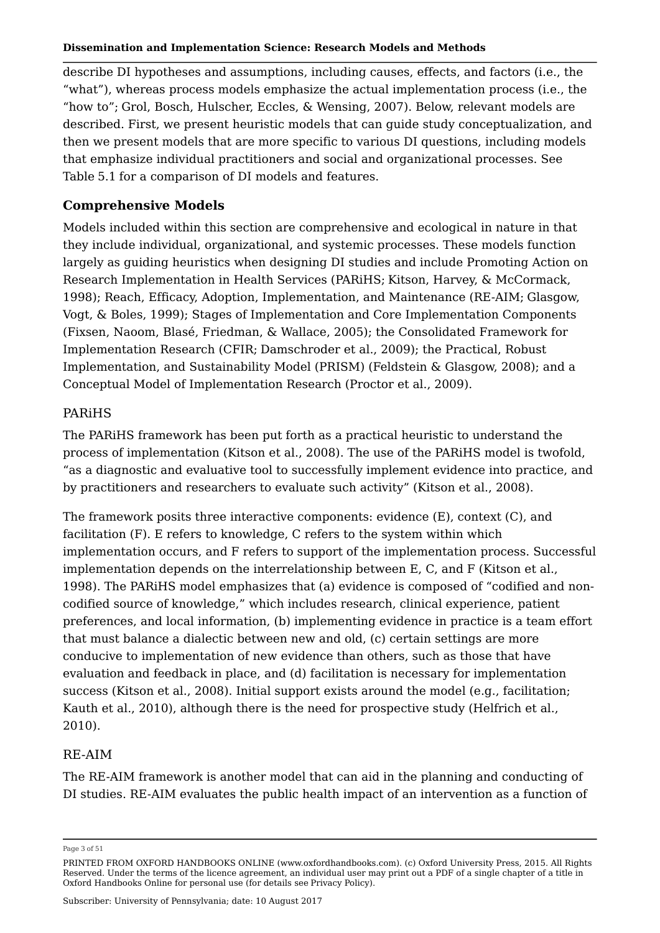describe DI hypotheses and assumptions, including causes, effects, and factors (i.e., the "what"), whereas process models emphasize the actual implementation process (i.e., the "how to"; Grol, Bosch, Hulscher, Eccles, & Wensing, 2007). Below, relevant models are described. First, we present heuristic models that can guide study conceptualization, and then we present models that are more specific to various DI questions, including models that emphasize individual practitioners and social and organizational processes. See Table 5.1 for a comparison of DI models and features.

## **Comprehensive Models**

Models included within this section are comprehensive and ecological in nature in that they include individual, organizational, and systemic processes. These models function largely as guiding heuristics when designing DI studies and include Promoting Action on Research Implementation in Health Services (PARiHS; Kitson, Harvey, & McCormack, 1998); Reach, Efficacy, Adoption, Implementation, and Maintenance (RE-AIM; Glasgow, Vogt, & Boles, 1999); Stages of Implementation and Core Implementation Components (Fixsen, Naoom, Blasé, Friedman, & Wallace, 2005); the Consolidated Framework for Implementation Research (CFIR; Damschroder et al., 2009); the Practical, Robust Implementation, and Sustainability Model (PRISM) (Feldstein & Glasgow, 2008); and a Conceptual Model of Implementation Research (Proctor et al., 2009).

## PARiHS

The PARiHS framework has been put forth as a practical heuristic to understand the process of implementation (Kitson et al., 2008). The use of the PARiHS model is twofold, "as a diagnostic and evaluative tool to successfully implement evidence into practice, and by practitioners and researchers to evaluate such activity" (Kitson et al., 2008).

The framework posits three interactive components: evidence (E), context (C), and facilitation (F). E refers to knowledge, C refers to the system within which implementation occurs, and F refers to support of the implementation process. Successful implementation depends on the interrelationship between E, C, and F (Kitson et al., 1998). The PARiHS model emphasizes that (a) evidence is composed of "codified and noncodified source of knowledge," which includes research, clinical experience, patient preferences, and local information, (b) implementing evidence in practice is a team effort that must balance a dialectic between new and old, (c) certain settings are more conducive to implementation of new evidence than others, such as those that have evaluation and feedback in place, and (d) facilitation is necessary for implementation success (Kitson et al., 2008). Initial support exists around the model (e.g., facilitation; Kauth et al., 2010), although there is the need for prospective study (Helfrich et al., 2010).

## RE-AIM

The RE-AIM framework is another model that can aid in the planning and conducting of DI studies. RE-AIM evaluates the public health impact of an intervention as a function of

Page 3 of 51

PRINTED FROM OXFORD HANDBOOKS ONLINE (www.oxfordhandbooks.com). (c) Oxford University Press, 2015. All Rights Reserved. Under the terms of the licence agreement, an individual user may print out a PDF of a single chapter of a title in Oxford Handbooks Online for personal use (for details see Privacy Policy).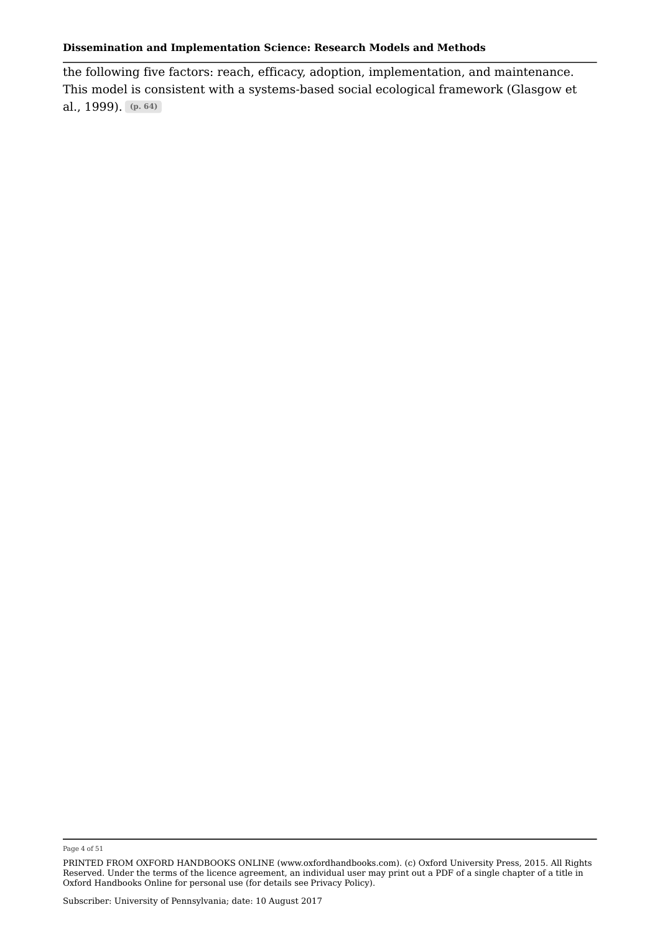the following five factors: reach, efficacy, adoption, implementation, and maintenance. This model is consistent with a systems-based social ecological framework (Glasgow et al., 1999). **(p. 64)**

Page 4 of 51

PRINTED FROM OXFORD HANDBOOKS ONLINE (www.oxfordhandbooks.com). (c) Oxford University Press, 2015. All Rights Reserved. Under the terms of the licence agreement, an individual user may print out a PDF of a single chapter of a title in Oxford Handbooks Online for personal use (for details see Privacy Policy).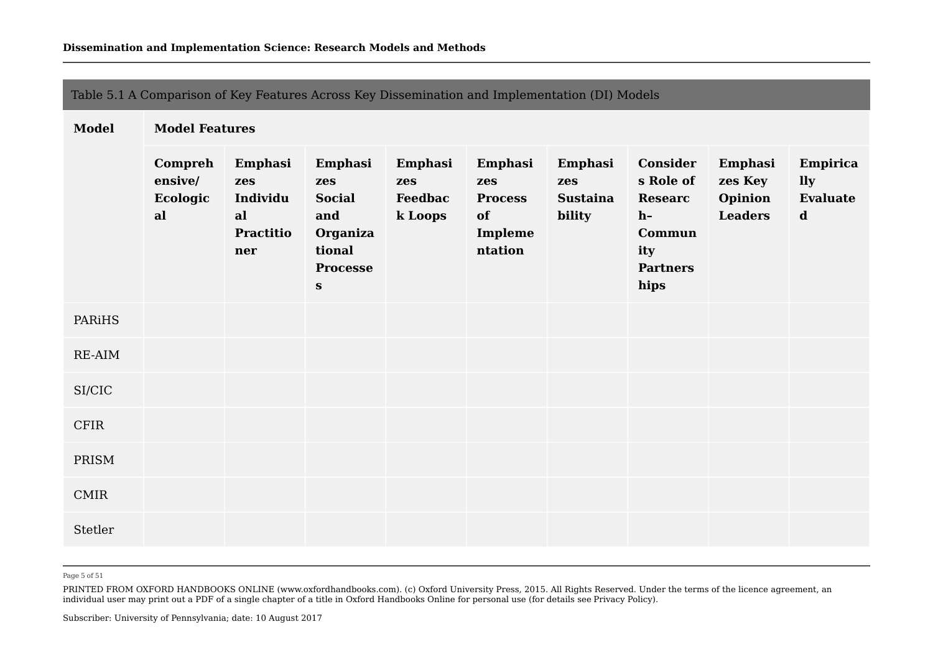Table 5.1 A Comparison of Key Features Across Key Dissemination and Implementation (DI) Models

## **Model Model Features**

|         | Compreh<br>ensive/<br>Ecologic<br>a <sub>l</sub> | Emphasi<br>zes<br>Individu<br>a<br>Practitio<br>ner | Emphasi<br>zes<br><b>Social</b><br>and<br>Organiza<br>tional<br><b>Processe</b><br>$\mathbf{s}$ | Emphasi<br>zes<br>Feedbac<br>k Loops | Emphasi<br>zes<br><b>Process</b><br>of<br>Impleme<br>ntation | Emphasi<br>zes<br><b>Sustaina</b><br>bility | Consider<br>s Role of<br>Researc<br>$h-$<br>Commun<br>ity<br><b>Partners</b><br>hips | Emphasi<br>zes Key<br>Opinion<br><b>Leaders</b> | Empirica<br>$\mathbf{ll}\mathbf{y}$<br><b>Evaluate</b><br>$\mathbf d$ |
|---------|--------------------------------------------------|-----------------------------------------------------|-------------------------------------------------------------------------------------------------|--------------------------------------|--------------------------------------------------------------|---------------------------------------------|--------------------------------------------------------------------------------------|-------------------------------------------------|-----------------------------------------------------------------------|
| PARiHS  |                                                  |                                                     |                                                                                                 |                                      |                                                              |                                             |                                                                                      |                                                 |                                                                       |
| RE-AIM  |                                                  |                                                     |                                                                                                 |                                      |                                                              |                                             |                                                                                      |                                                 |                                                                       |
| SI/CIC  |                                                  |                                                     |                                                                                                 |                                      |                                                              |                                             |                                                                                      |                                                 |                                                                       |
| CFIR    |                                                  |                                                     |                                                                                                 |                                      |                                                              |                                             |                                                                                      |                                                 |                                                                       |
| PRISM   |                                                  |                                                     |                                                                                                 |                                      |                                                              |                                             |                                                                                      |                                                 |                                                                       |
| CMIR    |                                                  |                                                     |                                                                                                 |                                      |                                                              |                                             |                                                                                      |                                                 |                                                                       |
| Stetler |                                                  |                                                     |                                                                                                 |                                      |                                                              |                                             |                                                                                      |                                                 |                                                                       |

Page 5 of 51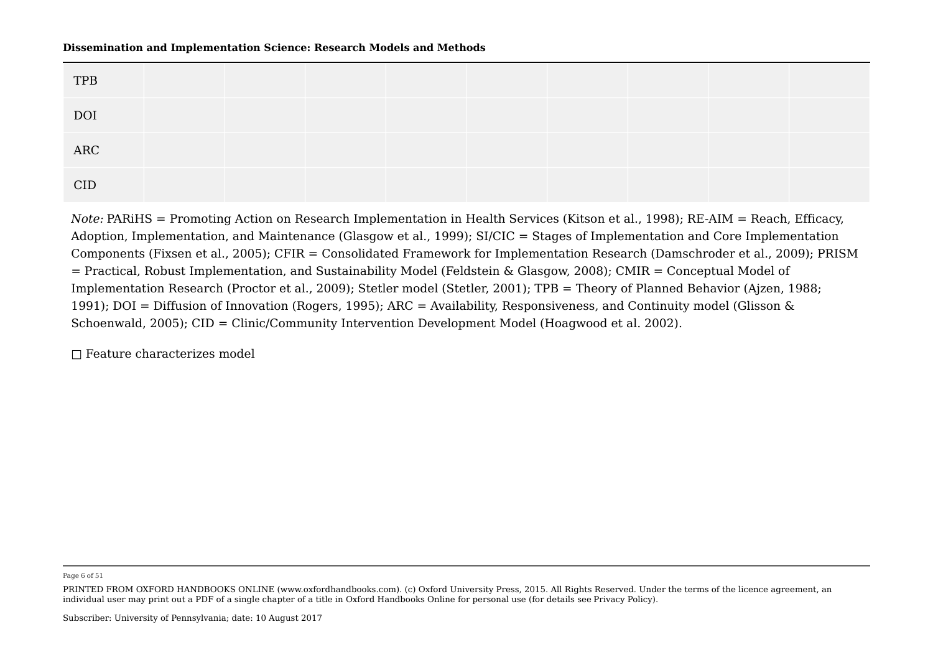| TPB        |  |  |  |  |  |
|------------|--|--|--|--|--|
| DOI        |  |  |  |  |  |
| ARC        |  |  |  |  |  |
| <b>CID</b> |  |  |  |  |  |

*Note:* PARiHS = Promoting Action on Research Implementation in Health Services (Kitson et al., 1998); RE-AIM = Reach, Efficacy, Adoption, Implementation, and Maintenance (Glasgow et al., 1999); SI/CIC = Stages of Implementation and Core Implementation Components (Fixsen et al., 2005); CFIR = Consolidated Framework for Implementation Research (Damschroder et al., 2009); PRISM = Practical, Robust Implementation, and Sustainability Model (Feldstein & Glasgow, 2008); CMIR = Conceptual Model of Implementation Research (Proctor et al., 2009); Stetler model (Stetler, 2001); TPB = Theory of Planned Behavior (Ajzen, 1988; 1991); DOI = Diffusion of Innovation (Rogers, 1995); ARC = Availability, Responsiveness, and Continuity model (Glisson & Schoenwald, 2005); CID = Clinic/Community Intervention Development Model (Hoagwood et al. 2002).

 $\Box$  Feature characterizes model

Page 6 of 51

PRINTED FROM OXFORD HANDBOOKS ONLINE (www.oxfordhandbooks.com). (c) Oxford University Press, 2015. All Rights Reserved. Under the terms of the licence agreement, an individual user may print out a PDF of a single chapter of a title in Oxford Handbooks Online for personal use (for details see Privacy Policy).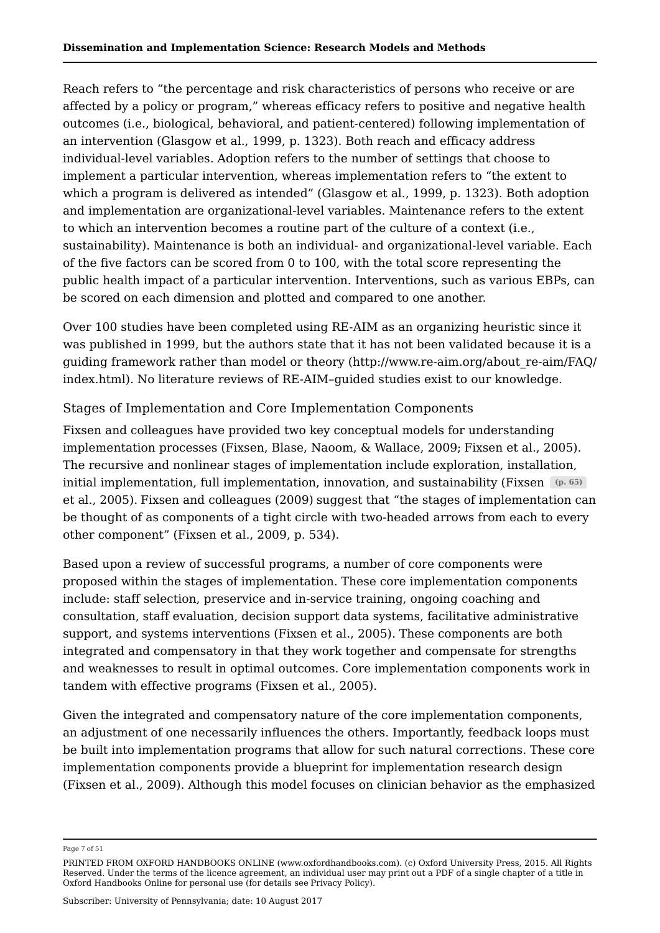Reach refers to "the percentage and risk characteristics of persons who receive or are affected by a policy or program," whereas efficacy refers to positive and negative health outcomes (i.e., biological, behavioral, and patient-centered) following implementation of an intervention (Glasgow et al., 1999, p. 1323). Both reach and efficacy address individual-level variables. Adoption refers to the number of settings that choose to implement a particular intervention, whereas implementation refers to "the extent to which a program is delivered as intended" (Glasgow et al., 1999, p. 1323). Both adoption and implementation are organizational-level variables. Maintenance refers to the extent to which an intervention becomes a routine part of the culture of a context (i.e., sustainability). Maintenance is both an individual- and organizational-level variable. Each of the five factors can be scored from 0 to 100, with the total score representing the public health impact of a particular intervention. Interventions, such as various EBPs, can be scored on each dimension and plotted and compared to one another.

Over 100 studies have been completed using RE-AIM as an organizing heuristic since it was published in 1999, but the authors state that it has not been validated because it is a guiding framework rather than model or theory (http://www.re-aim.org/about\_re-aim/FAQ/ index.html). No literature reviews of RE-AIM–guided studies exist to our knowledge.

## Stages of Implementation and Core Implementation Components

Fixsen and colleagues have provided two key conceptual models for understanding implementation processes (Fixsen, Blase, Naoom, & Wallace, 2009; Fixsen et al., 2005). The recursive and nonlinear stages of implementation include exploration, installation, initial implementation, full implementation, innovation, and sustainability (Fixsen **(p. 65)** et al., 2005). Fixsen and colleagues (2009) suggest that "the stages of implementation can be thought of as components of a tight circle with two-headed arrows from each to every other component" (Fixsen et al., 2009, p. 534).

Based upon a review of successful programs, a number of core components were proposed within the stages of implementation. These core implementation components include: staff selection, preservice and in-service training, ongoing coaching and consultation, staff evaluation, decision support data systems, facilitative administrative support, and systems interventions (Fixsen et al., 2005). These components are both integrated and compensatory in that they work together and compensate for strengths and weaknesses to result in optimal outcomes. Core implementation components work in tandem with effective programs (Fixsen et al., 2005).

Given the integrated and compensatory nature of the core implementation components, an adjustment of one necessarily influences the others. Importantly, feedback loops must be built into implementation programs that allow for such natural corrections. These core implementation components provide a blueprint for implementation research design (Fixsen et al., 2009). Although this model focuses on clinician behavior as the emphasized

Page 7 of 51

PRINTED FROM OXFORD HANDBOOKS ONLINE (www.oxfordhandbooks.com). (c) Oxford University Press, 2015. All Rights Reserved. Under the terms of the licence agreement, an individual user may print out a PDF of a single chapter of a title in Oxford Handbooks Online for personal use (for details see Privacy Policy).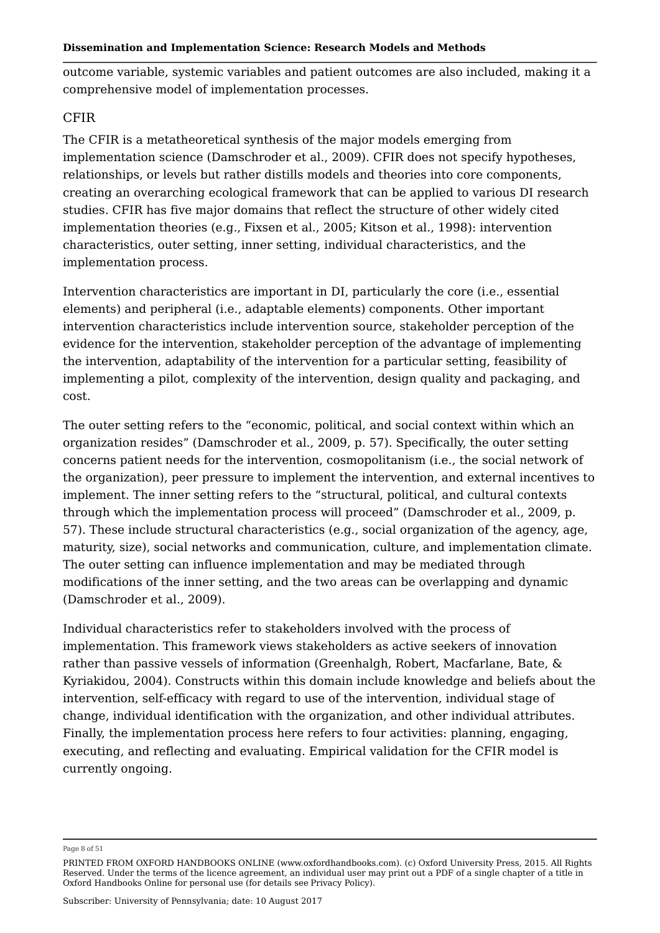outcome variable, systemic variables and patient outcomes are also included, making it a comprehensive model of implementation processes.

# CFIR

The CFIR is a metatheoretical synthesis of the major models emerging from implementation science (Damschroder et al., 2009). CFIR does not specify hypotheses, relationships, or levels but rather distills models and theories into core components, creating an overarching ecological framework that can be applied to various DI research studies. CFIR has five major domains that reflect the structure of other widely cited implementation theories (e.g., Fixsen et al., 2005; Kitson et al., 1998): intervention characteristics, outer setting, inner setting, individual characteristics, and the implementation process.

Intervention characteristics are important in DI, particularly the core (i.e., essential elements) and peripheral (i.e., adaptable elements) components. Other important intervention characteristics include intervention source, stakeholder perception of the evidence for the intervention, stakeholder perception of the advantage of implementing the intervention, adaptability of the intervention for a particular setting, feasibility of implementing a pilot, complexity of the intervention, design quality and packaging, and cost.

The outer setting refers to the "economic, political, and social context within which an organization resides" (Damschroder et al., 2009, p. 57). Specifically, the outer setting concerns patient needs for the intervention, cosmopolitanism (i.e., the social network of the organization), peer pressure to implement the intervention, and external incentives to implement. The inner setting refers to the "structural, political, and cultural contexts through which the implementation process will proceed" (Damschroder et al., 2009, p. 57). These include structural characteristics (e.g., social organization of the agency, age, maturity, size), social networks and communication, culture, and implementation climate. The outer setting can influence implementation and may be mediated through modifications of the inner setting, and the two areas can be overlapping and dynamic (Damschroder et al., 2009).

Individual characteristics refer to stakeholders involved with the process of implementation. This framework views stakeholders as active seekers of innovation rather than passive vessels of information (Greenhalgh, Robert, Macfarlane, Bate, & Kyriakidou, 2004). Constructs within this domain include knowledge and beliefs about the intervention, self-efficacy with regard to use of the intervention, individual stage of change, individual identification with the organization, and other individual attributes. Finally, the implementation process here refers to four activities: planning, engaging, executing, and reflecting and evaluating. Empirical validation for the CFIR model is currently ongoing.

Page 8 of 51

PRINTED FROM OXFORD HANDBOOKS ONLINE (www.oxfordhandbooks.com). (c) Oxford University Press, 2015. All Rights Reserved. Under the terms of the licence agreement, an individual user may print out a PDF of a single chapter of a title in Oxford Handbooks Online for personal use (for details see Privacy Policy).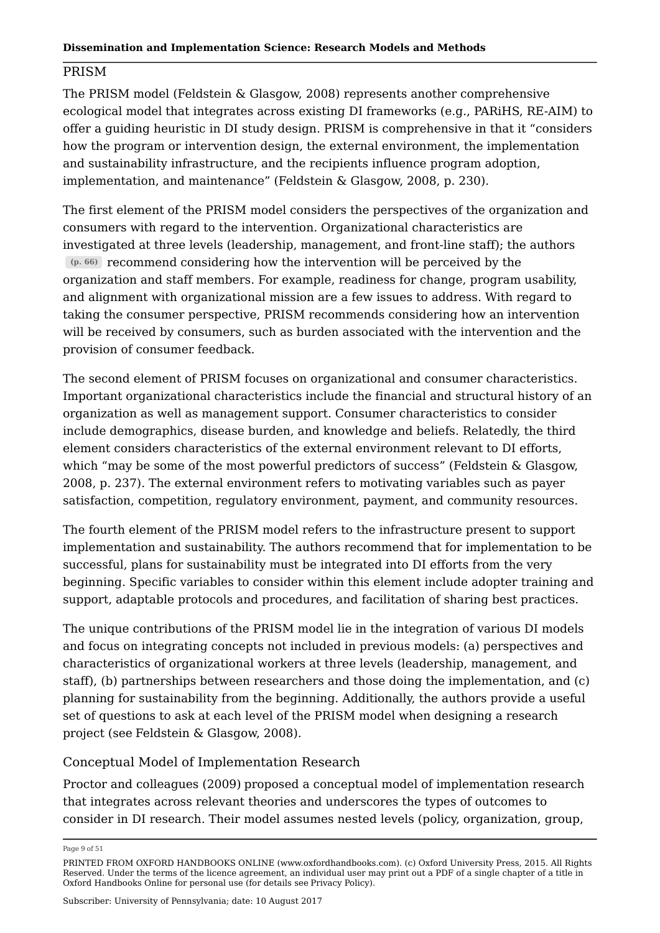## PRISM

The PRISM model (Feldstein & Glasgow, 2008) represents another comprehensive ecological model that integrates across existing DI frameworks (e.g., PARiHS, RE-AIM) to offer a guiding heuristic in DI study design. PRISM is comprehensive in that it "considers how the program or intervention design, the external environment, the implementation and sustainability infrastructure, and the recipients influence program adoption, implementation, and maintenance" (Feldstein & Glasgow, 2008, p. 230).

The first element of the PRISM model considers the perspectives of the organization and consumers with regard to the intervention. Organizational characteristics are investigated at three levels (leadership, management, and front-line staff); the authors recommend considering how the intervention will be perceived by the **(p. 66)** organization and staff members. For example, readiness for change, program usability, and alignment with organizational mission are a few issues to address. With regard to taking the consumer perspective, PRISM recommends considering how an intervention will be received by consumers, such as burden associated with the intervention and the provision of consumer feedback.

The second element of PRISM focuses on organizational and consumer characteristics. Important organizational characteristics include the financial and structural history of an organization as well as management support. Consumer characteristics to consider include demographics, disease burden, and knowledge and beliefs. Relatedly, the third element considers characteristics of the external environment relevant to DI efforts, which "may be some of the most powerful predictors of success" (Feldstein & Glasgow, 2008, p. 237). The external environment refers to motivating variables such as payer satisfaction, competition, regulatory environment, payment, and community resources.

The fourth element of the PRISM model refers to the infrastructure present to support implementation and sustainability. The authors recommend that for implementation to be successful, plans for sustainability must be integrated into DI efforts from the very beginning. Specific variables to consider within this element include adopter training and support, adaptable protocols and procedures, and facilitation of sharing best practices.

The unique contributions of the PRISM model lie in the integration of various DI models and focus on integrating concepts not included in previous models: (a) perspectives and characteristics of organizational workers at three levels (leadership, management, and staff), (b) partnerships between researchers and those doing the implementation, and (c) planning for sustainability from the beginning. Additionally, the authors provide a useful set of questions to ask at each level of the PRISM model when designing a research project (see Feldstein & Glasgow, 2008).

## Conceptual Model of Implementation Research

Proctor and colleagues (2009) proposed a conceptual model of implementation research that integrates across relevant theories and underscores the types of outcomes to consider in DI research. Their model assumes nested levels (policy, organization, group,

Page 9 of 51

PRINTED FROM OXFORD HANDBOOKS ONLINE (www.oxfordhandbooks.com). (c) Oxford University Press, 2015. All Rights Reserved. Under the terms of the licence agreement, an individual user may print out a PDF of a single chapter of a title in Oxford Handbooks Online for personal use (for details see Privacy Policy).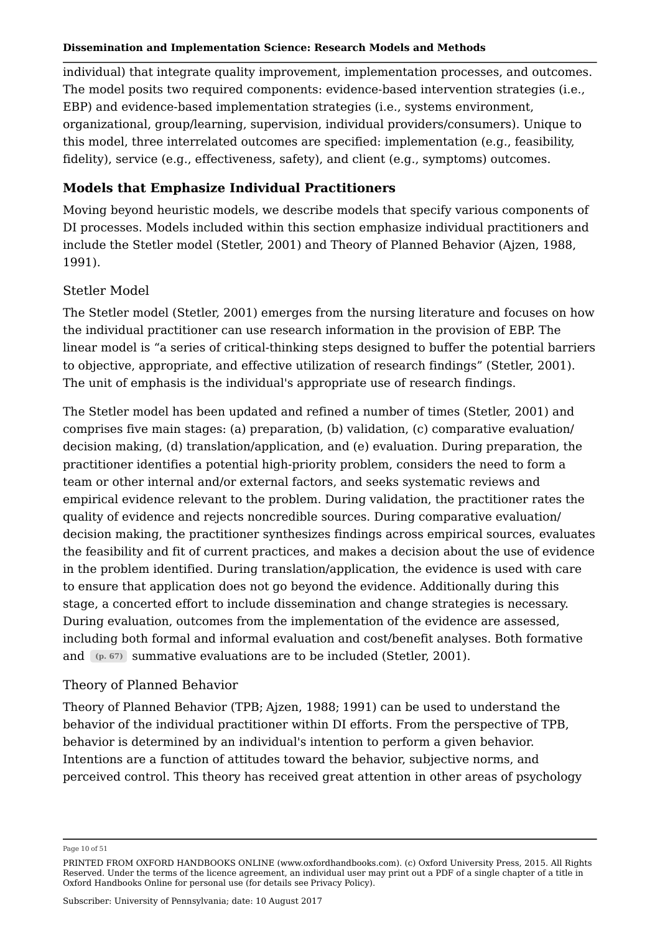individual) that integrate quality improvement, implementation processes, and outcomes. The model posits two required components: evidence-based intervention strategies (i.e., EBP) and evidence-based implementation strategies (i.e., systems environment, organizational, group/learning, supervision, individual providers/consumers). Unique to this model, three interrelated outcomes are specified: implementation (e.g., feasibility, fidelity), service (e.g., effectiveness, safety), and client (e.g., symptoms) outcomes.

## **Models that Emphasize Individual Practitioners**

Moving beyond heuristic models, we describe models that specify various components of DI processes. Models included within this section emphasize individual practitioners and include the Stetler model (Stetler, 2001) and Theory of Planned Behavior (Ajzen, 1988, 1991).

## Stetler Model

The Stetler model (Stetler, 2001) emerges from the nursing literature and focuses on how the individual practitioner can use research information in the provision of EBP. The linear model is "a series of critical-thinking steps designed to buffer the potential barriers to objective, appropriate, and effective utilization of research findings" (Stetler, 2001). The unit of emphasis is the individual's appropriate use of research findings.

The Stetler model has been updated and refined a number of times (Stetler, 2001) and comprises five main stages: (a) preparation, (b) validation, (c) comparative evaluation/ decision making, (d) translation/application, and (e) evaluation. During preparation, the practitioner identifies a potential high-priority problem, considers the need to form a team or other internal and/or external factors, and seeks systematic reviews and empirical evidence relevant to the problem. During validation, the practitioner rates the quality of evidence and rejects noncredible sources. During comparative evaluation/ decision making, the practitioner synthesizes findings across empirical sources, evaluates the feasibility and fit of current practices, and makes a decision about the use of evidence in the problem identified. During translation/application, the evidence is used with care to ensure that application does not go beyond the evidence. Additionally during this stage, a concerted effort to include dissemination and change strategies is necessary. During evaluation, outcomes from the implementation of the evidence are assessed, including both formal and informal evaluation and cost/benefit analyses. Both formative and (p. 67) summative evaluations are to be included (Stetler, 2001).

# Theory of Planned Behavior

Theory of Planned Behavior (TPB; Ajzen, 1988; 1991) can be used to understand the behavior of the individual practitioner within DI efforts. From the perspective of TPB, behavior is determined by an individual's intention to perform a given behavior. Intentions are a function of attitudes toward the behavior, subjective norms, and perceived control. This theory has received great attention in other areas of psychology

Page 10 of 51

PRINTED FROM OXFORD HANDBOOKS ONLINE (www.oxfordhandbooks.com). (c) Oxford University Press, 2015. All Rights Reserved. Under the terms of the licence agreement, an individual user may print out a PDF of a single chapter of a title in Oxford Handbooks Online for personal use (for details see Privacy Policy).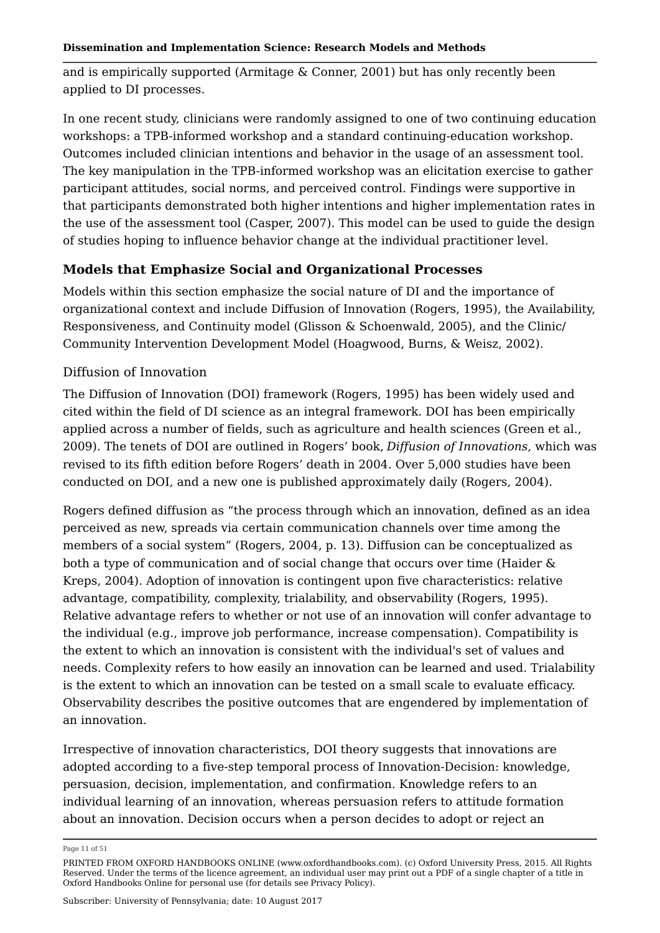and is empirically supported (Armitage & Conner, 2001) but has only recently been applied to DI processes.

In one recent study, clinicians were randomly assigned to one of two continuing education workshops: a TPB-informed workshop and a standard continuing-education workshop. Outcomes included clinician intentions and behavior in the usage of an assessment tool. The key manipulation in the TPB-informed workshop was an elicitation exercise to gather participant attitudes, social norms, and perceived control. Findings were supportive in that participants demonstrated both higher intentions and higher implementation rates in the use of the assessment tool (Casper, 2007). This model can be used to guide the design of studies hoping to influence behavior change at the individual practitioner level.

# **Models that Emphasize Social and Organizational Processes**

Models within this section emphasize the social nature of DI and the importance of organizational context and include Diffusion of Innovation (Rogers, 1995), the Availability, Responsiveness, and Continuity model (Glisson & Schoenwald, 2005), and the Clinic/ Community Intervention Development Model (Hoagwood, Burns, & Weisz, 2002).

# Diffusion of Innovation

The Diffusion of Innovation (DOI) framework (Rogers, 1995) has been widely used and cited within the field of DI science as an integral framework. DOI has been empirically applied across a number of fields, such as agriculture and health sciences (Green et al., 2009). The tenets of DOI are outlined in Rogers' book, *Diffusion of Innovations*, which was revised to its fifth edition before Rogers' death in 2004. Over 5,000 studies have been conducted on DOI, and a new one is published approximately daily (Rogers, 2004).

Rogers defined diffusion as "the process through which an innovation, defined as an idea perceived as new, spreads via certain communication channels over time among the members of a social system" (Rogers, 2004, p. 13). Diffusion can be conceptualized as both a type of communication and of social change that occurs over time (Haider & Kreps, 2004). Adoption of innovation is contingent upon five characteristics: relative advantage, compatibility, complexity, trialability, and observability (Rogers, 1995). Relative advantage refers to whether or not use of an innovation will confer advantage to the individual (e.g., improve job performance, increase compensation). Compatibility is the extent to which an innovation is consistent with the individual's set of values and needs. Complexity refers to how easily an innovation can be learned and used. Trialability is the extent to which an innovation can be tested on a small scale to evaluate efficacy. Observability describes the positive outcomes that are engendered by implementation of an innovation.

Irrespective of innovation characteristics, DOI theory suggests that innovations are adopted according to a five-step temporal process of Innovation-Decision: knowledge, persuasion, decision, implementation, and confirmation. Knowledge refers to an individual learning of an innovation, whereas persuasion refers to attitude formation about an innovation. Decision occurs when a person decides to adopt or reject an

Page 11 of 51

PRINTED FROM OXFORD HANDBOOKS ONLINE (www.oxfordhandbooks.com). (c) Oxford University Press, 2015. All Rights Reserved. Under the terms of the licence agreement, an individual user may print out a PDF of a single chapter of a title in Oxford Handbooks Online for personal use (for details see Privacy Policy).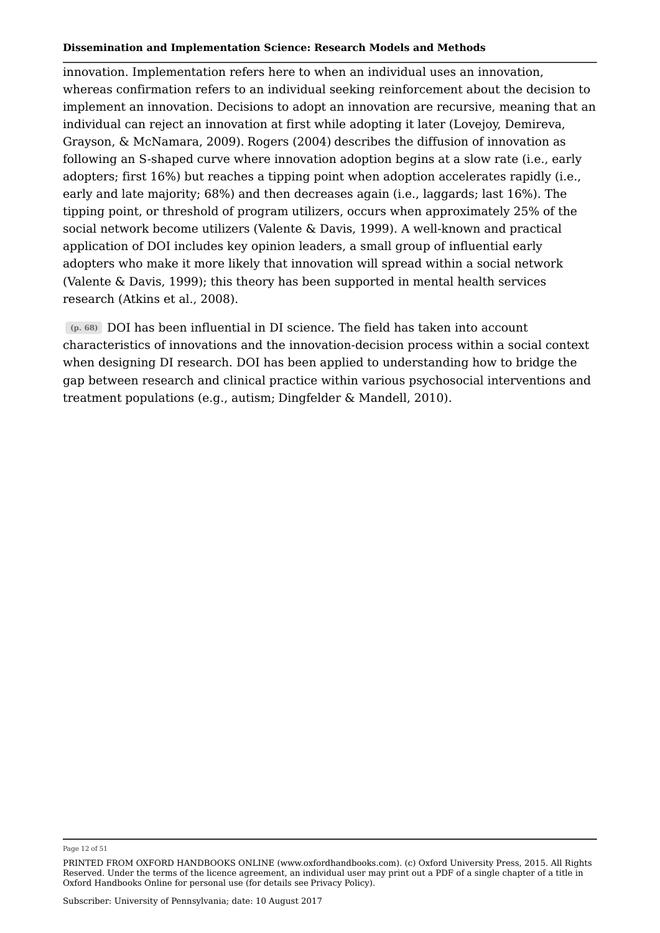innovation. Implementation refers here to when an individual uses an innovation, whereas confirmation refers to an individual seeking reinforcement about the decision to implement an innovation. Decisions to adopt an innovation are recursive, meaning that an individual can reject an innovation at first while adopting it later (Lovejoy, Demireva, Grayson, & McNamara, 2009). Rogers (2004) describes the diffusion of innovation as following an S-shaped curve where innovation adoption begins at a slow rate (i.e., early adopters; first 16%) but reaches a tipping point when adoption accelerates rapidly (i.e., early and late majority; 68%) and then decreases again (i.e., laggards; last 16%). The tipping point, or threshold of program utilizers, occurs when approximately 25% of the social network become utilizers (Valente & Davis, 1999). A well-known and practical application of DOI includes key opinion leaders, a small group of influential early adopters who make it more likely that innovation will spread within a social network (Valente & Davis, 1999); this theory has been supported in mental health services research (Atkins et al., 2008).

DOI has been influential in DI science. The field has taken into account **(p. 68)** characteristics of innovations and the innovation-decision process within a social context when designing DI research. DOI has been applied to understanding how to bridge the gap between research and clinical practice within various psychosocial interventions and treatment populations (e.g., autism; Dingfelder & Mandell, 2010).

Page 12 of 51

PRINTED FROM OXFORD HANDBOOKS ONLINE (www.oxfordhandbooks.com). (c) Oxford University Press, 2015. All Rights Reserved. Under the terms of the licence agreement, an individual user may print out a PDF of a single chapter of a title in Oxford Handbooks Online for personal use (for details see Privacy Policy).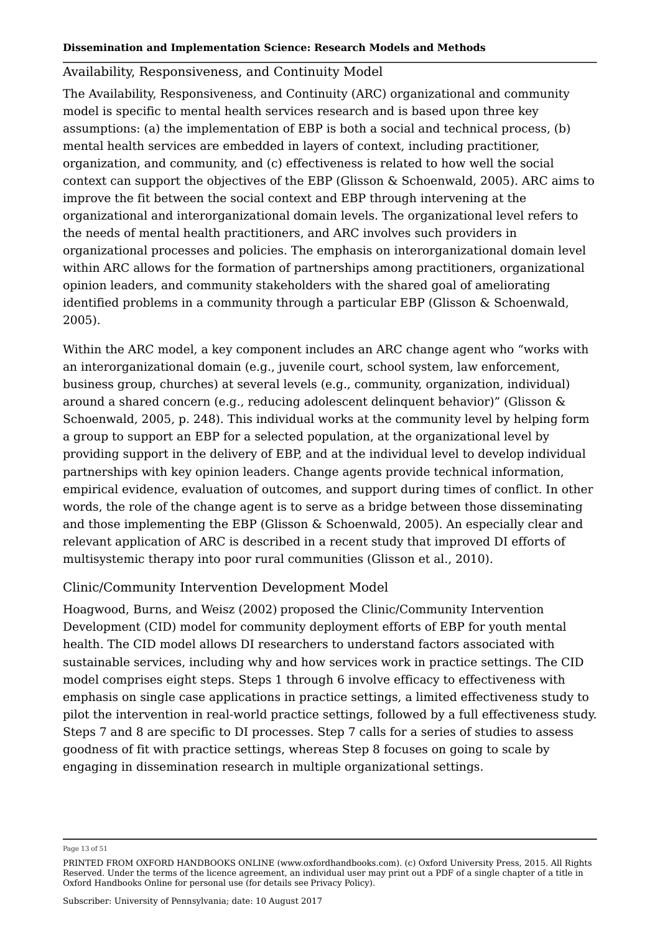## Availability, Responsiveness, and Continuity Model

The Availability, Responsiveness, and Continuity (ARC) organizational and community model is specific to mental health services research and is based upon three key assumptions: (a) the implementation of EBP is both a social and technical process, (b) mental health services are embedded in layers of context, including practitioner, organization, and community, and (c) effectiveness is related to how well the social context can support the objectives of the EBP (Glisson & Schoenwald, 2005). ARC aims to improve the fit between the social context and EBP through intervening at the organizational and interorganizational domain levels. The organizational level refers to the needs of mental health practitioners, and ARC involves such providers in organizational processes and policies. The emphasis on interorganizational domain level within ARC allows for the formation of partnerships among practitioners, organizational opinion leaders, and community stakeholders with the shared goal of ameliorating identified problems in a community through a particular EBP (Glisson & Schoenwald, 2005).

Within the ARC model, a key component includes an ARC change agent who "works with an interorganizational domain (e.g., juvenile court, school system, law enforcement, business group, churches) at several levels (e.g., community, organization, individual) around a shared concern (e.g., reducing adolescent delinquent behavior)" (Glisson & Schoenwald, 2005, p. 248). This individual works at the community level by helping form a group to support an EBP for a selected population, at the organizational level by providing support in the delivery of EBP, and at the individual level to develop individual partnerships with key opinion leaders. Change agents provide technical information, empirical evidence, evaluation of outcomes, and support during times of conflict. In other words, the role of the change agent is to serve as a bridge between those disseminating and those implementing the EBP (Glisson & Schoenwald, 2005). An especially clear and relevant application of ARC is described in a recent study that improved DI efforts of multisystemic therapy into poor rural communities (Glisson et al., 2010).

## Clinic/Community Intervention Development Model

Hoagwood, Burns, and Weisz (2002) proposed the Clinic/Community Intervention Development (CID) model for community deployment efforts of EBP for youth mental health. The CID model allows DI researchers to understand factors associated with sustainable services, including why and how services work in practice settings. The CID model comprises eight steps. Steps 1 through 6 involve efficacy to effectiveness with emphasis on single case applications in practice settings, a limited effectiveness study to pilot the intervention in real-world practice settings, followed by a full effectiveness study. Steps 7 and 8 are specific to DI processes. Step 7 calls for a series of studies to assess goodness of fit with practice settings, whereas Step 8 focuses on going to scale by engaging in dissemination research in multiple organizational settings.

Page 13 of 51

PRINTED FROM OXFORD HANDBOOKS ONLINE (www.oxfordhandbooks.com). (c) Oxford University Press, 2015. All Rights Reserved. Under the terms of the licence agreement, an individual user may print out a PDF of a single chapter of a title in Oxford Handbooks Online for personal use (for details see Privacy Policy).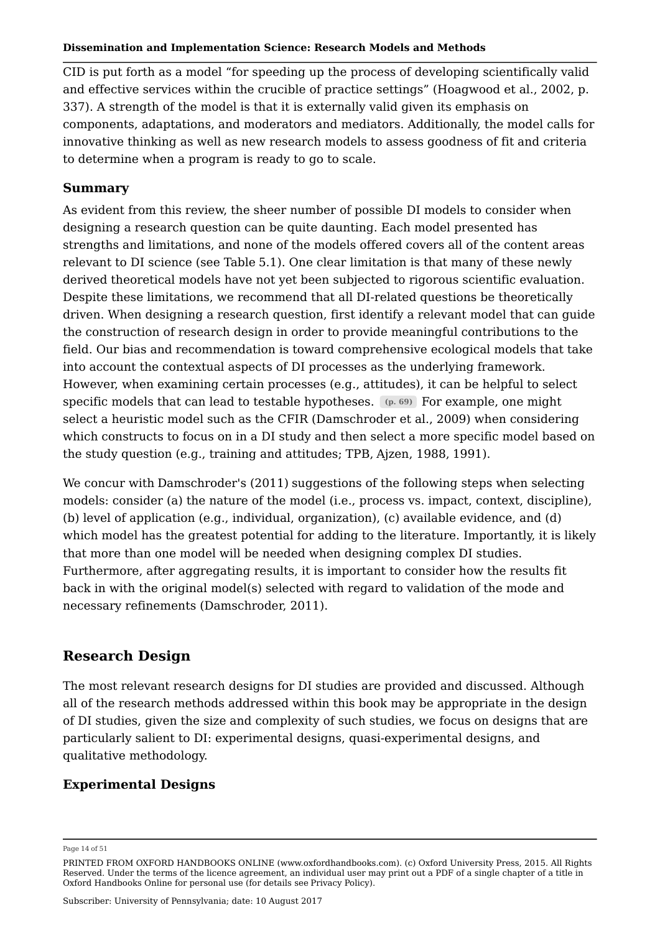CID is put forth as a model "for speeding up the process of developing scientifically valid and effective services within the crucible of practice settings" (Hoagwood et al., 2002, p. 337). A strength of the model is that it is externally valid given its emphasis on components, adaptations, and moderators and mediators. Additionally, the model calls for innovative thinking as well as new research models to assess goodness of fit and criteria to determine when a program is ready to go to scale.

## **Summary**

As evident from this review, the sheer number of possible DI models to consider when designing a research question can be quite daunting. Each model presented has strengths and limitations, and none of the models offered covers all of the content areas relevant to DI science (see Table 5.1). One clear limitation is that many of these newly derived theoretical models have not yet been subjected to rigorous scientific evaluation. Despite these limitations, we recommend that all DI-related questions be theoretically driven. When designing a research question, first identify a relevant model that can guide the construction of research design in order to provide meaningful contributions to the field. Our bias and recommendation is toward comprehensive ecological models that take into account the contextual aspects of DI processes as the underlying framework. However, when examining certain processes (e.g., attitudes), it can be helpful to select specific models that can lead to testable hypotheses.  $(p. 69)$  For example, one might select a heuristic model such as the CFIR (Damschroder et al., 2009) when considering which constructs to focus on in a DI study and then select a more specific model based on the study question (e.g., training and attitudes; TPB, Ajzen, 1988, 1991).

We concur with Damschroder's (2011) suggestions of the following steps when selecting models: consider (a) the nature of the model (i.e., process vs. impact, context, discipline), (b) level of application (e.g., individual, organization), (c) available evidence, and (d) which model has the greatest potential for adding to the literature. Importantly, it is likely that more than one model will be needed when designing complex DI studies. Furthermore, after aggregating results, it is important to consider how the results fit back in with the original model(s) selected with regard to validation of the mode and necessary refinements (Damschroder, 2011).

# **Research Design**

The most relevant research designs for DI studies are provided and discussed. Although all of the research methods addressed within this book may be appropriate in the design of DI studies, given the size and complexity of such studies, we focus on designs that are particularly salient to DI: experimental designs, quasi-experimental designs, and qualitative methodology.

## **Experimental Designs**

Page 14 of 51

PRINTED FROM OXFORD HANDBOOKS ONLINE (www.oxfordhandbooks.com). (c) Oxford University Press, 2015. All Rights Reserved. Under the terms of the licence agreement, an individual user may print out a PDF of a single chapter of a title in Oxford Handbooks Online for personal use (for details see Privacy Policy).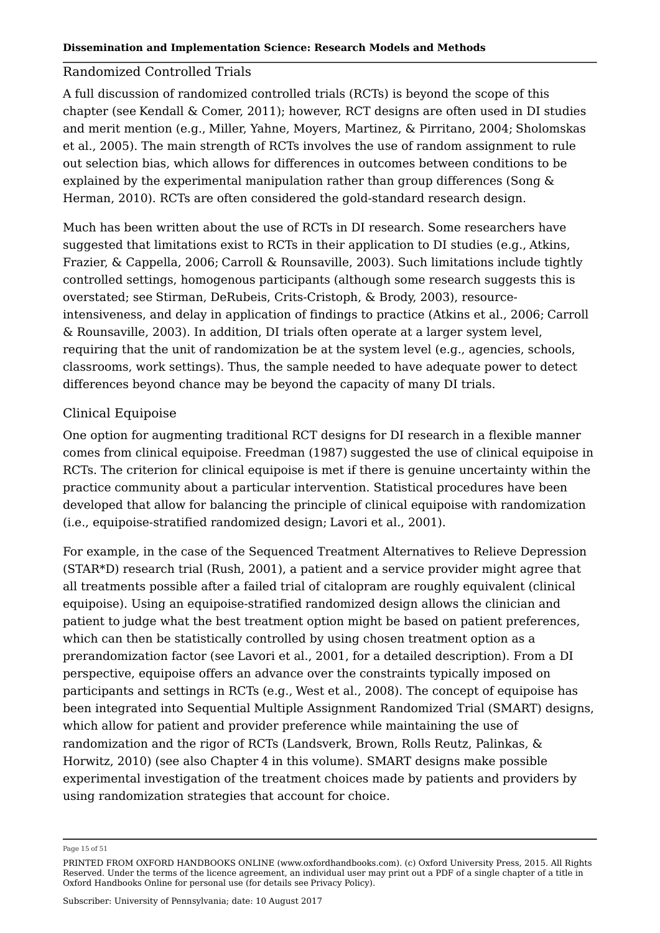## Randomized Controlled Trials

A full discussion of randomized controlled trials (RCTs) is beyond the scope of this chapter (see Kendall & Comer, 2011); however, RCT designs are often used in DI studies and merit mention (e.g., Miller, Yahne, Moyers, Martinez, & Pirritano, 2004; Sholomskas et al., 2005). The main strength of RCTs involves the use of random assignment to rule out selection bias, which allows for differences in outcomes between conditions to be explained by the experimental manipulation rather than group differences (Song & Herman, 2010). RCTs are often considered the gold-standard research design.

Much has been written about the use of RCTs in DI research. Some researchers have suggested that limitations exist to RCTs in their application to DI studies (e.g., Atkins, Frazier, & Cappella, 2006; Carroll & Rounsaville, 2003). Such limitations include tightly controlled settings, homogenous participants (although some research suggests this is overstated; see Stirman, DeRubeis, Crits-Cristoph, & Brody, 2003), resourceintensiveness, and delay in application of findings to practice (Atkins et al., 2006; Carroll & Rounsaville, 2003). In addition, DI trials often operate at a larger system level, requiring that the unit of randomization be at the system level (e.g., agencies, schools, classrooms, work settings). Thus, the sample needed to have adequate power to detect differences beyond chance may be beyond the capacity of many DI trials.

## Clinical Equipoise

One option for augmenting traditional RCT designs for DI research in a flexible manner comes from clinical equipoise. Freedman (1987) suggested the use of clinical equipoise in RCTs. The criterion for clinical equipoise is met if there is genuine uncertainty within the practice community about a particular intervention. Statistical procedures have been developed that allow for balancing the principle of clinical equipoise with randomization (i.e., equipoise-stratified randomized design; Lavori et al., 2001).

For example, in the case of the Sequenced Treatment Alternatives to Relieve Depression (STAR\*D) research trial (Rush, 2001), a patient and a service provider might agree that all treatments possible after a failed trial of citalopram are roughly equivalent (clinical equipoise). Using an equipoise-stratified randomized design allows the clinician and patient to judge what the best treatment option might be based on patient preferences, which can then be statistically controlled by using chosen treatment option as a prerandomization factor (see Lavori et al., 2001, for a detailed description). From a DI perspective, equipoise offers an advance over the constraints typically imposed on participants and settings in RCTs (e.g., West et al., 2008). The concept of equipoise has been integrated into Sequential Multiple Assignment Randomized Trial (SMART) designs, which allow for patient and provider preference while maintaining the use of randomization and the rigor of RCTs (Landsverk, Brown, Rolls Reutz, Palinkas, & Horwitz, 2010) (see also Chapter 4 in this volume). SMART designs make possible experimental investigation of the treatment choices made by patients and providers by using randomization strategies that account for choice.

Page 15 of 51

PRINTED FROM OXFORD HANDBOOKS ONLINE (www.oxfordhandbooks.com). (c) Oxford University Press, 2015. All Rights Reserved. Under the terms of the licence agreement, an individual user may print out a PDF of a single chapter of a title in Oxford Handbooks Online for personal use (for details see Privacy Policy).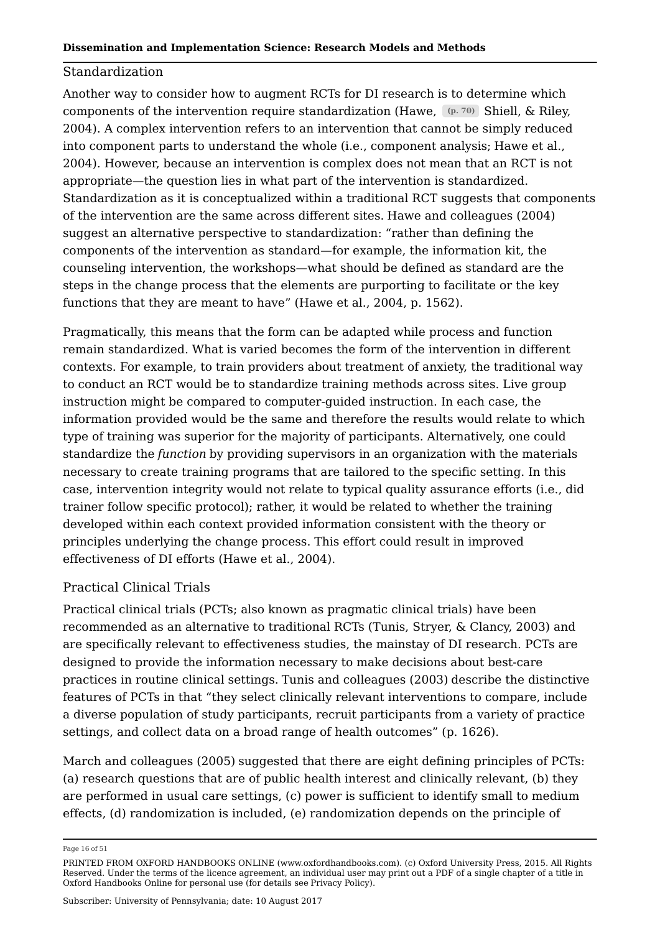## Standardization

Another way to consider how to augment RCTs for DI research is to determine which components of the intervention require standardization (Hawe,  $(p.\ 70)$  Shiell, & Riley, 2004). A complex intervention refers to an intervention that cannot be simply reduced into component parts to understand the whole (i.e., component analysis; Hawe et al., 2004). However, because an intervention is complex does not mean that an RCT is not appropriate—the question lies in what part of the intervention is standardized. Standardization as it is conceptualized within a traditional RCT suggests that components of the intervention are the same across different sites. Hawe and colleagues (2004) suggest an alternative perspective to standardization: "rather than defining the components of the intervention as standard—for example, the information kit, the counseling intervention, the workshops—what should be defined as standard are the steps in the change process that the elements are purporting to facilitate or the key functions that they are meant to have" (Hawe et al., 2004, p. 1562).

Pragmatically, this means that the form can be adapted while process and function remain standardized. What is varied becomes the form of the intervention in different contexts. For example, to train providers about treatment of anxiety, the traditional way to conduct an RCT would be to standardize training methods across sites. Live group instruction might be compared to computer-guided instruction. In each case, the information provided would be the same and therefore the results would relate to which type of training was superior for the majority of participants. Alternatively, one could standardize the *function* by providing supervisors in an organization with the materials necessary to create training programs that are tailored to the specific setting. In this case, intervention integrity would not relate to typical quality assurance efforts (i.e., did trainer follow specific protocol); rather, it would be related to whether the training developed within each context provided information consistent with the theory or principles underlying the change process. This effort could result in improved effectiveness of DI efforts (Hawe et al., 2004).

## Practical Clinical Trials

Practical clinical trials (PCTs; also known as pragmatic clinical trials) have been recommended as an alternative to traditional RCTs (Tunis, Stryer, & Clancy, 2003) and are specifically relevant to effectiveness studies, the mainstay of DI research. PCTs are designed to provide the information necessary to make decisions about best-care practices in routine clinical settings. Tunis and colleagues (2003) describe the distinctive features of PCTs in that "they select clinically relevant interventions to compare, include a diverse population of study participants, recruit participants from a variety of practice settings, and collect data on a broad range of health outcomes" (p. 1626).

March and colleagues (2005) suggested that there are eight defining principles of PCTs: (a) research questions that are of public health interest and clinically relevant, (b) they are performed in usual care settings, (c) power is sufficient to identify small to medium effects, (d) randomization is included, (e) randomization depends on the principle of

Page 16 of 51

PRINTED FROM OXFORD HANDBOOKS ONLINE (www.oxfordhandbooks.com). (c) Oxford University Press, 2015. All Rights Reserved. Under the terms of the licence agreement, an individual user may print out a PDF of a single chapter of a title in Oxford Handbooks Online for personal use (for details see Privacy Policy).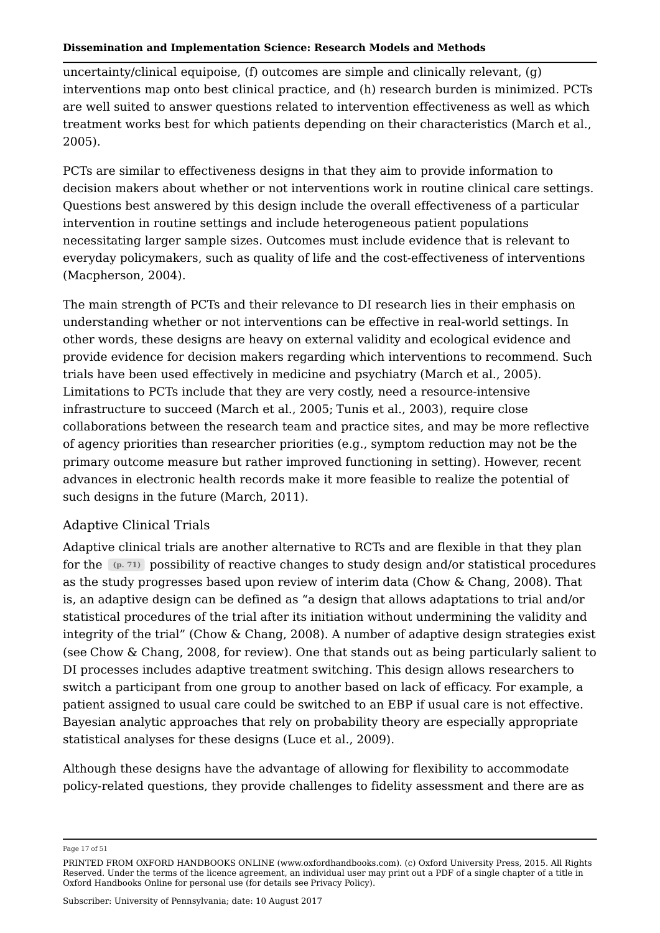uncertainty/clinical equipoise, (f) outcomes are simple and clinically relevant, (g) interventions map onto best clinical practice, and (h) research burden is minimized. PCTs are well suited to answer questions related to intervention effectiveness as well as which treatment works best for which patients depending on their characteristics (March et al., 2005).

PCTs are similar to effectiveness designs in that they aim to provide information to decision makers about whether or not interventions work in routine clinical care settings. Questions best answered by this design include the overall effectiveness of a particular intervention in routine settings and include heterogeneous patient populations necessitating larger sample sizes. Outcomes must include evidence that is relevant to everyday policymakers, such as quality of life and the cost-effectiveness of interventions (Macpherson, 2004).

The main strength of PCTs and their relevance to DI research lies in their emphasis on understanding whether or not interventions can be effective in real-world settings. In other words, these designs are heavy on external validity and ecological evidence and provide evidence for decision makers regarding which interventions to recommend. Such trials have been used effectively in medicine and psychiatry (March et al., 2005). Limitations to PCTs include that they are very costly, need a resource-intensive infrastructure to succeed (March et al., 2005; Tunis et al., 2003), require close collaborations between the research team and practice sites, and may be more reflective of agency priorities than researcher priorities (e.g., symptom reduction may not be the primary outcome measure but rather improved functioning in setting). However, recent advances in electronic health records make it more feasible to realize the potential of such designs in the future (March, 2011).

## Adaptive Clinical Trials

Adaptive clinical trials are another alternative to RCTs and are flexible in that they plan for the  $\left(\varphi$   $71\right)$  possibility of reactive changes to study design and/or statistical procedures as the study progresses based upon review of interim data (Chow & Chang, 2008). That is, an adaptive design can be defined as "a design that allows adaptations to trial and/or statistical procedures of the trial after its initiation without undermining the validity and integrity of the trial" (Chow & Chang, 2008). A number of adaptive design strategies exist (see Chow & Chang, 2008, for review). One that stands out as being particularly salient to DI processes includes adaptive treatment switching. This design allows researchers to switch a participant from one group to another based on lack of efficacy. For example, a patient assigned to usual care could be switched to an EBP if usual care is not effective. Bayesian analytic approaches that rely on probability theory are especially appropriate statistical analyses for these designs (Luce et al., 2009).

Although these designs have the advantage of allowing for flexibility to accommodate policy-related questions, they provide challenges to fidelity assessment and there are as

Page 17 of 51

PRINTED FROM OXFORD HANDBOOKS ONLINE (www.oxfordhandbooks.com). (c) Oxford University Press, 2015. All Rights Reserved. Under the terms of the licence agreement, an individual user may print out a PDF of a single chapter of a title in Oxford Handbooks Online for personal use (for details see Privacy Policy).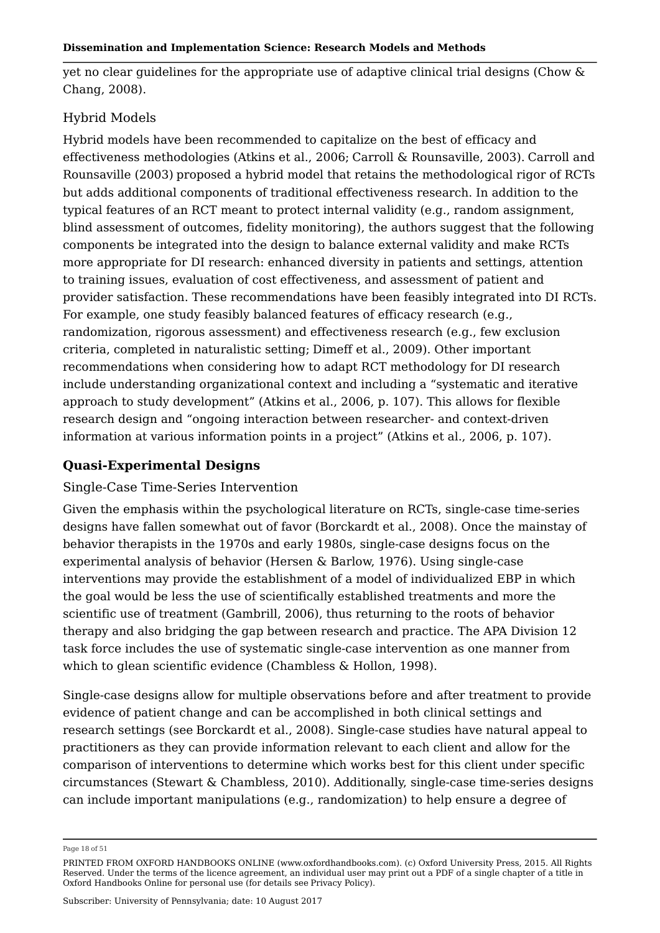yet no clear guidelines for the appropriate use of adaptive clinical trial designs (Chow & Chang, 2008).

# Hybrid Models

Hybrid models have been recommended to capitalize on the best of efficacy and effectiveness methodologies (Atkins et al., 2006; Carroll & Rounsaville, 2003). Carroll and Rounsaville (2003) proposed a hybrid model that retains the methodological rigor of RCTs but adds additional components of traditional effectiveness research. In addition to the typical features of an RCT meant to protect internal validity (e.g., random assignment, blind assessment of outcomes, fidelity monitoring), the authors suggest that the following components be integrated into the design to balance external validity and make RCTs more appropriate for DI research: enhanced diversity in patients and settings, attention to training issues, evaluation of cost effectiveness, and assessment of patient and provider satisfaction. These recommendations have been feasibly integrated into DI RCTs. For example, one study feasibly balanced features of efficacy research (e.g., randomization, rigorous assessment) and effectiveness research (e.g., few exclusion criteria, completed in naturalistic setting; Dimeff et al., 2009). Other important recommendations when considering how to adapt RCT methodology for DI research include understanding organizational context and including a "systematic and iterative approach to study development" (Atkins et al., 2006, p. 107). This allows for flexible research design and "ongoing interaction between researcher- and context-driven information at various information points in a project" (Atkins et al., 2006, p. 107).

# **Quasi-Experimental Designs**

# Single-Case Time-Series Intervention

Given the emphasis within the psychological literature on RCTs, single-case time-series designs have fallen somewhat out of favor (Borckardt et al., 2008). Once the mainstay of behavior therapists in the 1970s and early 1980s, single-case designs focus on the experimental analysis of behavior (Hersen & Barlow, 1976). Using single-case interventions may provide the establishment of a model of individualized EBP in which the goal would be less the use of scientifically established treatments and more the scientific use of treatment (Gambrill, 2006), thus returning to the roots of behavior therapy and also bridging the gap between research and practice. The APA Division 12 task force includes the use of systematic single-case intervention as one manner from which to glean scientific evidence (Chambless & Hollon, 1998).

Single-case designs allow for multiple observations before and after treatment to provide evidence of patient change and can be accomplished in both clinical settings and research settings (see Borckardt et al., 2008). Single-case studies have natural appeal to practitioners as they can provide information relevant to each client and allow for the comparison of interventions to determine which works best for this client under specific circumstances (Stewart & Chambless, 2010). Additionally, single-case time-series designs can include important manipulations (e.g., randomization) to help ensure a degree of

Page 18 of 51

PRINTED FROM OXFORD HANDBOOKS ONLINE (www.oxfordhandbooks.com). (c) Oxford University Press, 2015. All Rights Reserved. Under the terms of the licence agreement, an individual user may print out a PDF of a single chapter of a title in Oxford Handbooks Online for personal use (for details see Privacy Policy).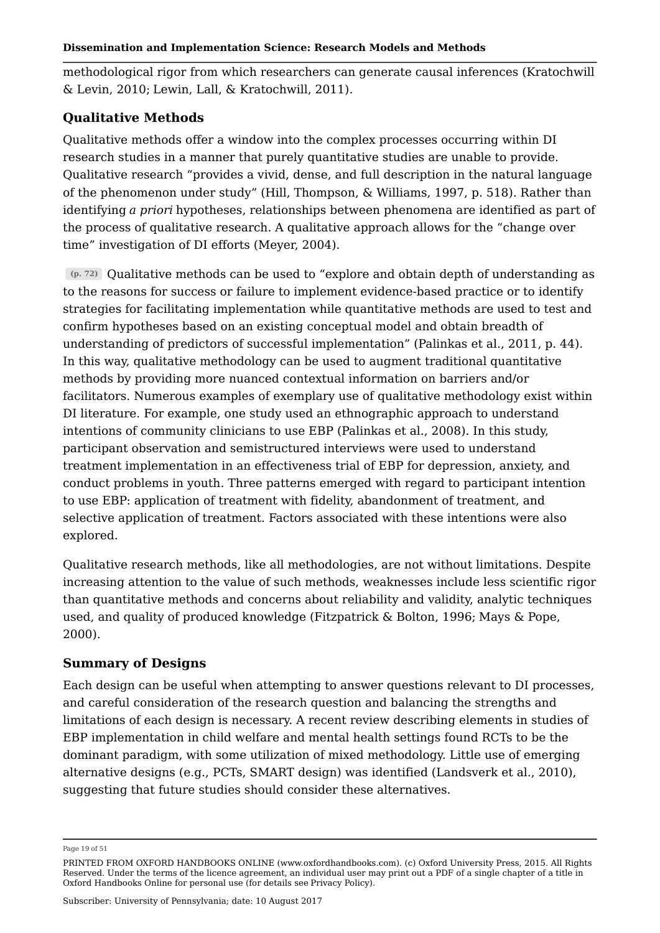methodological rigor from which researchers can generate causal inferences (Kratochwill & Levin, 2010; Lewin, Lall, & Kratochwill, 2011).

# **Qualitative Methods**

Qualitative methods offer a window into the complex processes occurring within DI research studies in a manner that purely quantitative studies are unable to provide. Qualitative research "provides a vivid, dense, and full description in the natural language of the phenomenon under study" (Hill, Thompson, & Williams, 1997, p. 518). Rather than identifying *a priori* hypotheses, relationships between phenomena are identified as part of the process of qualitative research. A qualitative approach allows for the "change over time" investigation of DI efforts (Meyer, 2004).

Qualitative methods can be used to "explore and obtain depth of understanding as **(p. 72)** to the reasons for success or failure to implement evidence-based practice or to identify strategies for facilitating implementation while quantitative methods are used to test and confirm hypotheses based on an existing conceptual model and obtain breadth of understanding of predictors of successful implementation" (Palinkas et al., 2011, p. 44). In this way, qualitative methodology can be used to augment traditional quantitative methods by providing more nuanced contextual information on barriers and/or facilitators. Numerous examples of exemplary use of qualitative methodology exist within DI literature. For example, one study used an ethnographic approach to understand intentions of community clinicians to use EBP (Palinkas et al., 2008). In this study, participant observation and semistructured interviews were used to understand treatment implementation in an effectiveness trial of EBP for depression, anxiety, and conduct problems in youth. Three patterns emerged with regard to participant intention to use EBP: application of treatment with fidelity, abandonment of treatment, and selective application of treatment. Factors associated with these intentions were also explored.

Qualitative research methods, like all methodologies, are not without limitations. Despite increasing attention to the value of such methods, weaknesses include less scientific rigor than quantitative methods and concerns about reliability and validity, analytic techniques used, and quality of produced knowledge (Fitzpatrick & Bolton, 1996; Mays & Pope, 2000).

# **Summary of Designs**

Each design can be useful when attempting to answer questions relevant to DI processes, and careful consideration of the research question and balancing the strengths and limitations of each design is necessary. A recent review describing elements in studies of EBP implementation in child welfare and mental health settings found RCTs to be the dominant paradigm, with some utilization of mixed methodology. Little use of emerging alternative designs (e.g., PCTs, SMART design) was identified (Landsverk et al., 2010), suggesting that future studies should consider these alternatives.

Page 19 of 51

PRINTED FROM OXFORD HANDBOOKS ONLINE (www.oxfordhandbooks.com). (c) Oxford University Press, 2015. All Rights Reserved. Under the terms of the licence agreement, an individual user may print out a PDF of a single chapter of a title in Oxford Handbooks Online for personal use (for details see Privacy Policy).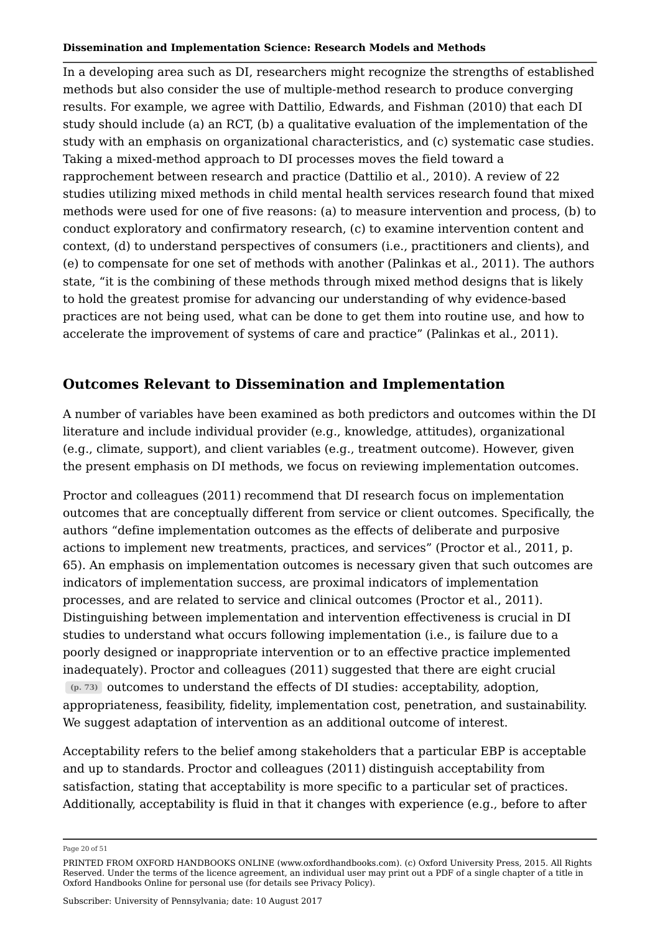In a developing area such as DI, researchers might recognize the strengths of established methods but also consider the use of multiple-method research to produce converging results. For example, we agree with Dattilio, Edwards, and Fishman (2010) that each DI study should include (a) an RCT, (b) a qualitative evaluation of the implementation of the study with an emphasis on organizational characteristics, and (c) systematic case studies. Taking a mixed-method approach to DI processes moves the field toward a rapprochement between research and practice (Dattilio et al., 2010). A review of 22 studies utilizing mixed methods in child mental health services research found that mixed methods were used for one of five reasons: (a) to measure intervention and process, (b) to conduct exploratory and confirmatory research, (c) to examine intervention content and context, (d) to understand perspectives of consumers (i.e., practitioners and clients), and (e) to compensate for one set of methods with another (Palinkas et al., 2011). The authors state, "it is the combining of these methods through mixed method designs that is likely to hold the greatest promise for advancing our understanding of why evidence-based practices are not being used, what can be done to get them into routine use, and how to accelerate the improvement of systems of care and practice" (Palinkas et al., 2011).

# **Outcomes Relevant to Dissemination and Implementation**

A number of variables have been examined as both predictors and outcomes within the DI literature and include individual provider (e.g., knowledge, attitudes), organizational (e.g., climate, support), and client variables (e.g., treatment outcome). However, given the present emphasis on DI methods, we focus on reviewing implementation outcomes.

Proctor and colleagues (2011) recommend that DI research focus on implementation outcomes that are conceptually different from service or client outcomes. Specifically, the authors "define implementation outcomes as the effects of deliberate and purposive actions to implement new treatments, practices, and services" (Proctor et al., 2011, p. 65). An emphasis on implementation outcomes is necessary given that such outcomes are indicators of implementation success, are proximal indicators of implementation processes, and are related to service and clinical outcomes (Proctor et al., 2011). Distinguishing between implementation and intervention effectiveness is crucial in DI studies to understand what occurs following implementation (i.e., is failure due to a poorly designed or inappropriate intervention or to an effective practice implemented inadequately). Proctor and colleagues (2011) suggested that there are eight crucial outcomes to understand the effects of DI studies: acceptability, adoption, **(p. 73)** appropriateness, feasibility, fidelity, implementation cost, penetration, and sustainability. We suggest adaptation of intervention as an additional outcome of interest.

Acceptability refers to the belief among stakeholders that a particular EBP is acceptable and up to standards. Proctor and colleagues (2011) distinguish acceptability from satisfaction, stating that acceptability is more specific to a particular set of practices. Additionally, acceptability is fluid in that it changes with experience (e.g., before to after

Page 20 of 51

PRINTED FROM OXFORD HANDBOOKS ONLINE (www.oxfordhandbooks.com). (c) Oxford University Press, 2015. All Rights Reserved. Under the terms of the licence agreement, an individual user may print out a PDF of a single chapter of a title in Oxford Handbooks Online for personal use (for details see Privacy Policy).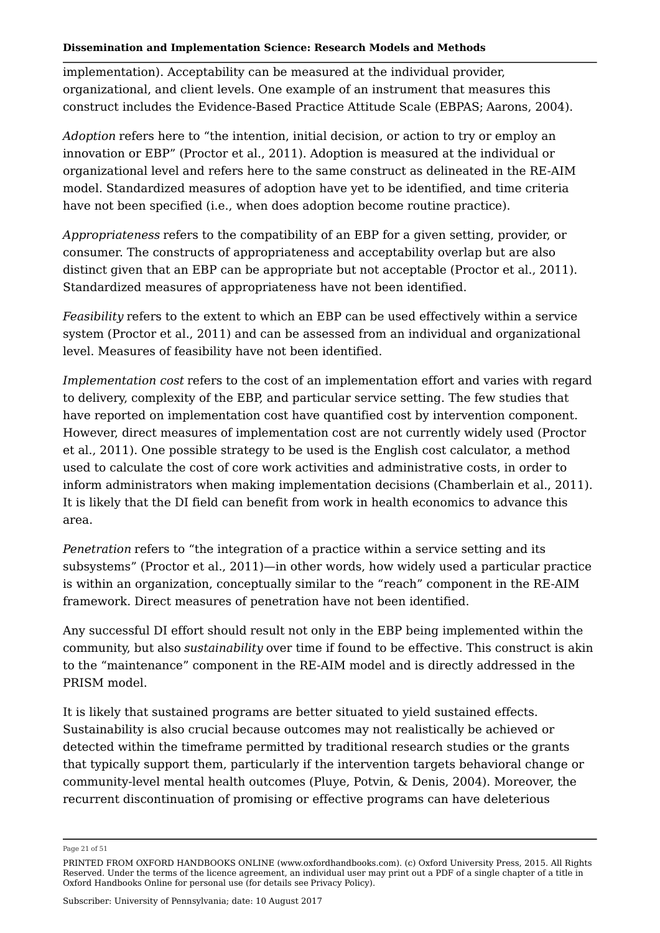implementation). Acceptability can be measured at the individual provider, organizational, and client levels. One example of an instrument that measures this construct includes the Evidence-Based Practice Attitude Scale (EBPAS; Aarons, 2004).

*Adoption* refers here to "the intention, initial decision, or action to try or employ an innovation or EBP" (Proctor et al., 2011). Adoption is measured at the individual or organizational level and refers here to the same construct as delineated in the RE-AIM model. Standardized measures of adoption have yet to be identified, and time criteria have not been specified (i.e., when does adoption become routine practice).

*Appropriateness* refers to the compatibility of an EBP for a given setting, provider, or consumer. The constructs of appropriateness and acceptability overlap but are also distinct given that an EBP can be appropriate but not acceptable (Proctor et al., 2011). Standardized measures of appropriateness have not been identified.

*Feasibility* refers to the extent to which an EBP can be used effectively within a service system (Proctor et al., 2011) and can be assessed from an individual and organizational level. Measures of feasibility have not been identified.

*Implementation cost* refers to the cost of an implementation effort and varies with regard to delivery, complexity of the EBP, and particular service setting. The few studies that have reported on implementation cost have quantified cost by intervention component. However, direct measures of implementation cost are not currently widely used (Proctor et al., 2011). One possible strategy to be used is the English cost calculator, a method used to calculate the cost of core work activities and administrative costs, in order to inform administrators when making implementation decisions (Chamberlain et al., 2011). It is likely that the DI field can benefit from work in health economics to advance this area.

*Penetration* refers to "the integration of a practice within a service setting and its subsystems" (Proctor et al., 2011)—in other words, how widely used a particular practice is within an organization, conceptually similar to the "reach" component in the RE-AIM framework. Direct measures of penetration have not been identified.

Any successful DI effort should result not only in the EBP being implemented within the community, but also *sustainability* over time if found to be effective. This construct is akin to the "maintenance" component in the RE-AIM model and is directly addressed in the PRISM model.

It is likely that sustained programs are better situated to yield sustained effects. Sustainability is also crucial because outcomes may not realistically be achieved or detected within the timeframe permitted by traditional research studies or the grants that typically support them, particularly if the intervention targets behavioral change or community-level mental health outcomes (Pluye, Potvin, & Denis, 2004). Moreover, the recurrent discontinuation of promising or effective programs can have deleterious

Page 21 of 51

PRINTED FROM OXFORD HANDBOOKS ONLINE (www.oxfordhandbooks.com). (c) Oxford University Press, 2015. All Rights Reserved. Under the terms of the licence agreement, an individual user may print out a PDF of a single chapter of a title in Oxford Handbooks Online for personal use (for details see Privacy Policy).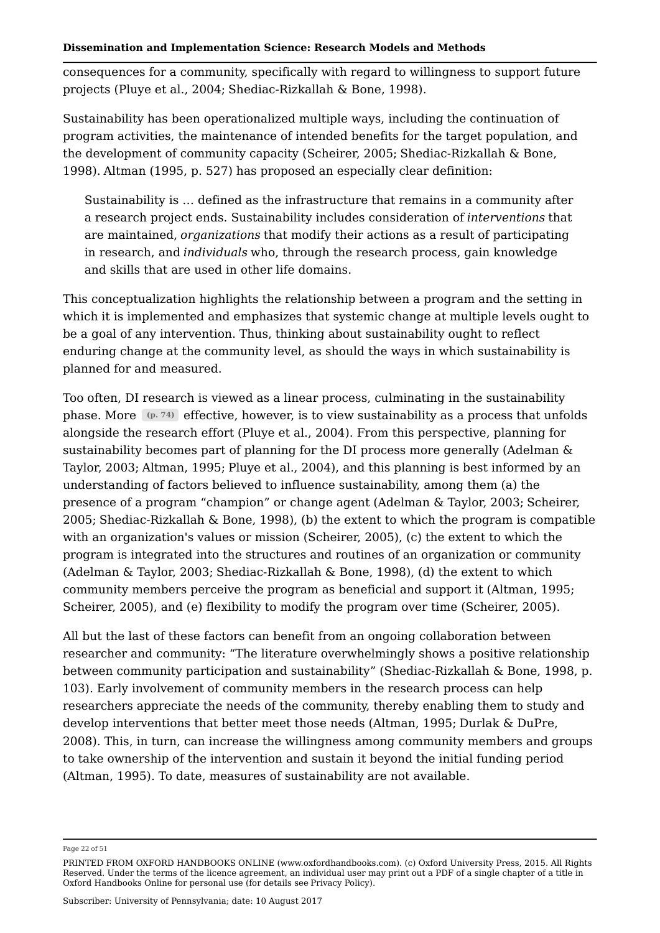consequences for a community, specifically with regard to willingness to support future projects (Pluye et al., 2004; Shediac-Rizkallah & Bone, 1998).

Sustainability has been operationalized multiple ways, including the continuation of program activities, the maintenance of intended benefits for the target population, and the development of community capacity (Scheirer, 2005; Shediac-Rizkallah & Bone, 1998). Altman (1995, p. 527) has proposed an especially clear definition:

Sustainability is … defined as the infrastructure that remains in a community after a research project ends. Sustainability includes consideration of *interventions* that are maintained, *organizations* that modify their actions as a result of participating in research, and *individuals* who, through the research process, gain knowledge and skills that are used in other life domains.

This conceptualization highlights the relationship between a program and the setting in which it is implemented and emphasizes that systemic change at multiple levels ought to be a goal of any intervention. Thus, thinking about sustainability ought to reflect enduring change at the community level, as should the ways in which sustainability is planned for and measured.

Too often, DI research is viewed as a linear process, culminating in the sustainability phase. More  $(\mathbf{p} \cdot \mathbf{z}_4)$  effective, however, is to view sustainability as a process that unfolds alongside the research effort (Pluye et al., 2004). From this perspective, planning for sustainability becomes part of planning for the DI process more generally (Adelman & Taylor, 2003; Altman, 1995; Pluye et al., 2004), and this planning is best informed by an understanding of factors believed to influence sustainability, among them (a) the presence of a program "champion" or change agent (Adelman & Taylor, 2003; Scheirer, 2005; Shediac-Rizkallah & Bone, 1998), (b) the extent to which the program is compatible with an organization's values or mission (Scheirer, 2005), (c) the extent to which the program is integrated into the structures and routines of an organization or community (Adelman & Taylor, 2003; Shediac-Rizkallah & Bone, 1998), (d) the extent to which community members perceive the program as beneficial and support it (Altman, 1995; Scheirer, 2005), and (e) flexibility to modify the program over time (Scheirer, 2005).

All but the last of these factors can benefit from an ongoing collaboration between researcher and community: "The literature overwhelmingly shows a positive relationship between community participation and sustainability" (Shediac-Rizkallah & Bone, 1998, p. 103). Early involvement of community members in the research process can help researchers appreciate the needs of the community, thereby enabling them to study and develop interventions that better meet those needs (Altman, 1995; Durlak & DuPre, 2008). This, in turn, can increase the willingness among community members and groups to take ownership of the intervention and sustain it beyond the initial funding period (Altman, 1995). To date, measures of sustainability are not available.

Page 22 of 51

PRINTED FROM OXFORD HANDBOOKS ONLINE (www.oxfordhandbooks.com). (c) Oxford University Press, 2015. All Rights Reserved. Under the terms of the licence agreement, an individual user may print out a PDF of a single chapter of a title in Oxford Handbooks Online for personal use (for details see Privacy Policy).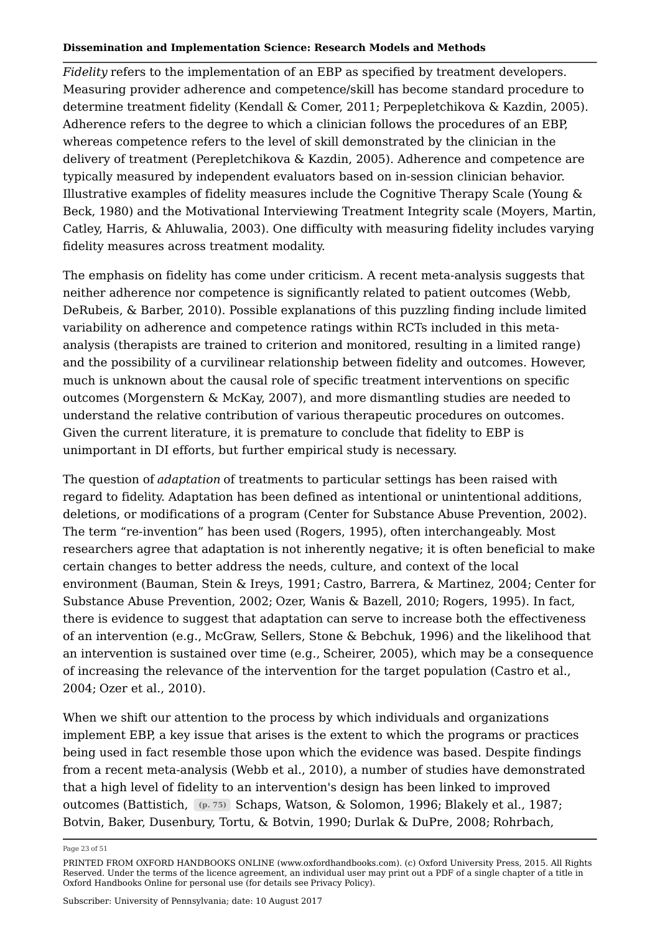*Fidelity* refers to the implementation of an EBP as specified by treatment developers. Measuring provider adherence and competence/skill has become standard procedure to determine treatment fidelity (Kendall & Comer, 2011; Perpepletchikova & Kazdin, 2005). Adherence refers to the degree to which a clinician follows the procedures of an EBP, whereas competence refers to the level of skill demonstrated by the clinician in the delivery of treatment (Perepletchikova & Kazdin, 2005). Adherence and competence are typically measured by independent evaluators based on in-session clinician behavior. Illustrative examples of fidelity measures include the Cognitive Therapy Scale (Young & Beck, 1980) and the Motivational Interviewing Treatment Integrity scale (Moyers, Martin, Catley, Harris, & Ahluwalia, 2003). One difficulty with measuring fidelity includes varying fidelity measures across treatment modality.

The emphasis on fidelity has come under criticism. A recent meta-analysis suggests that neither adherence nor competence is significantly related to patient outcomes (Webb, DeRubeis, & Barber, 2010). Possible explanations of this puzzling finding include limited variability on adherence and competence ratings within RCTs included in this metaanalysis (therapists are trained to criterion and monitored, resulting in a limited range) and the possibility of a curvilinear relationship between fidelity and outcomes. However, much is unknown about the causal role of specific treatment interventions on specific outcomes (Morgenstern & McKay, 2007), and more dismantling studies are needed to understand the relative contribution of various therapeutic procedures on outcomes. Given the current literature, it is premature to conclude that fidelity to EBP is unimportant in DI efforts, but further empirical study is necessary.

The question of *adaptation* of treatments to particular settings has been raised with regard to fidelity. Adaptation has been defined as intentional or unintentional additions, deletions, or modifications of a program (Center for Substance Abuse Prevention, 2002). The term "re-invention" has been used (Rogers, 1995), often interchangeably. Most researchers agree that adaptation is not inherently negative; it is often beneficial to make certain changes to better address the needs, culture, and context of the local environment (Bauman, Stein & Ireys, 1991; Castro, Barrera, & Martinez, 2004; Center for Substance Abuse Prevention, 2002; Ozer, Wanis & Bazell, 2010; Rogers, 1995). In fact, there is evidence to suggest that adaptation can serve to increase both the effectiveness of an intervention (e.g., McGraw, Sellers, Stone & Bebchuk, 1996) and the likelihood that an intervention is sustained over time (e.g., Scheirer, 2005), which may be a consequence of increasing the relevance of the intervention for the target population (Castro et al., 2004; Ozer et al., 2010).

When we shift our attention to the process by which individuals and organizations implement EBP, a key issue that arises is the extent to which the programs or practices being used in fact resemble those upon which the evidence was based. Despite findings from a recent meta-analysis (Webb et al., 2010), a number of studies have demonstrated that a high level of fidelity to an intervention's design has been linked to improved outcomes (Battistich, Op. 75) Schaps, Watson, & Solomon, 1996; Blakely et al., 1987; Botvin, Baker, Dusenbury, Tortu, & Botvin, 1990; Durlak & DuPre, 2008; Rohrbach,

Page 23 of 51

PRINTED FROM OXFORD HANDBOOKS ONLINE (www.oxfordhandbooks.com). (c) Oxford University Press, 2015. All Rights Reserved. Under the terms of the licence agreement, an individual user may print out a PDF of a single chapter of a title in Oxford Handbooks Online for personal use (for details see Privacy Policy).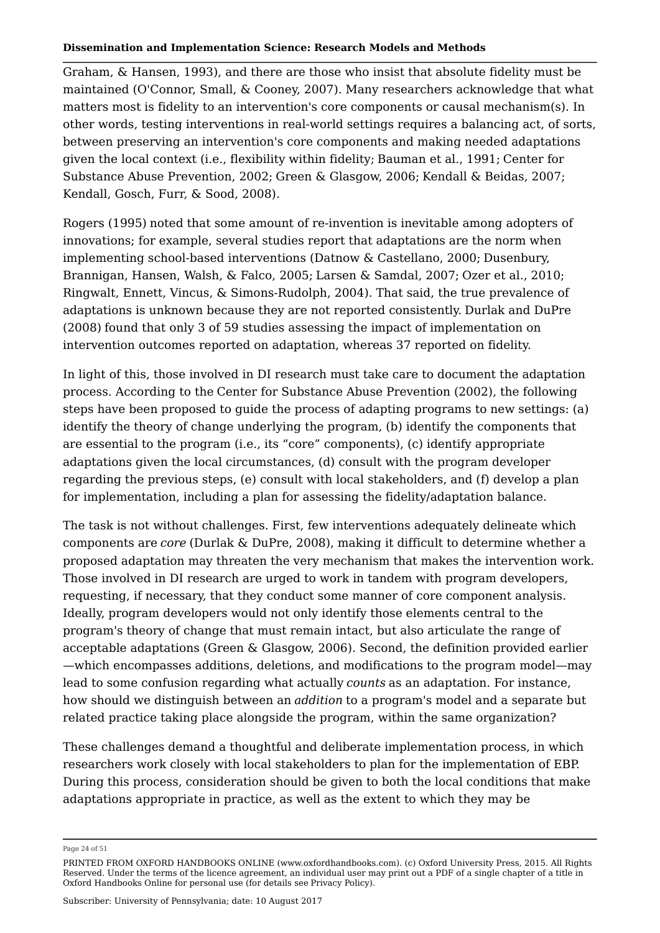Graham, & Hansen, 1993), and there are those who insist that absolute fidelity must be maintained (O'Connor, Small, & Cooney, 2007). Many researchers acknowledge that what matters most is fidelity to an intervention's core components or causal mechanism(s). In other words, testing interventions in real-world settings requires a balancing act, of sorts, between preserving an intervention's core components and making needed adaptations given the local context (i.e., flexibility within fidelity; Bauman et al., 1991; Center for Substance Abuse Prevention, 2002; Green & Glasgow, 2006; Kendall & Beidas, 2007; Kendall, Gosch, Furr, & Sood, 2008).

Rogers (1995) noted that some amount of re-invention is inevitable among adopters of innovations; for example, several studies report that adaptations are the norm when implementing school-based interventions (Datnow & Castellano, 2000; Dusenbury, Brannigan, Hansen, Walsh, & Falco, 2005; Larsen & Samdal, 2007; Ozer et al., 2010; Ringwalt, Ennett, Vincus, & Simons-Rudolph, 2004). That said, the true prevalence of adaptations is unknown because they are not reported consistently. Durlak and DuPre (2008) found that only 3 of 59 studies assessing the impact of implementation on intervention outcomes reported on adaptation, whereas 37 reported on fidelity.

In light of this, those involved in DI research must take care to document the adaptation process. According to the Center for Substance Abuse Prevention (2002), the following steps have been proposed to guide the process of adapting programs to new settings: (a) identify the theory of change underlying the program, (b) identify the components that are essential to the program (i.e., its "core" components), (c) identify appropriate adaptations given the local circumstances, (d) consult with the program developer regarding the previous steps, (e) consult with local stakeholders, and (f) develop a plan for implementation, including a plan for assessing the fidelity/adaptation balance.

The task is not without challenges. First, few interventions adequately delineate which components are *core* (Durlak & DuPre, 2008), making it difficult to determine whether a proposed adaptation may threaten the very mechanism that makes the intervention work. Those involved in DI research are urged to work in tandem with program developers, requesting, if necessary, that they conduct some manner of core component analysis. Ideally, program developers would not only identify those elements central to the program's theory of change that must remain intact, but also articulate the range of acceptable adaptations (Green & Glasgow, 2006). Second, the definition provided earlier —which encompasses additions, deletions, and modifications to the program model—may lead to some confusion regarding what actually *counts* as an adaptation. For instance, how should we distinguish between an *addition* to a program's model and a separate but related practice taking place alongside the program, within the same organization?

These challenges demand a thoughtful and deliberate implementation process, in which researchers work closely with local stakeholders to plan for the implementation of EBP. During this process, consideration should be given to both the local conditions that make adaptations appropriate in practice, as well as the extent to which they may be

Page 24 of 51

PRINTED FROM OXFORD HANDBOOKS ONLINE (www.oxfordhandbooks.com). (c) Oxford University Press, 2015. All Rights Reserved. Under the terms of the licence agreement, an individual user may print out a PDF of a single chapter of a title in Oxford Handbooks Online for personal use (for details see Privacy Policy).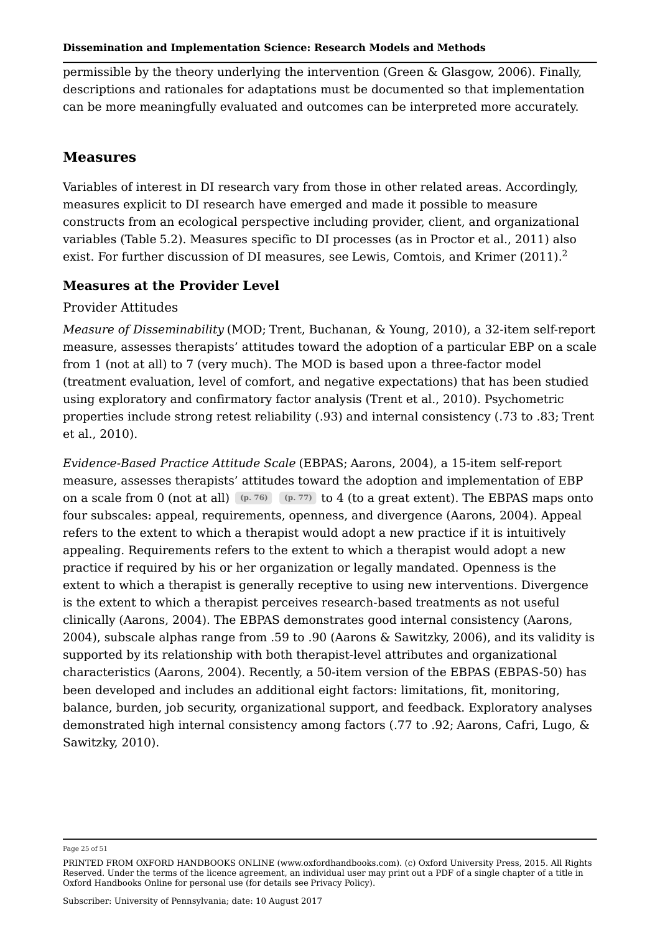permissible by the theory underlying the intervention (Green & Glasgow, 2006). Finally, descriptions and rationales for adaptations must be documented so that implementation can be more meaningfully evaluated and outcomes can be interpreted more accurately.

# **Measures**

Variables of interest in DI research vary from those in other related areas. Accordingly, measures explicit to DI research have emerged and made it possible to measure constructs from an ecological perspective including provider, client, and organizational variables (Table 5.2). Measures specific to DI processes (as in Proctor et al., 2011) also exist. For further discussion of DI measures, see Lewis, Comtois, and Krimer (2011).<sup>2</sup> 2

# **Measures at the Provider Level**

## Provider Attitudes

*Measure of Disseminability* (MOD; Trent, Buchanan, & Young, 2010), a 32-item self-report measure, assesses therapists' attitudes toward the adoption of a particular EBP on a scale from 1 (not at all) to 7 (very much). The MOD is based upon a three-factor model (treatment evaluation, level of comfort, and negative expectations) that has been studied using exploratory and confirmatory factor analysis (Trent et al., 2010). Psychometric properties include strong retest reliability (.93) and internal consistency (.73 to .83; Trent et al., 2010).

*Evidence-Based Practice Attitude Scale* (EBPAS; Aarons, 2004), a 15-item self-report measure, assesses therapists' attitudes toward the adoption and implementation of EBP on a scale from 0 (not at all)  $(p. 76)$   $(p. 77)$  to 4 (to a great extent). The EBPAS maps onto four subscales: appeal, requirements, openness, and divergence (Aarons, 2004). Appeal refers to the extent to which a therapist would adopt a new practice if it is intuitively appealing. Requirements refers to the extent to which a therapist would adopt a new practice if required by his or her organization or legally mandated. Openness is the extent to which a therapist is generally receptive to using new interventions. Divergence is the extent to which a therapist perceives research-based treatments as not useful clinically (Aarons, 2004). The EBPAS demonstrates good internal consistency (Aarons, 2004), subscale alphas range from .59 to .90 (Aarons & Sawitzky, 2006), and its validity is supported by its relationship with both therapist-level attributes and organizational characteristics (Aarons, 2004). Recently, a 50-item version of the EBPAS (EBPAS-50) has been developed and includes an additional eight factors: limitations, fit, monitoring, balance, burden, job security, organizational support, and feedback. Exploratory analyses demonstrated high internal consistency among factors (.77 to .92; Aarons, Cafri, Lugo, & Sawitzky, 2010).

Page 25 of 51

PRINTED FROM OXFORD HANDBOOKS ONLINE (www.oxfordhandbooks.com). (c) Oxford University Press, 2015. All Rights Reserved. Under the terms of the licence agreement, an individual user may print out a PDF of a single chapter of a title in Oxford Handbooks Online for personal use (for details see Privacy Policy).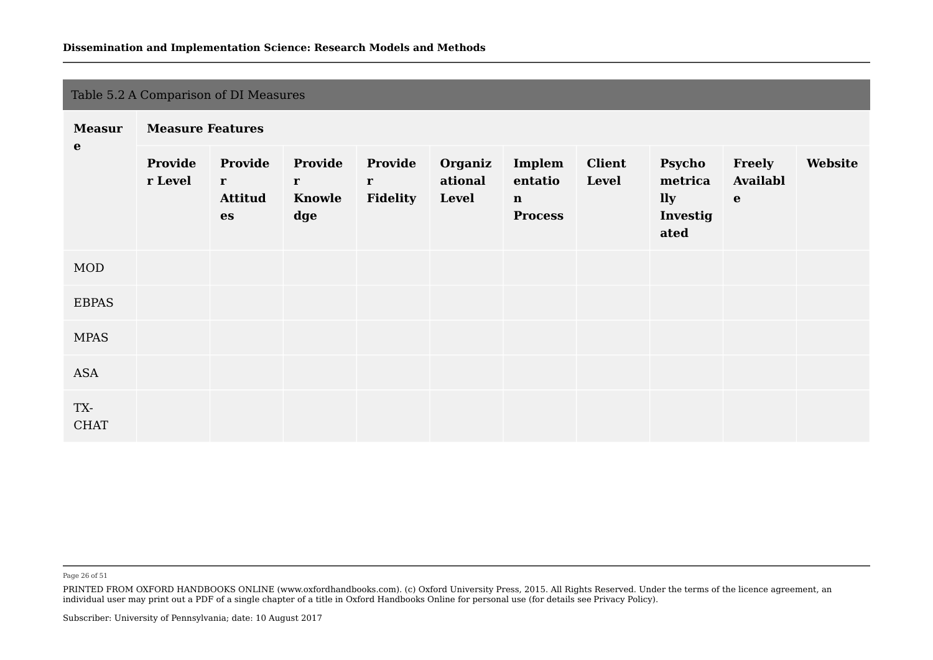## Table 5.2 A Comparison of DI Measures

| <b>Measur</b>      | <b>Measure Features</b> |                                                                                   |                                |                                                                                     |                             |                                                     |                        |                                                                                                                                                                |                                    |         |
|--------------------|-------------------------|-----------------------------------------------------------------------------------|--------------------------------|-------------------------------------------------------------------------------------|-----------------------------|-----------------------------------------------------|------------------------|----------------------------------------------------------------------------------------------------------------------------------------------------------------|------------------------------------|---------|
| $\mathbf{e}$       | Provide<br>r Level      | Provide<br>$\mathbf{r}$ and $\mathbf{r}$ and $\mathbf{r}$<br><b>Attitud</b><br>es | Provide<br>$\mathbf{r}$<br>dge | Provide<br>$\mathbf{r}$ and $\mathbf{r}$ and $\mathbf{r}$<br><b>Knowle</b> Fidelity | Organiz<br>ational<br>Level | Implem<br>entatio<br>$\mathbf{n}$<br><b>Process</b> | <b>Client</b><br>Level | Psycho<br>metrica<br>lly the same of the same of the same of the same of the same of the same of the same of the same of the same o<br><b>Investig</b><br>ated | Freely<br>Availabl<br>$\mathbf{e}$ | Website |
| <b>MOD</b>         |                         |                                                                                   |                                |                                                                                     |                             |                                                     |                        |                                                                                                                                                                |                                    |         |
| <b>EBPAS</b>       |                         |                                                                                   |                                |                                                                                     |                             |                                                     |                        |                                                                                                                                                                |                                    |         |
| <b>MPAS</b>        |                         |                                                                                   |                                |                                                                                     |                             |                                                     |                        |                                                                                                                                                                |                                    |         |
| ASA                |                         |                                                                                   |                                |                                                                                     |                             |                                                     |                        |                                                                                                                                                                |                                    |         |
| TX-<br><b>CHAT</b> |                         |                                                                                   |                                |                                                                                     |                             |                                                     |                        |                                                                                                                                                                |                                    |         |

Page 26 of 51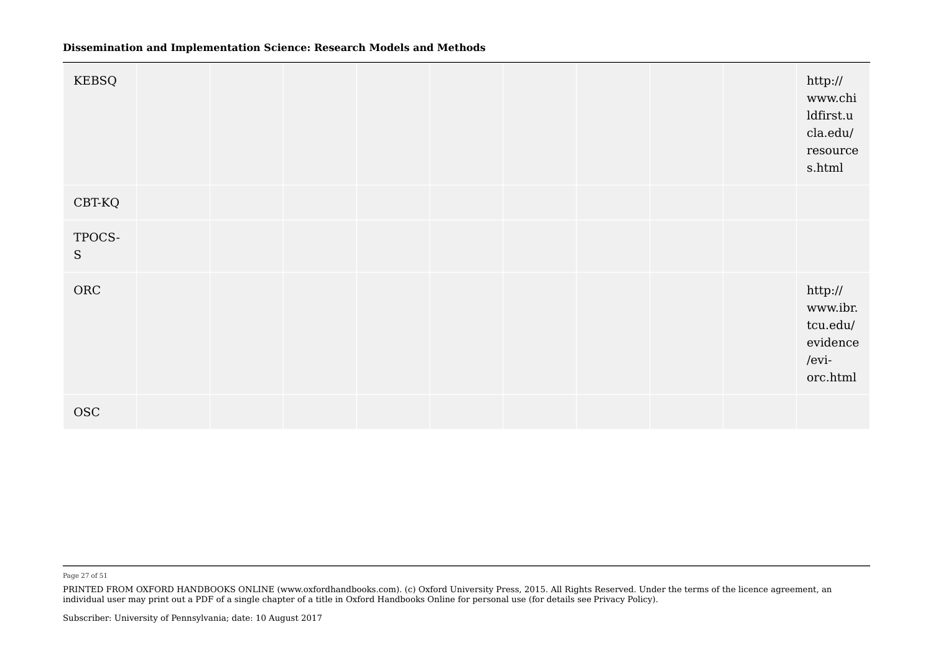| KEBSQ       |  |  |  |  | http://<br>www.chi<br>ldfirst.u<br>cla.edu/<br>resource<br>s.html |  |
|-------------|--|--|--|--|-------------------------------------------------------------------|--|
| CBT-KQ      |  |  |  |  |                                                                   |  |
| TPOCS-<br>S |  |  |  |  |                                                                   |  |
| ORC         |  |  |  |  | http://<br>www.ibr.<br>tcu.edu/<br>evidence<br>/evi-<br>orc.html  |  |
| <b>OSC</b>  |  |  |  |  |                                                                   |  |

Page 27 of 51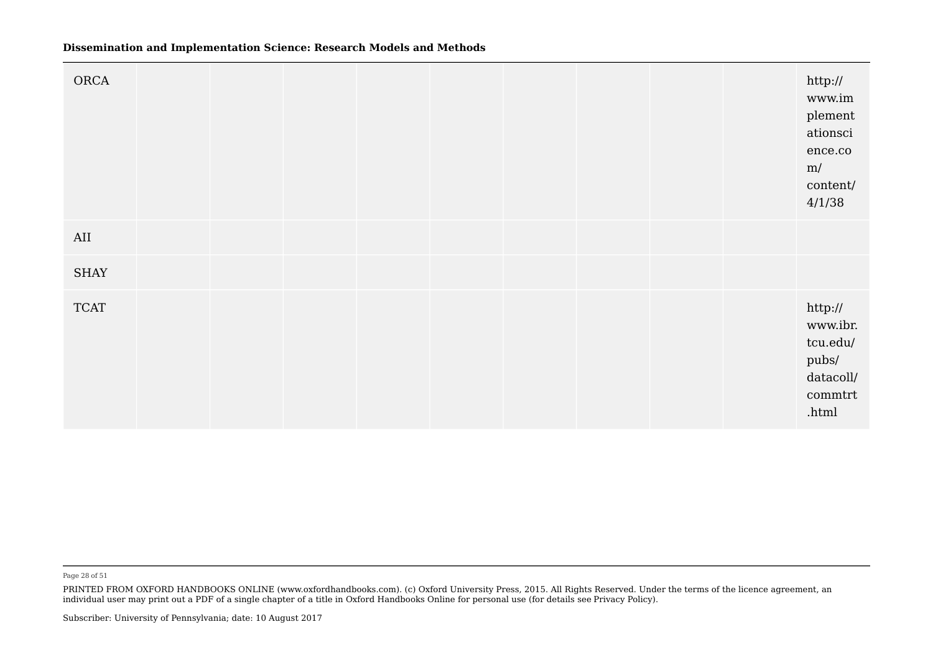| ORCA        |  | http://<br>www.im<br>plement<br>$\,$ ationsci<br>$\text{ence.co}$<br>m/<br>$\text{content}/$<br>4/1/38                      |  |
|-------------|--|-----------------------------------------------------------------------------------------------------------------------------|--|
| ${\rm AII}$ |  |                                                                                                                             |  |
| <b>SHAY</b> |  |                                                                                                                             |  |
| <b>TCAT</b> |  | http://<br>www.ibr.<br>$\ensuremath{\text{tcu.edu}}\xspace/\xspace$<br>pubs/<br>$\mbox{datacoll/}$<br>$\,$ commtrt<br>.html |  |

Page 28 of 51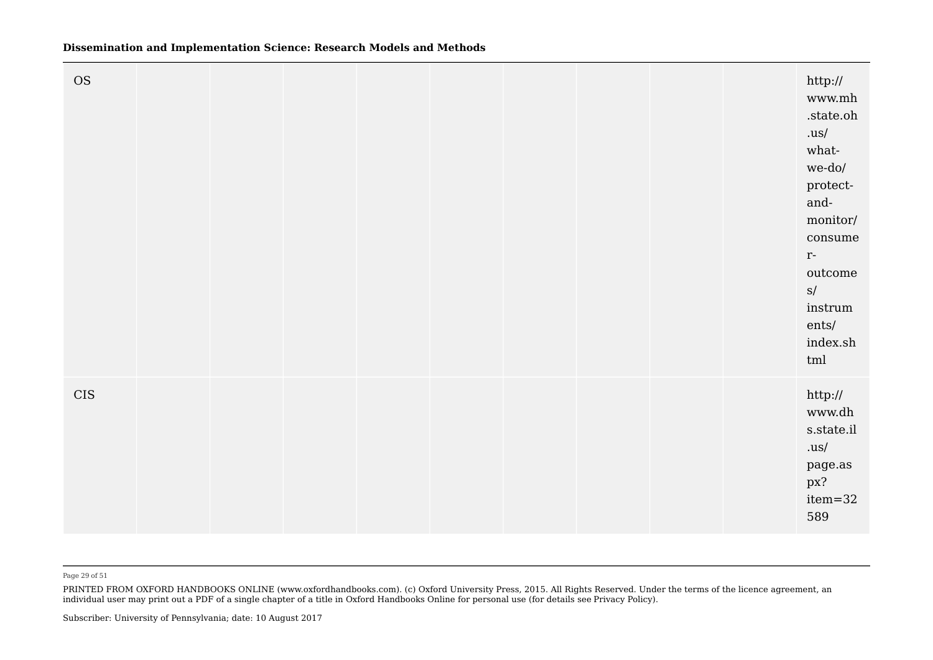Page 29 of 51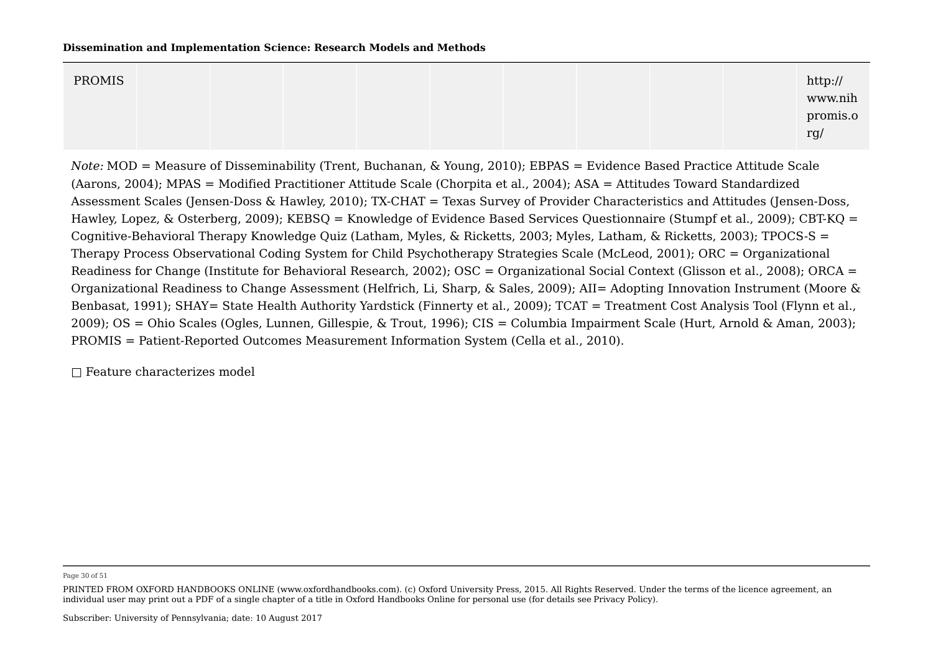| PROMIS<br>http://<br>www.nih<br>promis.o |
|------------------------------------------|
|                                          |
|                                          |
|                                          |
| $\frac{rg}{ }$                           |

*Note:* MOD = Measure of Disseminability (Trent, Buchanan, & Young, 2010); EBPAS = Evidence Based Practice Attitude Scale (Aarons, 2004); MPAS = Modified Practitioner Attitude Scale (Chorpita et al., 2004); ASA = Attitudes Toward Standardized Assessment Scales (Jensen-Doss & Hawley, 2010); TX-CHAT = Texas Survey of Provider Characteristics and Attitudes (Jensen-Doss, Hawley, Lopez, & Osterberg, 2009); KEBSQ = Knowledge of Evidence Based Services Questionnaire (Stumpf et al., 2009); CBT-KQ = Cognitive-Behavioral Therapy Knowledge Quiz (Latham, Myles, & Ricketts, 2003; Myles, Latham, & Ricketts, 2003); TPOCS-S = Therapy Process Observational Coding System for Child Psychotherapy Strategies Scale (McLeod, 2001); ORC = Organizational Readiness for Change (Institute for Behavioral Research, 2002); OSC = Organizational Social Context (Glisson et al., 2008); ORCA = Organizational Readiness to Change Assessment (Helfrich, Li, Sharp, & Sales, 2009); AII= Adopting Innovation Instrument (Moore & Benbasat, 1991); SHAY= State Health Authority Yardstick (Finnerty et al., 2009); TCAT = Treatment Cost Analysis Tool (Flynn et al., 2009); OS = Ohio Scales (Ogles, Lunnen, Gillespie, & Trout, 1996); CIS = Columbia Impairment Scale (Hurt, Arnold & Aman, 2003); PROMIS = Patient-Reported Outcomes Measurement Information System (Cella et al., 2010).

 $\Box$  Feature characterizes model

Page 30 of 51

PRINTED FROM OXFORD HANDBOOKS ONLINE (www.oxfordhandbooks.com). (c) Oxford University Press, 2015. All Rights Reserved. Under the terms of the licence agreement, an individual user may print out a PDF of a single chapter of a title in Oxford Handbooks Online for personal use (for details see Privacy Policy).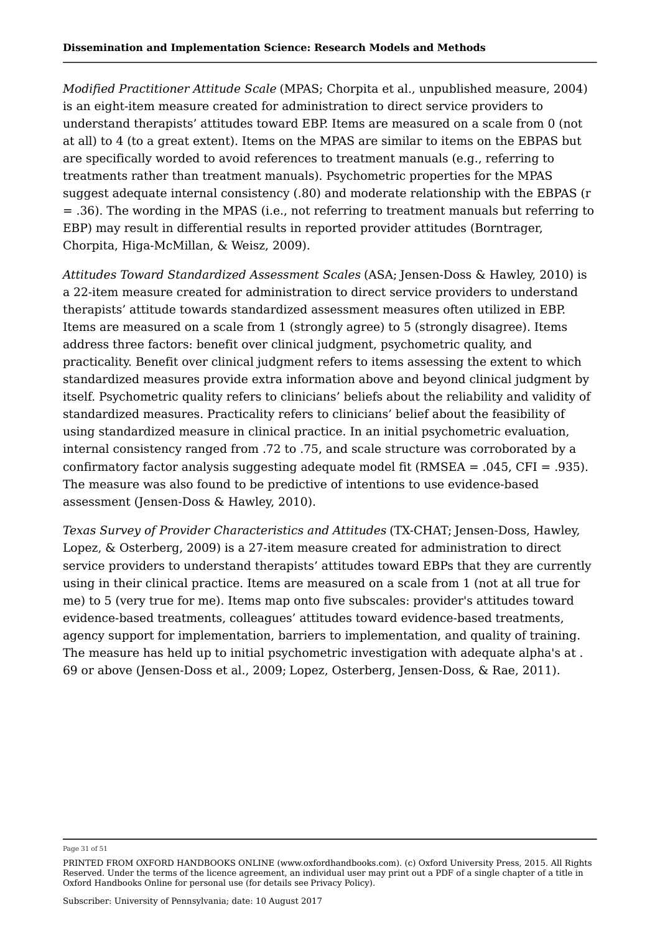*Modified Practitioner Attitude Scale* (MPAS; Chorpita et al., unpublished measure, 2004) is an eight-item measure created for administration to direct service providers to understand therapists' attitudes toward EBP. Items are measured on a scale from 0 (not at all) to 4 (to a great extent). Items on the MPAS are similar to items on the EBPAS but are specifically worded to avoid references to treatment manuals (e.g., referring to treatments rather than treatment manuals). Psychometric properties for the MPAS suggest adequate internal consistency (.80) and moderate relationship with the EBPAS (r = .36). The wording in the MPAS (i.e., not referring to treatment manuals but referring to EBP) may result in differential results in reported provider attitudes (Borntrager, Chorpita, Higa-McMillan, & Weisz, 2009).

*Attitudes Toward Standardized Assessment Scales* (ASA; Jensen-Doss & Hawley, 2010) is a 22-item measure created for administration to direct service providers to understand therapists' attitude towards standardized assessment measures often utilized in EBP. Items are measured on a scale from 1 (strongly agree) to 5 (strongly disagree). Items address three factors: benefit over clinical judgment, psychometric quality, and practicality. Benefit over clinical judgment refers to items assessing the extent to which standardized measures provide extra information above and beyond clinical judgment by itself. Psychometric quality refers to clinicians' beliefs about the reliability and validity of standardized measures. Practicality refers to clinicians' belief about the feasibility of using standardized measure in clinical practice. In an initial psychometric evaluation, internal consistency ranged from .72 to .75, and scale structure was corroborated by a confirmatory factor analysis suggesting adequate model fit (RMSEA = .045, CFI = .935). The measure was also found to be predictive of intentions to use evidence-based assessment (Jensen-Doss & Hawley, 2010).

*Texas Survey of Provider Characteristics and Attitudes* (TX-CHAT; Jensen-Doss, Hawley, Lopez, & Osterberg, 2009) is a 27-item measure created for administration to direct service providers to understand therapists' attitudes toward EBPs that they are currently using in their clinical practice. Items are measured on a scale from 1 (not at all true for me) to 5 (very true for me). Items map onto five subscales: provider's attitudes toward evidence-based treatments, colleagues' attitudes toward evidence-based treatments, agency support for implementation, barriers to implementation, and quality of training. The measure has held up to initial psychometric investigation with adequate alpha's at . 69 or above (Jensen-Doss et al., 2009; Lopez, Osterberg, Jensen-Doss, & Rae, 2011).

Page 31 of 51

PRINTED FROM OXFORD HANDBOOKS ONLINE (www.oxfordhandbooks.com). (c) Oxford University Press, 2015. All Rights Reserved. Under the terms of the licence agreement, an individual user may print out a PDF of a single chapter of a title in Oxford Handbooks Online for personal use (for details see Privacy Policy).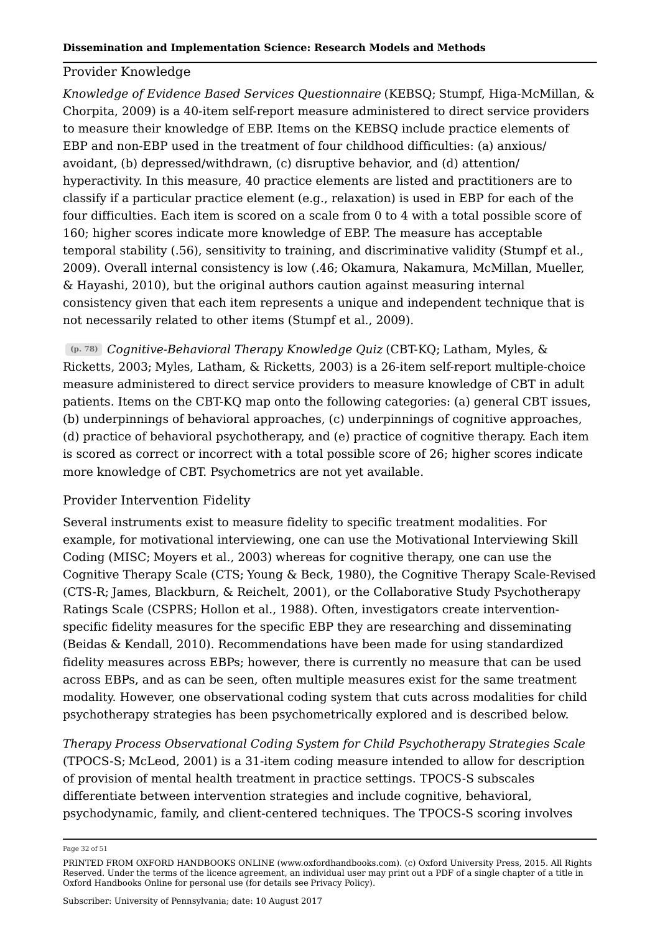## Provider Knowledge

*Knowledge of Evidence Based Services Questionnaire* (KEBSQ; Stumpf, Higa-McMillan, & Chorpita, 2009) is a 40-item self-report measure administered to direct service providers to measure their knowledge of EBP. Items on the KEBSQ include practice elements of EBP and non-EBP used in the treatment of four childhood difficulties: (a) anxious/ avoidant, (b) depressed/withdrawn, (c) disruptive behavior, and (d) attention/ hyperactivity. In this measure, 40 practice elements are listed and practitioners are to classify if a particular practice element (e.g., relaxation) is used in EBP for each of the four difficulties. Each item is scored on a scale from 0 to 4 with a total possible score of 160; higher scores indicate more knowledge of EBP. The measure has acceptable temporal stability (.56), sensitivity to training, and discriminative validity (Stumpf et al., 2009). Overall internal consistency is low (.46; Okamura, Nakamura, McMillan, Mueller, & Hayashi, 2010), but the original authors caution against measuring internal consistency given that each item represents a unique and independent technique that is not necessarily related to other items (Stumpf et al., 2009).

*Cognitive-Behavioral Therapy Knowledge Quiz* (CBT-KQ; Latham, Myles, & **(p. 78)** Ricketts, 2003; Myles, Latham, & Ricketts, 2003) is a 26-item self-report multiple-choice measure administered to direct service providers to measure knowledge of CBT in adult patients. Items on the CBT-KQ map onto the following categories: (a) general CBT issues, (b) underpinnings of behavioral approaches, (c) underpinnings of cognitive approaches, (d) practice of behavioral psychotherapy, and (e) practice of cognitive therapy. Each item is scored as correct or incorrect with a total possible score of 26; higher scores indicate more knowledge of CBT. Psychometrics are not yet available.

## Provider Intervention Fidelity

Several instruments exist to measure fidelity to specific treatment modalities. For example, for motivational interviewing, one can use the Motivational Interviewing Skill Coding (MISC; Moyers et al., 2003) whereas for cognitive therapy, one can use the Cognitive Therapy Scale (CTS; Young & Beck, 1980), the Cognitive Therapy Scale-Revised (CTS-R; James, Blackburn, & Reichelt, 2001), or the Collaborative Study Psychotherapy Ratings Scale (CSPRS; Hollon et al., 1988). Often, investigators create interventionspecific fidelity measures for the specific EBP they are researching and disseminating (Beidas & Kendall, 2010). Recommendations have been made for using standardized fidelity measures across EBPs; however, there is currently no measure that can be used across EBPs, and as can be seen, often multiple measures exist for the same treatment modality. However, one observational coding system that cuts across modalities for child psychotherapy strategies has been psychometrically explored and is described below.

*Therapy Process Observational Coding System for Child Psychotherapy Strategies Scale* (TPOCS-S; McLeod, 2001) is a 31-item coding measure intended to allow for description of provision of mental health treatment in practice settings. TPOCS-S subscales differentiate between intervention strategies and include cognitive, behavioral, psychodynamic, family, and client-centered techniques. The TPOCS-S scoring involves

Page 32 of 51

PRINTED FROM OXFORD HANDBOOKS ONLINE (www.oxfordhandbooks.com). (c) Oxford University Press, 2015. All Rights Reserved. Under the terms of the licence agreement, an individual user may print out a PDF of a single chapter of a title in Oxford Handbooks Online for personal use (for details see Privacy Policy).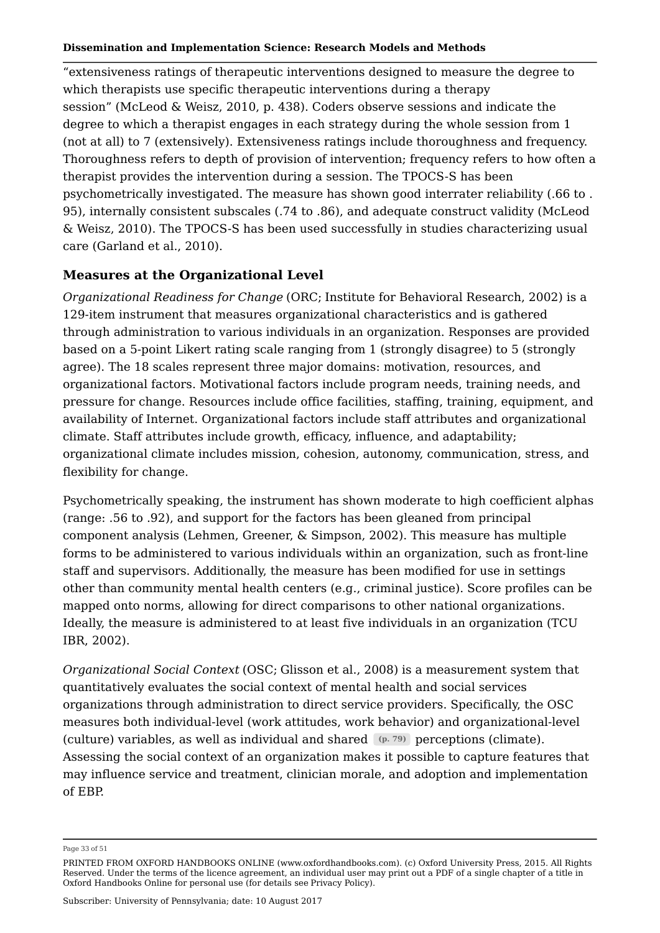"extensiveness ratings of therapeutic interventions designed to measure the degree to which therapists use specific therapeutic interventions during a therapy session" (McLeod & Weisz, 2010, p. 438). Coders observe sessions and indicate the degree to which a therapist engages in each strategy during the whole session from 1 (not at all) to 7 (extensively). Extensiveness ratings include thoroughness and frequency. Thoroughness refers to depth of provision of intervention; frequency refers to how often a therapist provides the intervention during a session. The TPOCS-S has been psychometrically investigated. The measure has shown good interrater reliability (.66 to . 95), internally consistent subscales (.74 to .86), and adequate construct validity (McLeod & Weisz, 2010). The TPOCS-S has been used successfully in studies characterizing usual care (Garland et al., 2010).

# **Measures at the Organizational Level**

*Organizational Readiness for Change* (ORC; Institute for Behavioral Research, 2002) is a 129-item instrument that measures organizational characteristics and is gathered through administration to various individuals in an organization. Responses are provided based on a 5-point Likert rating scale ranging from 1 (strongly disagree) to 5 (strongly agree). The 18 scales represent three major domains: motivation, resources, and organizational factors. Motivational factors include program needs, training needs, and pressure for change. Resources include office facilities, staffing, training, equipment, and availability of Internet. Organizational factors include staff attributes and organizational climate. Staff attributes include growth, efficacy, influence, and adaptability; organizational climate includes mission, cohesion, autonomy, communication, stress, and flexibility for change.

Psychometrically speaking, the instrument has shown moderate to high coefficient alphas (range: .56 to .92), and support for the factors has been gleaned from principal component analysis (Lehmen, Greener, & Simpson, 2002). This measure has multiple forms to be administered to various individuals within an organization, such as front-line staff and supervisors. Additionally, the measure has been modified for use in settings other than community mental health centers (e.g., criminal justice). Score profiles can be mapped onto norms, allowing for direct comparisons to other national organizations. Ideally, the measure is administered to at least five individuals in an organization (TCU IBR, 2002).

*Organizational Social Context* (OSC; Glisson et al., 2008) is a measurement system that quantitatively evaluates the social context of mental health and social services organizations through administration to direct service providers. Specifically, the OSC measures both individual-level (work attitudes, work behavior) and organizational-level (culture) variables, as well as individual and shared portage perceptions (climate). Assessing the social context of an organization makes it possible to capture features that may influence service and treatment, clinician morale, and adoption and implementation of EBP.

Page 33 of 51

PRINTED FROM OXFORD HANDBOOKS ONLINE (www.oxfordhandbooks.com). (c) Oxford University Press, 2015. All Rights Reserved. Under the terms of the licence agreement, an individual user may print out a PDF of a single chapter of a title in Oxford Handbooks Online for personal use (for details see Privacy Policy).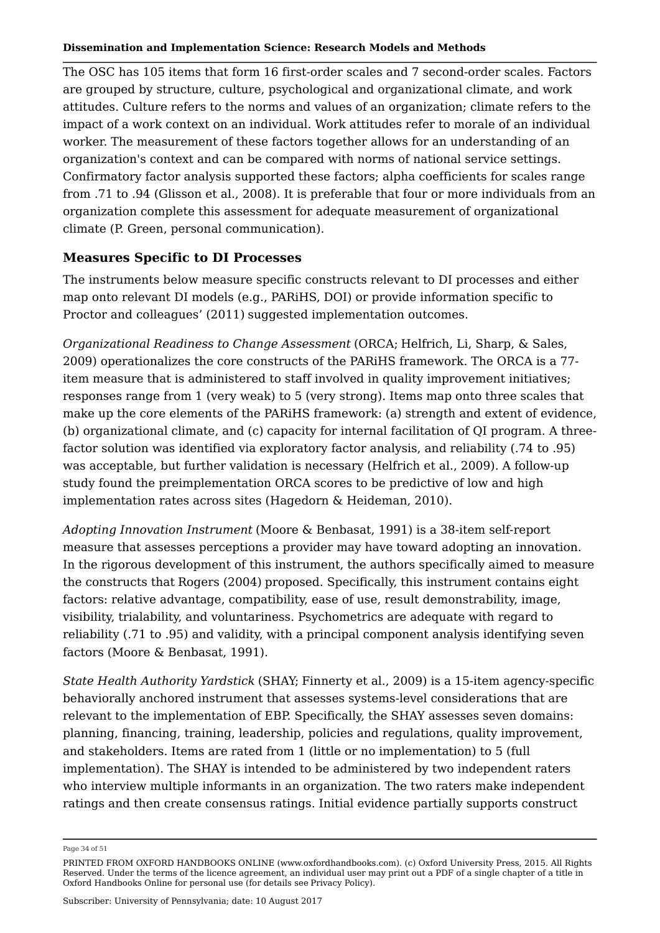The OSC has 105 items that form 16 first-order scales and 7 second-order scales. Factors are grouped by structure, culture, psychological and organizational climate, and work attitudes. Culture refers to the norms and values of an organization; climate refers to the impact of a work context on an individual. Work attitudes refer to morale of an individual worker. The measurement of these factors together allows for an understanding of an organization's context and can be compared with norms of national service settings. Confirmatory factor analysis supported these factors; alpha coefficients for scales range from .71 to .94 (Glisson et al., 2008). It is preferable that four or more individuals from an organization complete this assessment for adequate measurement of organizational climate (P. Green, personal communication).

## **Measures Specific to DI Processes**

The instruments below measure specific constructs relevant to DI processes and either map onto relevant DI models (e.g., PARiHS, DOI) or provide information specific to Proctor and colleagues' (2011) suggested implementation outcomes.

*Organizational Readiness to Change Assessment* (ORCA; Helfrich, Li, Sharp, & Sales, 2009) operationalizes the core constructs of the PARiHS framework. The ORCA is a 77 item measure that is administered to staff involved in quality improvement initiatives; responses range from 1 (very weak) to 5 (very strong). Items map onto three scales that make up the core elements of the PARiHS framework: (a) strength and extent of evidence, (b) organizational climate, and (c) capacity for internal facilitation of QI program. A threefactor solution was identified via exploratory factor analysis, and reliability (.74 to .95) was acceptable, but further validation is necessary (Helfrich et al., 2009). A follow-up study found the preimplementation ORCA scores to be predictive of low and high implementation rates across sites (Hagedorn & Heideman, 2010).

*Adopting Innovation Instrument* (Moore & Benbasat, 1991) is a 38-item self-report measure that assesses perceptions a provider may have toward adopting an innovation. In the rigorous development of this instrument, the authors specifically aimed to measure the constructs that Rogers (2004) proposed. Specifically, this instrument contains eight factors: relative advantage, compatibility, ease of use, result demonstrability, image, visibility, trialability, and voluntariness. Psychometrics are adequate with regard to reliability (.71 to .95) and validity, with a principal component analysis identifying seven factors (Moore & Benbasat, 1991).

*State Health Authority Yardstick* (SHAY; Finnerty et al., 2009) is a 15-item agency-specific behaviorally anchored instrument that assesses systems-level considerations that are relevant to the implementation of EBP. Specifically, the SHAY assesses seven domains: planning, financing, training, leadership, policies and regulations, quality improvement, and stakeholders. Items are rated from 1 (little or no implementation) to 5 (full implementation). The SHAY is intended to be administered by two independent raters who interview multiple informants in an organization. The two raters make independent ratings and then create consensus ratings. Initial evidence partially supports construct

Page 34 of 51

PRINTED FROM OXFORD HANDBOOKS ONLINE (www.oxfordhandbooks.com). (c) Oxford University Press, 2015. All Rights Reserved. Under the terms of the licence agreement, an individual user may print out a PDF of a single chapter of a title in Oxford Handbooks Online for personal use (for details see Privacy Policy).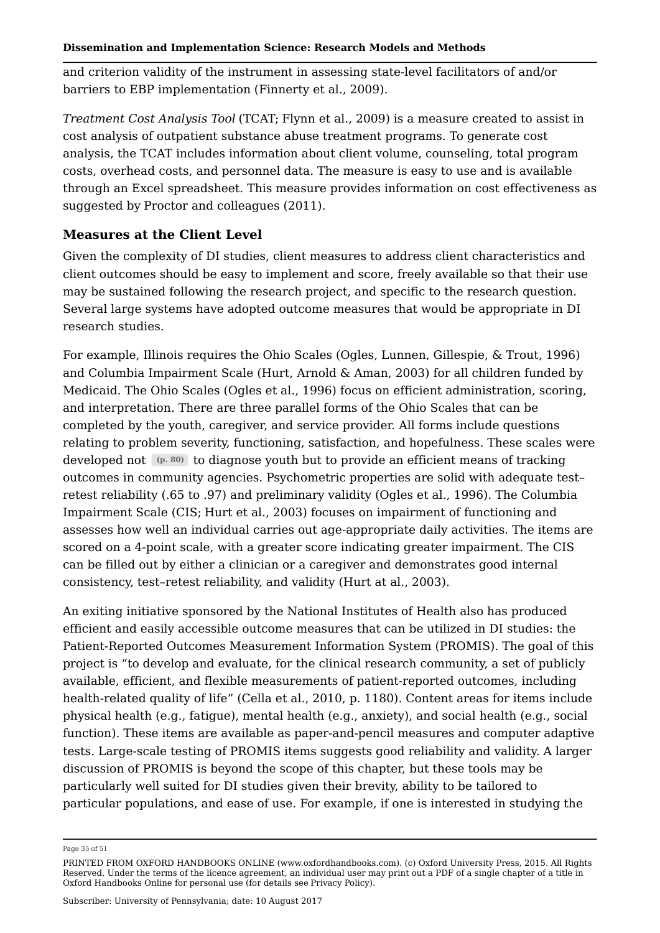and criterion validity of the instrument in assessing state-level facilitators of and/or barriers to EBP implementation (Finnerty et al., 2009).

*Treatment Cost Analysis Tool* (TCAT; Flynn et al., 2009) is a measure created to assist in cost analysis of outpatient substance abuse treatment programs. To generate cost analysis, the TCAT includes information about client volume, counseling, total program costs, overhead costs, and personnel data. The measure is easy to use and is available through an Excel spreadsheet. This measure provides information on cost effectiveness as suggested by Proctor and colleagues (2011).

## **Measures at the Client Level**

Given the complexity of DI studies, client measures to address client characteristics and client outcomes should be easy to implement and score, freely available so that their use may be sustained following the research project, and specific to the research question. Several large systems have adopted outcome measures that would be appropriate in DI research studies.

For example, Illinois requires the Ohio Scales (Ogles, Lunnen, Gillespie, & Trout, 1996) and Columbia Impairment Scale (Hurt, Arnold & Aman, 2003) for all children funded by Medicaid. The Ohio Scales (Ogles et al., 1996) focus on efficient administration, scoring, and interpretation. There are three parallel forms of the Ohio Scales that can be completed by the youth, caregiver, and service provider. All forms include questions relating to problem severity, functioning, satisfaction, and hopefulness. These scales were developed not  $(p. 80)$  to diagnose youth but to provide an efficient means of tracking outcomes in community agencies. Psychometric properties are solid with adequate test– retest reliability (.65 to .97) and preliminary validity (Ogles et al., 1996). The Columbia Impairment Scale (CIS; Hurt et al., 2003) focuses on impairment of functioning and assesses how well an individual carries out age-appropriate daily activities. The items are scored on a 4-point scale, with a greater score indicating greater impairment. The CIS can be filled out by either a clinician or a caregiver and demonstrates good internal consistency, test–retest reliability, and validity (Hurt at al., 2003).

An exiting initiative sponsored by the National Institutes of Health also has produced efficient and easily accessible outcome measures that can be utilized in DI studies: the Patient-Reported Outcomes Measurement Information System (PROMIS). The goal of this project is "to develop and evaluate, for the clinical research community, a set of publicly available, efficient, and flexible measurements of patient-reported outcomes, including health-related quality of life" (Cella et al., 2010, p. 1180). Content areas for items include physical health (e.g., fatigue), mental health (e.g., anxiety), and social health (e.g., social function). These items are available as paper-and-pencil measures and computer adaptive tests. Large-scale testing of PROMIS items suggests good reliability and validity. A larger discussion of PROMIS is beyond the scope of this chapter, but these tools may be particularly well suited for DI studies given their brevity, ability to be tailored to particular populations, and ease of use. For example, if one is interested in studying the

Page 35 of 51

PRINTED FROM OXFORD HANDBOOKS ONLINE (www.oxfordhandbooks.com). (c) Oxford University Press, 2015. All Rights Reserved. Under the terms of the licence agreement, an individual user may print out a PDF of a single chapter of a title in Oxford Handbooks Online for personal use (for details see Privacy Policy).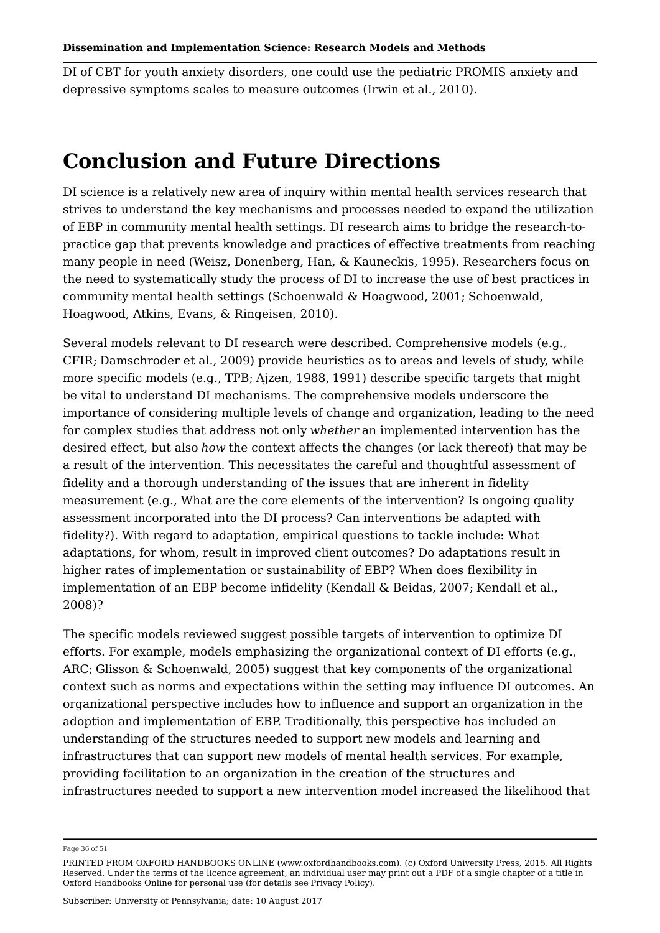DI of CBT for youth anxiety disorders, one could use the pediatric PROMIS anxiety and depressive symptoms scales to measure outcomes (Irwin et al., 2010).

# **Conclusion and Future Directions**

DI science is a relatively new area of inquiry within mental health services research that strives to understand the key mechanisms and processes needed to expand the utilization of EBP in community mental health settings. DI research aims to bridge the research-topractice gap that prevents knowledge and practices of effective treatments from reaching many people in need (Weisz, Donenberg, Han, & Kauneckis, 1995). Researchers focus on the need to systematically study the process of DI to increase the use of best practices in community mental health settings (Schoenwald & Hoagwood, 2001; Schoenwald, Hoagwood, Atkins, Evans, & Ringeisen, 2010).

Several models relevant to DI research were described. Comprehensive models (e.g., CFIR; Damschroder et al., 2009) provide heuristics as to areas and levels of study, while more specific models (e.g., TPB; Ajzen, 1988, 1991) describe specific targets that might be vital to understand DI mechanisms. The comprehensive models underscore the importance of considering multiple levels of change and organization, leading to the need for complex studies that address not only *whether* an implemented intervention has the desired effect, but also *how* the context affects the changes (or lack thereof) that may be a result of the intervention. This necessitates the careful and thoughtful assessment of fidelity and a thorough understanding of the issues that are inherent in fidelity measurement (e.g., What are the core elements of the intervention? Is ongoing quality assessment incorporated into the DI process? Can interventions be adapted with fidelity?). With regard to adaptation, empirical questions to tackle include: What adaptations, for whom, result in improved client outcomes? Do adaptations result in higher rates of implementation or sustainability of EBP? When does flexibility in implementation of an EBP become infidelity (Kendall & Beidas, 2007; Kendall et al., 2008)?

The specific models reviewed suggest possible targets of intervention to optimize DI efforts. For example, models emphasizing the organizational context of DI efforts (e.g., ARC; Glisson & Schoenwald, 2005) suggest that key components of the organizational context such as norms and expectations within the setting may influence DI outcomes. An organizational perspective includes how to influence and support an organization in the adoption and implementation of EBP. Traditionally, this perspective has included an understanding of the structures needed to support new models and learning and infrastructures that can support new models of mental health services. For example, providing facilitation to an organization in the creation of the structures and infrastructures needed to support a new intervention model increased the likelihood that

Page 36 of 51

PRINTED FROM OXFORD HANDBOOKS ONLINE (www.oxfordhandbooks.com). (c) Oxford University Press, 2015. All Rights Reserved. Under the terms of the licence agreement, an individual user may print out a PDF of a single chapter of a title in Oxford Handbooks Online for personal use (for details see Privacy Policy).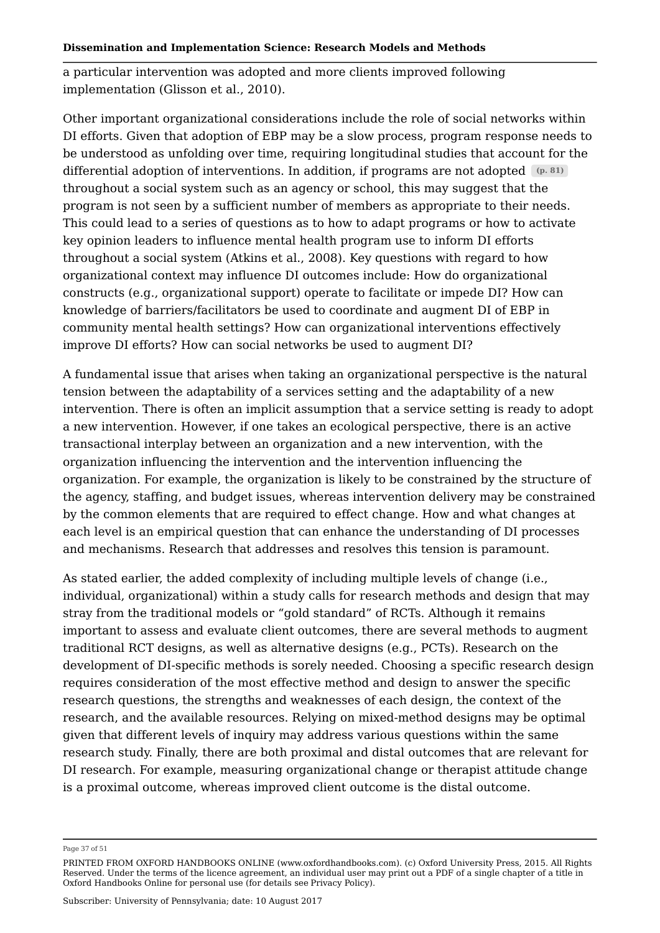a particular intervention was adopted and more clients improved following implementation (Glisson et al., 2010).

Other important organizational considerations include the role of social networks within DI efforts. Given that adoption of EBP may be a slow process, program response needs to be understood as unfolding over time, requiring longitudinal studies that account for the differential adoption of interventions. In addition, if programs are not adopted **(p. 81)** throughout a social system such as an agency or school, this may suggest that the program is not seen by a sufficient number of members as appropriate to their needs. This could lead to a series of questions as to how to adapt programs or how to activate key opinion leaders to influence mental health program use to inform DI efforts throughout a social system (Atkins et al., 2008). Key questions with regard to how organizational context may influence DI outcomes include: How do organizational constructs (e.g., organizational support) operate to facilitate or impede DI? How can knowledge of barriers/facilitators be used to coordinate and augment DI of EBP in community mental health settings? How can organizational interventions effectively improve DI efforts? How can social networks be used to augment DI?

A fundamental issue that arises when taking an organizational perspective is the natural tension between the adaptability of a services setting and the adaptability of a new intervention. There is often an implicit assumption that a service setting is ready to adopt a new intervention. However, if one takes an ecological perspective, there is an active transactional interplay between an organization and a new intervention, with the organization influencing the intervention and the intervention influencing the organization. For example, the organization is likely to be constrained by the structure of the agency, staffing, and budget issues, whereas intervention delivery may be constrained by the common elements that are required to effect change. How and what changes at each level is an empirical question that can enhance the understanding of DI processes and mechanisms. Research that addresses and resolves this tension is paramount.

As stated earlier, the added complexity of including multiple levels of change (i.e., individual, organizational) within a study calls for research methods and design that may stray from the traditional models or "gold standard" of RCTs. Although it remains important to assess and evaluate client outcomes, there are several methods to augment traditional RCT designs, as well as alternative designs (e.g., PCTs). Research on the development of DI-specific methods is sorely needed. Choosing a specific research design requires consideration of the most effective method and design to answer the specific research questions, the strengths and weaknesses of each design, the context of the research, and the available resources. Relying on mixed-method designs may be optimal given that different levels of inquiry may address various questions within the same research study. Finally, there are both proximal and distal outcomes that are relevant for DI research. For example, measuring organizational change or therapist attitude change is a proximal outcome, whereas improved client outcome is the distal outcome.

Page 37 of 51

PRINTED FROM OXFORD HANDBOOKS ONLINE (www.oxfordhandbooks.com). (c) Oxford University Press, 2015. All Rights Reserved. Under the terms of the licence agreement, an individual user may print out a PDF of a single chapter of a title in Oxford Handbooks Online for personal use (for details see Privacy Policy).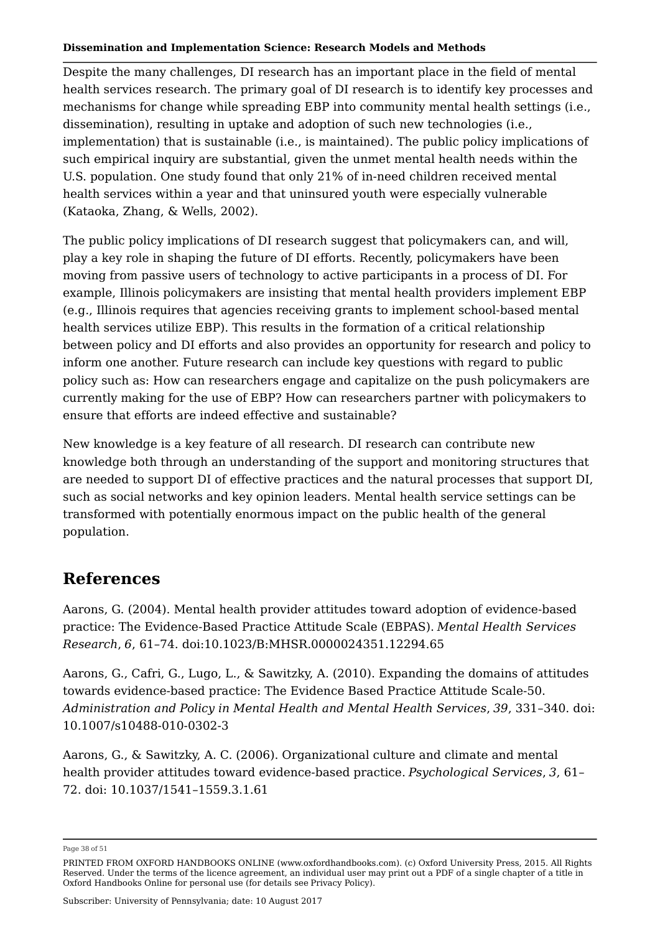Despite the many challenges, DI research has an important place in the field of mental health services research. The primary goal of DI research is to identify key processes and mechanisms for change while spreading EBP into community mental health settings (i.e., dissemination), resulting in uptake and adoption of such new technologies (i.e., implementation) that is sustainable (i.e., is maintained). The public policy implications of such empirical inquiry are substantial, given the unmet mental health needs within the U.S. population. One study found that only 21% of in-need children received mental health services within a year and that uninsured youth were especially vulnerable (Kataoka, Zhang, & Wells, 2002).

The public policy implications of DI research suggest that policymakers can, and will, play a key role in shaping the future of DI efforts. Recently, policymakers have been moving from passive users of technology to active participants in a process of DI. For example, Illinois policymakers are insisting that mental health providers implement EBP (e.g., Illinois requires that agencies receiving grants to implement school-based mental health services utilize EBP). This results in the formation of a critical relationship between policy and DI efforts and also provides an opportunity for research and policy to inform one another. Future research can include key questions with regard to public policy such as: How can researchers engage and capitalize on the push policymakers are currently making for the use of EBP? How can researchers partner with policymakers to ensure that efforts are indeed effective and sustainable?

New knowledge is a key feature of all research. DI research can contribute new knowledge both through an understanding of the support and monitoring structures that are needed to support DI of effective practices and the natural processes that support DI, such as social networks and key opinion leaders. Mental health service settings can be transformed with potentially enormous impact on the public health of the general population.

# **References**

Aarons, G. (2004). Mental health provider attitudes toward adoption of evidence-based practice: The Evidence-Based Practice Attitude Scale (EBPAS). *Mental Health Services Research*, *6*, 61–74. doi:10.1023/B:MHSR.0000024351.12294.65

Aarons, G., Cafri, G., Lugo, L., & Sawitzky, A. (2010). Expanding the domains of attitudes towards evidence-based practice: The Evidence Based Practice Attitude Scale-50. *Administration and Policy in Mental Health and Mental Health Services*, *39*, 331–340. doi: 10.1007/s10488-010-0302-3

Aarons, G., & Sawitzky, A. C. (2006). Organizational culture and climate and mental health provider attitudes toward evidence-based practice. *Psychological Services*, *3*, 61– 72. doi: 10.1037/1541–1559.3.1.61

Page 38 of 51

PRINTED FROM OXFORD HANDBOOKS ONLINE (www.oxfordhandbooks.com). (c) Oxford University Press, 2015. All Rights Reserved. Under the terms of the licence agreement, an individual user may print out a PDF of a single chapter of a title in Oxford Handbooks Online for personal use (for details see Privacy Policy).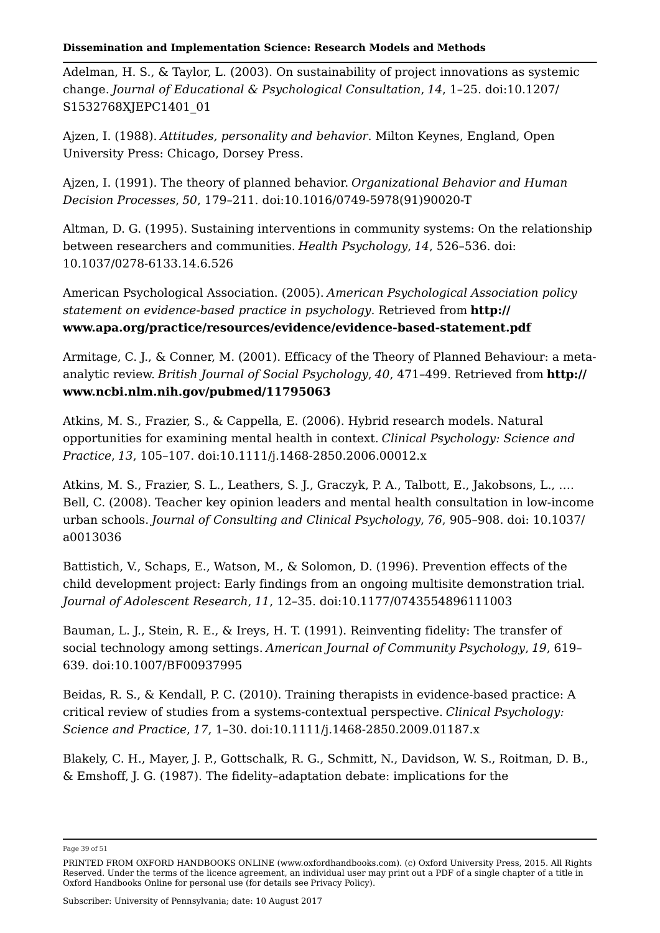Adelman, H. S., & Taylor, L. (2003). On sustainability of project innovations as systemic change. *Journal of Educational & Psychological Consultation*, *14*, 1–25. doi:10.1207/ S1532768XJEPC1401\_01

Ajzen, I. (1988). *Attitudes, personality and behavior*. Milton Keynes, England, Open University Press: Chicago, Dorsey Press.

Ajzen, I. (1991). The theory of planned behavior. *Organizational Behavior and Human Decision Processes*, *50*, 179–211. doi:10.1016/0749-5978(91)90020-T

Altman, D. G. (1995). Sustaining interventions in community systems: On the relationship between researchers and communities. *Health Psychology*, *14*, 526–536. doi: 10.1037/0278-6133.14.6.526

American Psychological Association. (2005). *American Psychological Association policy statement on evidence-based practice in psychology*. Retrieved from **http:// www.apa.org/practice/resources/evidence/evidence-based-statement.pdf**

Armitage, C. J., & Conner, M. (2001). Efficacy of the Theory of Planned Behaviour: a metaanalytic review. *British Journal of Social Psychology*, *40*, 471–499. Retrieved from **http:// www.ncbi.nlm.nih.gov/pubmed/11795063**

Atkins, M. S., Frazier, S., & Cappella, E. (2006). Hybrid research models. Natural opportunities for examining mental health in context. *Clinical Psychology: Science and Practice*, *13*, 105–107. doi:10.1111/j.1468-2850.2006.00012.x

Atkins, M. S., Frazier, S. L., Leathers, S. J., Graczyk, P. A., Talbott, E., Jakobsons, L., …. Bell, C. (2008). Teacher key opinion leaders and mental health consultation in low-income urban schools. *Journal of Consulting and Clinical Psychology*, *76*, 905–908. doi: 10.1037/ a0013036

Battistich, V., Schaps, E., Watson, M., & Solomon, D. (1996). Prevention effects of the child development project: Early findings from an ongoing multisite demonstration trial. *Journal of Adolescent Research*, *11*, 12–35. doi:10.1177/0743554896111003

Bauman, L. J., Stein, R. E., & Ireys, H. T. (1991). Reinventing fidelity: The transfer of social technology among settings. *American Journal of Community Psychology*, *19*, 619– 639. doi:10.1007/BF00937995

Beidas, R. S., & Kendall, P. C. (2010). Training therapists in evidence-based practice: A critical review of studies from a systems-contextual perspective. *Clinical Psychology: Science and Practice*, *17*, 1–30. doi:10.1111/j.1468-2850.2009.01187.x

Blakely, C. H., Mayer, J. P., Gottschalk, R. G., Schmitt, N., Davidson, W. S., Roitman, D. B., & Emshoff, J. G. (1987). The fidelity–adaptation debate: implications for the

Page 39 of 51

PRINTED FROM OXFORD HANDBOOKS ONLINE (www.oxfordhandbooks.com). (c) Oxford University Press, 2015. All Rights Reserved. Under the terms of the licence agreement, an individual user may print out a PDF of a single chapter of a title in Oxford Handbooks Online for personal use (for details see Privacy Policy).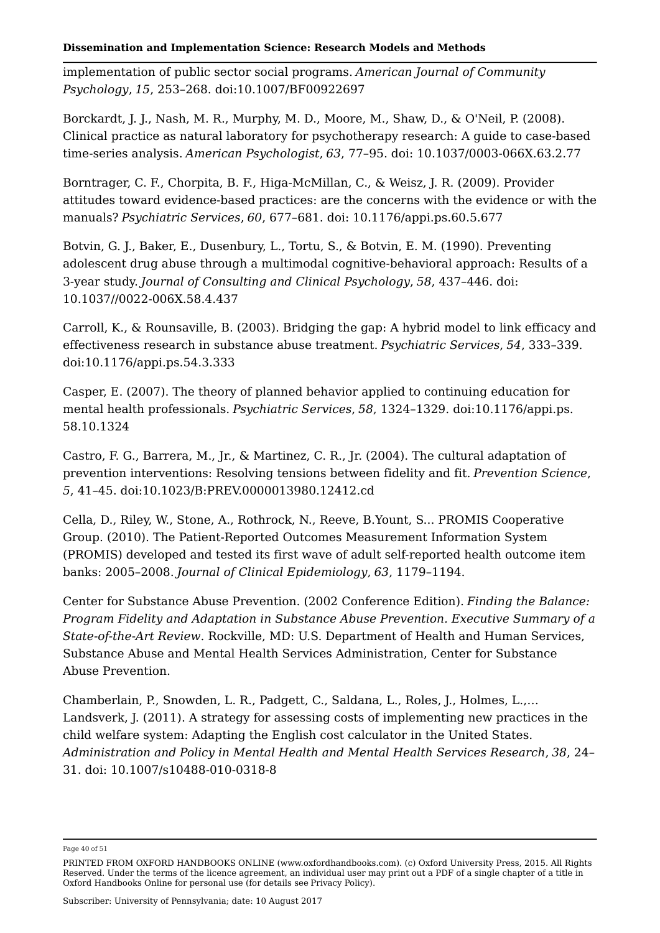implementation of public sector social programs. *American Journal of Community Psychology*, *15*, 253–268. doi:10.1007/BF00922697

Borckardt, J. J., Nash, M. R., Murphy, M. D., Moore, M., Shaw, D., & O'Neil, P. (2008). Clinical practice as natural laboratory for psychotherapy research: A guide to case-based time-series analysis. *American Psychologist*, *63*, 77–95. doi: 10.1037/0003-066X.63.2.77

Borntrager, C. F., Chorpita, B. F., Higa-McMillan, C., & Weisz, J. R. (2009). Provider attitudes toward evidence-based practices: are the concerns with the evidence or with the manuals? *Psychiatric Services*, *60*, 677–681. doi: 10.1176/appi.ps.60.5.677

Botvin, G. J., Baker, E., Dusenbury, L., Tortu, S., & Botvin, E. M. (1990). Preventing adolescent drug abuse through a multimodal cognitive-behavioral approach: Results of a 3-year study. *Journal of Consulting and Clinical Psychology*, *58*, 437–446. doi: 10.1037//0022-006X.58.4.437

Carroll, K., & Rounsaville, B. (2003). Bridging the gap: A hybrid model to link efficacy and effectiveness research in substance abuse treatment. *Psychiatric Services*, *54*, 333–339. doi:10.1176/appi.ps.54.3.333

Casper, E. (2007). The theory of planned behavior applied to continuing education for mental health professionals. *Psychiatric Services*, *58*, 1324–1329. doi:10.1176/appi.ps. 58.10.1324

Castro, F. G., Barrera, M., Jr., & Martinez, C. R., Jr. (2004). The cultural adaptation of prevention interventions: Resolving tensions between fidelity and fit. *Prevention Science*, *5*, 41–45. doi:10.1023/B:PREV.0000013980.12412.cd

Cella, D., Riley, W., Stone, A., Rothrock, N., Reeve, B.Yount, S... PROMIS Cooperative Group. (2010). The Patient-Reported Outcomes Measurement Information System (PROMIS) developed and tested its first wave of adult self-reported health outcome item banks: 2005–2008. *Journal of Clinical Epidemiology*, *63*, 1179–1194.

Center for Substance Abuse Prevention. (2002 Conference Edition). *Finding the Balance: Program Fidelity and Adaptation in Substance Abuse Prevention. Executive Summary of a State-of-the-Art Review*. Rockville, MD: U.S. Department of Health and Human Services, Substance Abuse and Mental Health Services Administration, Center for Substance Abuse Prevention.

Chamberlain, P., Snowden, L. R., Padgett, C., Saldana, L., Roles, J., Holmes, L.,… Landsverk, J. (2011). A strategy for assessing costs of implementing new practices in the child welfare system: Adapting the English cost calculator in the United States. *Administration and Policy in Mental Health and Mental Health Services Research*, *38*, 24– 31. doi: 10.1007/s10488-010-0318-8

Page 40 of 51

PRINTED FROM OXFORD HANDBOOKS ONLINE (www.oxfordhandbooks.com). (c) Oxford University Press, 2015. All Rights Reserved. Under the terms of the licence agreement, an individual user may print out a PDF of a single chapter of a title in Oxford Handbooks Online for personal use (for details see Privacy Policy).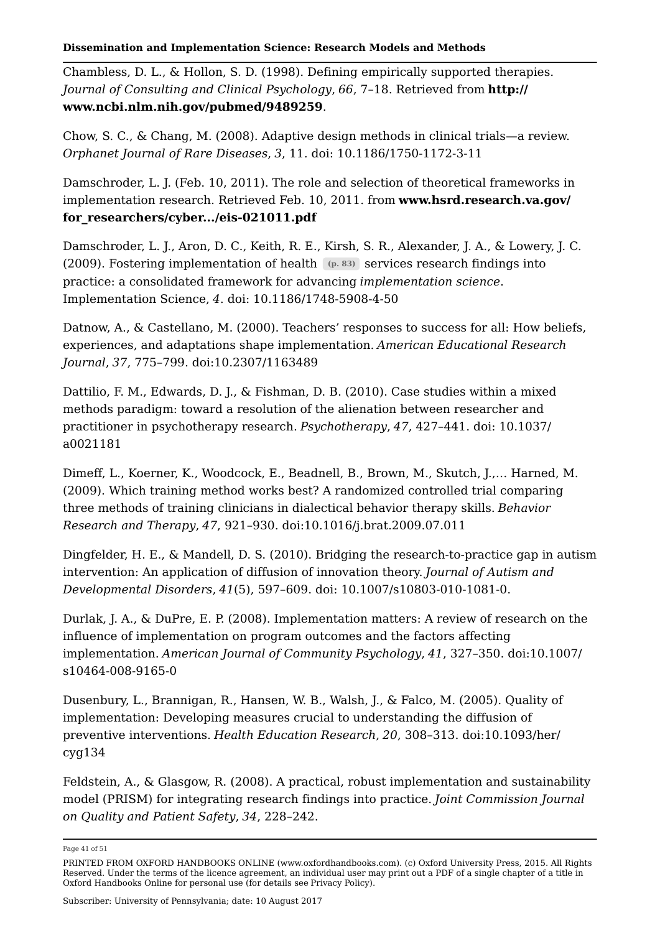Chambless, D. L., & Hollon, S. D. (1998). Defining empirically supported therapies. *Journal of Consulting and Clinical Psychology*, *66*, 7–18. Retrieved from **http:// www.ncbi.nlm.nih.gov/pubmed/9489259**.

Chow, S. C., & Chang, M. (2008). Adaptive design methods in clinical trials—a review. *Orphanet Journal of Rare Diseases*, *3*, 11. doi: 10.1186/1750-1172-3-11

Damschroder, L. J. (Feb. 10, 2011). The role and selection of theoretical frameworks in implementation research. Retrieved Feb. 10, 2011. from **www.hsrd.research.va.gov/ for\_researchers/cyber.../eis-021011.pdf**

Damschroder, L. J., Aron, D. C., Keith, R. E., Kirsh, S. R., Alexander, J. A., & Lowery, J. C. (2009). Fostering implementation of health (p. 83) services research findings into practice: a consolidated framework for advancing *implementation science*. Implementation Science, *4*. doi: 10.1186/1748-5908-4-50

Datnow, A., & Castellano, M. (2000). Teachers' responses to success for all: How beliefs, experiences, and adaptations shape implementation. *American Educational Research Journal*, *37*, 775–799. doi:10.2307/1163489

Dattilio, F. M., Edwards, D. J., & Fishman, D. B. (2010). Case studies within a mixed methods paradigm: toward a resolution of the alienation between researcher and practitioner in psychotherapy research. *Psychotherapy*, *47*, 427–441. doi: 10.1037/ a0021181

Dimeff, L., Koerner, K., Woodcock, E., Beadnell, B., Brown, M., Skutch, J.,… Harned, M. (2009). Which training method works best? A randomized controlled trial comparing three methods of training clinicians in dialectical behavior therapy skills. *Behavior Research and Therapy*, *47*, 921–930. doi:10.1016/j.brat.2009.07.011

Dingfelder, H. E., & Mandell, D. S. (2010). Bridging the research-to-practice gap in autism intervention: An application of diffusion of innovation theory. *Journal of Autism and Developmental Disorders*, *41*(5), 597–609. doi: 10.1007/s10803-010-1081-0.

Durlak, J. A., & DuPre, E. P. (2008). Implementation matters: A review of research on the influence of implementation on program outcomes and the factors affecting implementation. *American Journal of Community Psychology*, *41*, 327–350. doi:10.1007/ s10464-008-9165-0

Dusenbury, L., Brannigan, R., Hansen, W. B., Walsh, J., & Falco, M. (2005). Quality of implementation: Developing measures crucial to understanding the diffusion of preventive interventions. *Health Education Research*, *20*, 308–313. doi:10.1093/her/ cyg134

Feldstein, A., & Glasgow, R. (2008). A practical, robust implementation and sustainability model (PRISM) for integrating research findings into practice. *Joint Commission Journal on Quality and Patient Safety*, *34*, 228–242.

Page 41 of 51

PRINTED FROM OXFORD HANDBOOKS ONLINE (www.oxfordhandbooks.com). (c) Oxford University Press, 2015. All Rights Reserved. Under the terms of the licence agreement, an individual user may print out a PDF of a single chapter of a title in Oxford Handbooks Online for personal use (for details see Privacy Policy).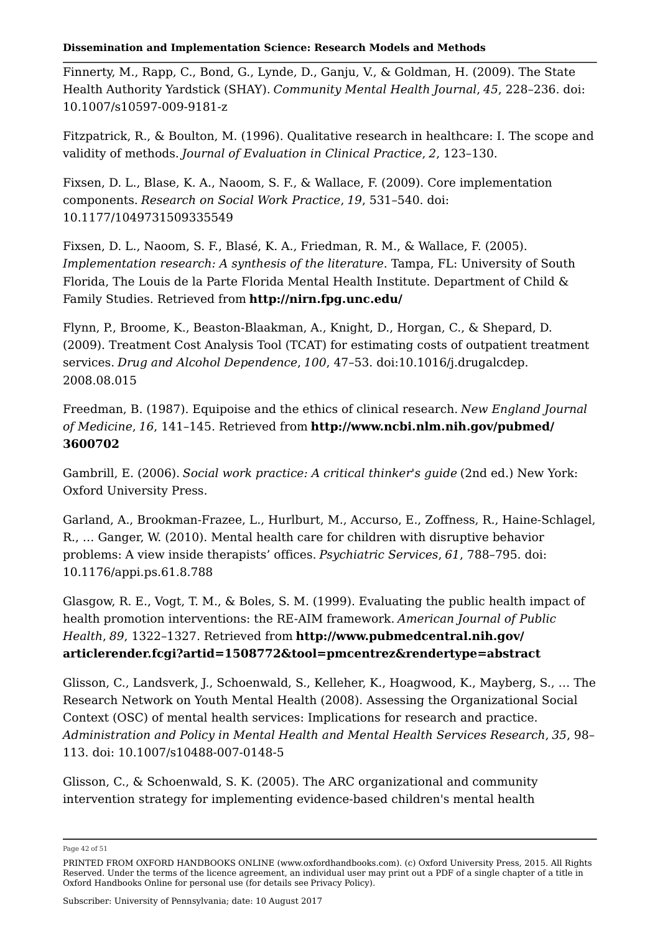Finnerty, M., Rapp, C., Bond, G., Lynde, D., Ganju, V., & Goldman, H. (2009). The State Health Authority Yardstick (SHAY). *Community Mental Health Journal*, *45*, 228–236. doi: 10.1007/s10597-009-9181-z

Fitzpatrick, R., & Boulton, M. (1996). Qualitative research in healthcare: I. The scope and validity of methods. *Journal of Evaluation in Clinical Practice*, *2*, 123–130.

Fixsen, D. L., Blase, K. A., Naoom, S. F., & Wallace, F. (2009). Core implementation components. *Research on Social Work Practice*, *19*, 531–540. doi: 10.1177/1049731509335549

Fixsen, D. L., Naoom, S. F., Blasé, K. A., Friedman, R. M., & Wallace, F. (2005). *Implementation research: A synthesis of the literature*. Tampa, FL: University of South Florida, The Louis de la Parte Florida Mental Health Institute. Department of Child & Family Studies. Retrieved from **http://nirn.fpg.unc.edu/**

Flynn, P., Broome, K., Beaston-Blaakman, A., Knight, D., Horgan, C., & Shepard, D. (2009). Treatment Cost Analysis Tool (TCAT) for estimating costs of outpatient treatment services. *Drug and Alcohol Dependence*, *100*, 47–53. doi:10.1016/j.drugalcdep. 2008.08.015

Freedman, B. (1987). Equipoise and the ethics of clinical research. *New England Journal of Medicine*, *16*, 141–145. Retrieved from **http://www.ncbi.nlm.nih.gov/pubmed/ 3600702**

Gambrill, E. (2006). *Social work practice: A critical thinker's guide* (2nd ed.) New York: Oxford University Press.

Garland, A., Brookman-Frazee, L., Hurlburt, M., Accurso, E., Zoffness, R., Haine-Schlagel, R., … Ganger, W. (2010). Mental health care for children with disruptive behavior problems: A view inside therapists' offices. *Psychiatric Services*, *61*, 788–795. doi: 10.1176/appi.ps.61.8.788

Glasgow, R. E., Vogt, T. M., & Boles, S. M. (1999). Evaluating the public health impact of health promotion interventions: the RE-AIM framework. *American Journal of Public Health*, *89*, 1322–1327. Retrieved from **http://www.pubmedcentral.nih.gov/ articlerender.fcgi?artid=1508772&tool=pmcentrez&rendertype=abstract**

Glisson, C., Landsverk, J., Schoenwald, S., Kelleher, K., Hoagwood, K., Mayberg, S., … The Research Network on Youth Mental Health (2008). Assessing the Organizational Social Context (OSC) of mental health services: Implications for research and practice. *Administration and Policy in Mental Health and Mental Health Services Research*, *35*, 98– 113. doi: 10.1007/s10488-007-0148-5

Glisson, C., & Schoenwald, S. K. (2005). The ARC organizational and community intervention strategy for implementing evidence-based children's mental health

Page 42 of 51

PRINTED FROM OXFORD HANDBOOKS ONLINE (www.oxfordhandbooks.com). (c) Oxford University Press, 2015. All Rights Reserved. Under the terms of the licence agreement, an individual user may print out a PDF of a single chapter of a title in Oxford Handbooks Online for personal use (for details see Privacy Policy).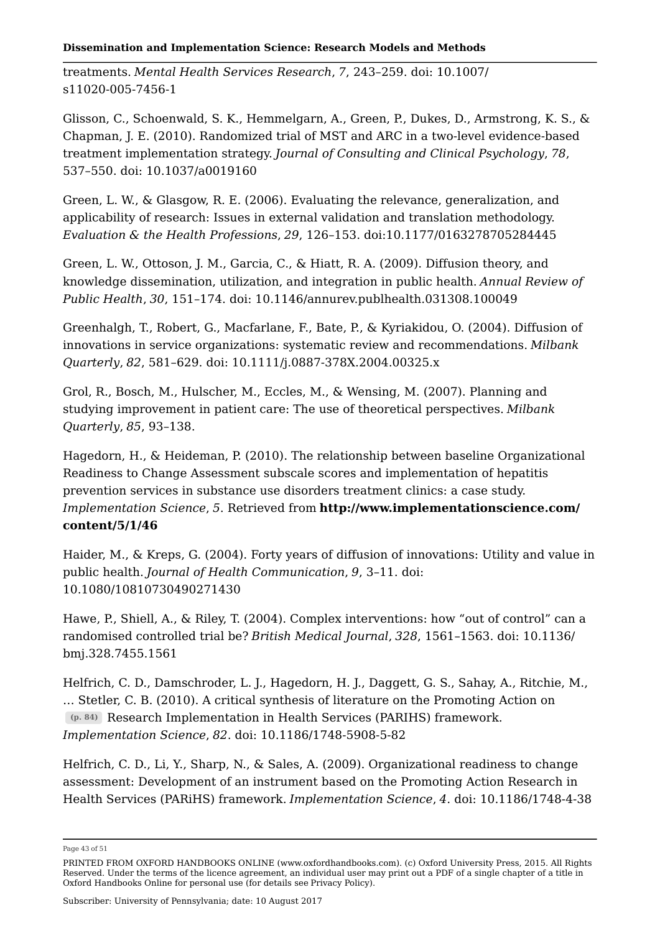treatments. *Mental Health Services Research*, *7*, 243–259. doi: 10.1007/ s11020-005-7456-1

Glisson, C., Schoenwald, S. K., Hemmelgarn, A., Green, P., Dukes, D., Armstrong, K. S., & Chapman, J. E. (2010). Randomized trial of MST and ARC in a two-level evidence-based treatment implementation strategy. *Journal of Consulting and Clinical Psychology*, *78*, 537–550. doi: 10.1037/a0019160

Green, L. W., & Glasgow, R. E. (2006). Evaluating the relevance, generalization, and applicability of research: Issues in external validation and translation methodology. *Evaluation & the Health Professions*, *29*, 126–153. doi:10.1177/0163278705284445

Green, L. W., Ottoson, J. M., Garcia, C., & Hiatt, R. A. (2009). Diffusion theory, and knowledge dissemination, utilization, and integration in public health. *Annual Review of Public Health*, *30*, 151–174. doi: 10.1146/annurev.publhealth.031308.100049

Greenhalgh, T., Robert, G., Macfarlane, F., Bate, P., & Kyriakidou, O. (2004). Diffusion of innovations in service organizations: systematic review and recommendations. *Milbank Quarterly*, *82*, 581–629. doi: 10.1111/j.0887-378X.2004.00325.x

Grol, R., Bosch, M., Hulscher, M., Eccles, M., & Wensing, M. (2007). Planning and studying improvement in patient care: The use of theoretical perspectives. *Milbank Quarterly*, *85*, 93–138.

Hagedorn, H., & Heideman, P. (2010). The relationship between baseline Organizational Readiness to Change Assessment subscale scores and implementation of hepatitis prevention services in substance use disorders treatment clinics: a case study. *Implementation Science*, *5*. Retrieved from **http://www.implementationscience.com/ content/5/1/46**

Haider, M., & Kreps, G. (2004). Forty years of diffusion of innovations: Utility and value in public health. *Journal of Health Communication*, *9*, 3–11. doi: 10.1080/10810730490271430

Hawe, P., Shiell, A., & Riley, T. (2004). Complex interventions: how "out of control" can a randomised controlled trial be? *British Medical Journal*, *328*, 1561–1563. doi: 10.1136/ bmj.328.7455.1561

Helfrich, C. D., Damschroder, L. J., Hagedorn, H. J., Daggett, G. S., Sahay, A., Ritchie, M., … Stetler, C. B. (2010). A critical synthesis of literature on the Promoting Action on Research Implementation in Health Services (PARIHS) framework. **(p. 84)** *Implementation Science*, *82*. doi: 10.1186/1748-5908-5-82

Helfrich, C. D., Li, Y., Sharp, N., & Sales, A. (2009). Organizational readiness to change assessment: Development of an instrument based on the Promoting Action Research in Health Services (PARiHS) framework. *Implementation Science*, *4*. doi: 10.1186/1748-4-38

Page 43 of 51

PRINTED FROM OXFORD HANDBOOKS ONLINE (www.oxfordhandbooks.com). (c) Oxford University Press, 2015. All Rights Reserved. Under the terms of the licence agreement, an individual user may print out a PDF of a single chapter of a title in Oxford Handbooks Online for personal use (for details see Privacy Policy).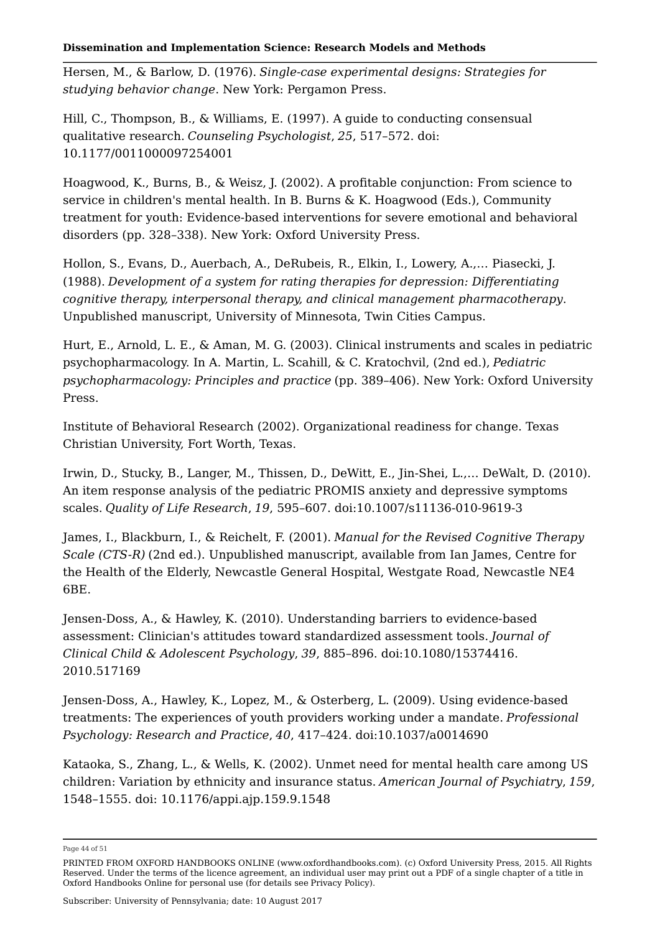Hersen, M., & Barlow, D. (1976). *Single-case experimental designs: Strategies for studying behavior change*. New York: Pergamon Press.

Hill, C., Thompson, B., & Williams, E. (1997). A guide to conducting consensual qualitative research. *Counseling Psychologist*, *25*, 517–572. doi: 10.1177/0011000097254001

Hoagwood, K., Burns, B., & Weisz, J. (2002). A profitable conjunction: From science to service in children's mental health. In B. Burns & K. Hoagwood (Eds.), Community treatment for youth: Evidence-based interventions for severe emotional and behavioral disorders (pp. 328–338). New York: Oxford University Press.

Hollon, S., Evans, D., Auerbach, A., DeRubeis, R., Elkin, I., Lowery, A.,… Piasecki, J. (1988). *Development of a system for rating therapies for depression: Differentiating cognitive therapy, interpersonal therapy, and clinical management pharmacotherapy*. Unpublished manuscript, University of Minnesota, Twin Cities Campus.

Hurt, E., Arnold, L. E., & Aman, M. G. (2003). Clinical instruments and scales in pediatric psychopharmacology. In A. Martin, L. Scahill, & C. Kratochvil, (2nd ed.), *Pediatric psychopharmacology: Principles and practice* (pp. 389–406). New York: Oxford University Press.

Institute of Behavioral Research (2002). Organizational readiness for change. Texas Christian University, Fort Worth, Texas.

Irwin, D., Stucky, B., Langer, M., Thissen, D., DeWitt, E., Jin-Shei, L.,… DeWalt, D. (2010). An item response analysis of the pediatric PROMIS anxiety and depressive symptoms scales. *Quality of Life Research*, *19*, 595–607. doi:10.1007/s11136-010-9619-3

James, I., Blackburn, I., & Reichelt, F. (2001). *Manual for the Revised Cognitive Therapy Scale (CTS-R)* (2nd ed.). Unpublished manuscript, available from Ian James, Centre for the Health of the Elderly, Newcastle General Hospital, Westgate Road, Newcastle NE4 6BE.

Jensen-Doss, A., & Hawley, K. (2010). Understanding barriers to evidence-based assessment: Clinician's attitudes toward standardized assessment tools. *Journal of Clinical Child & Adolescent Psychology*, *39*, 885–896. doi:10.1080/15374416. 2010.517169

Jensen-Doss, A., Hawley, K., Lopez, M., & Osterberg, L. (2009). Using evidence-based treatments: The experiences of youth providers working under a mandate. *Professional Psychology: Research and Practice*, *40*, 417–424. doi:10.1037/a0014690

Kataoka, S., Zhang, L., & Wells, K. (2002). Unmet need for mental health care among US children: Variation by ethnicity and insurance status. *American Journal of Psychiatry*, *159*, 1548–1555. doi: 10.1176/appi.ajp.159.9.1548

Page 44 of 51

PRINTED FROM OXFORD HANDBOOKS ONLINE (www.oxfordhandbooks.com). (c) Oxford University Press, 2015. All Rights Reserved. Under the terms of the licence agreement, an individual user may print out a PDF of a single chapter of a title in Oxford Handbooks Online for personal use (for details see Privacy Policy).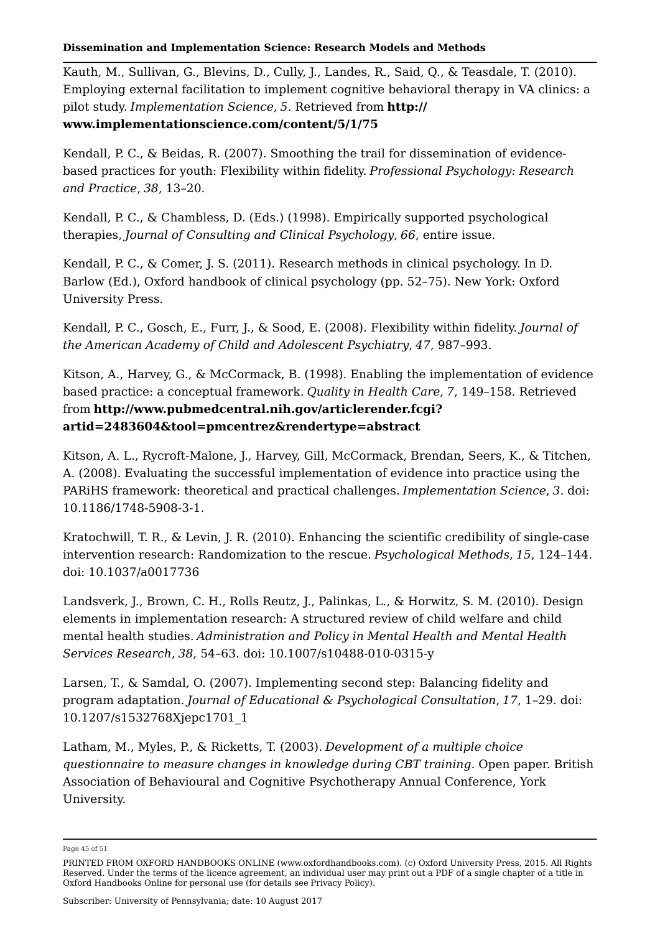Kauth, M., Sullivan, G., Blevins, D., Cully, J., Landes, R., Said, Q., & Teasdale, T. (2010). Employing external facilitation to implement cognitive behavioral therapy in VA clinics: a pilot study. *Implementation Science*, *5*. Retrieved from **http:// www.implementationscience.com/content/5/1/75**

Kendall, P. C., & Beidas, R. (2007). Smoothing the trail for dissemination of evidencebased practices for youth: Flexibility within fidelity. *Professional Psychology: Research and Practice*, *38*, 13–20.

Kendall, P. C., & Chambless, D. (Eds.) (1998). Empirically supported psychological therapies, *Journal of Consulting and Clinical Psychology*, *66*, entire issue.

Kendall, P. C., & Comer, J. S. (2011). Research methods in clinical psychology. In D. Barlow (Ed.), Oxford handbook of clinical psychology (pp. 52–75). New York: Oxford University Press.

Kendall, P. C., Gosch, E., Furr, J., & Sood, E. (2008). Flexibility within fidelity. *Journal of the American Academy of Child and Adolescent Psychiatry*, *47*, 987–993.

Kitson, A., Harvey, G., & McCormack, B. (1998). Enabling the implementation of evidence based practice: a conceptual framework. *Quality in Health Care*, *7*, 149–158. Retrieved from **http://www.pubmedcentral.nih.gov/articlerender.fcgi? artid=2483604&tool=pmcentrez&rendertype=abstract**

Kitson, A. L., Rycroft-Malone, J., Harvey, Gill, McCormack, Brendan, Seers, K., & Titchen, A. (2008). Evaluating the successful implementation of evidence into practice using the PARiHS framework: theoretical and practical challenges. *Implementation Science*, *3*. doi: 10.1186/1748-5908-3-1.

Kratochwill, T. R., & Levin, J. R. (2010). Enhancing the scientific credibility of single-case intervention research: Randomization to the rescue. *Psychological Methods*, *15*, 124–144. doi: 10.1037/a0017736

Landsverk, J., Brown, C. H., Rolls Reutz, J., Palinkas, L., & Horwitz, S. M. (2010). Design elements in implementation research: A structured review of child welfare and child mental health studies. *Administration and Policy in Mental Health and Mental Health Services Research*, *38*, 54–63. doi: 10.1007/s10488-010-0315-y

Larsen, T., & Samdal, O. (2007). Implementing second step: Balancing fidelity and program adaptation. *Journal of Educational & Psychological Consultation*, *17*, 1–29. doi: 10.1207/s1532768Xjepc1701\_1

Latham, M., Myles, P., & Ricketts, T. (2003). *Development of a multiple choice questionnaire to measure changes in knowledge during CBT training*. Open paper. British Association of Behavioural and Cognitive Psychotherapy Annual Conference, York University.

Page 45 of 51

PRINTED FROM OXFORD HANDBOOKS ONLINE (www.oxfordhandbooks.com). (c) Oxford University Press, 2015. All Rights Reserved. Under the terms of the licence agreement, an individual user may print out a PDF of a single chapter of a title in Oxford Handbooks Online for personal use (for details see Privacy Policy).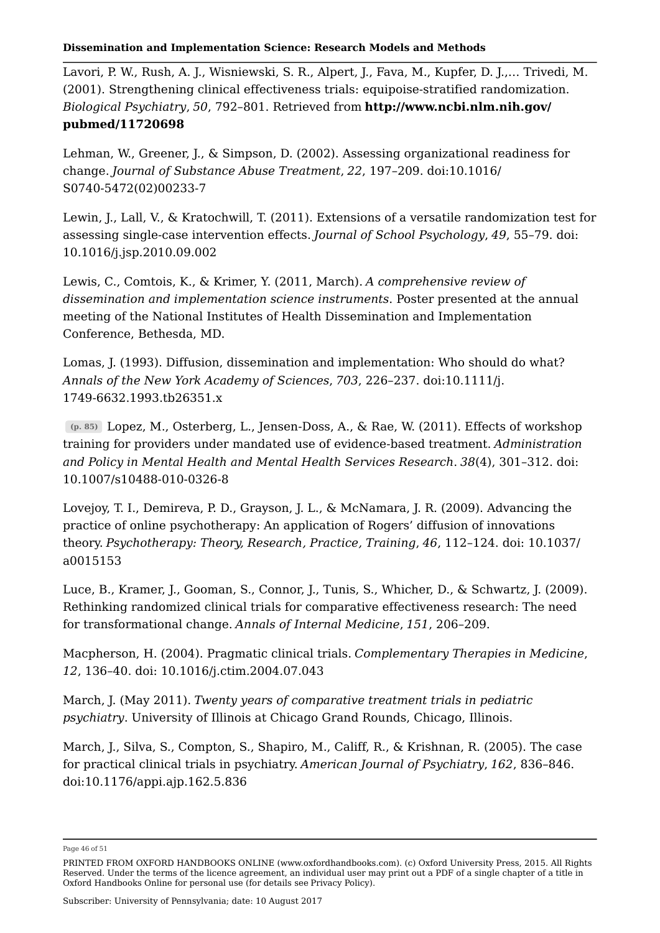Lavori, P. W., Rush, A. J., Wisniewski, S. R., Alpert, J., Fava, M., Kupfer, D. J.,… Trivedi, M. (2001). Strengthening clinical effectiveness trials: equipoise-stratified randomization. *Biological Psychiatry*, *50*, 792–801. Retrieved from **http://www.ncbi.nlm.nih.gov/ pubmed/11720698**

Lehman, W., Greener, J., & Simpson, D. (2002). Assessing organizational readiness for change. *Journal of Substance Abuse Treatment*, *22*, 197–209. doi:10.1016/ S0740-5472(02)00233-7

Lewin, J., Lall, V., & Kratochwill, T. (2011). Extensions of a versatile randomization test for assessing single-case intervention effects. *Journal of School Psychology*, *49*, 55–79. doi: 10.1016/j.jsp.2010.09.002

Lewis, C., Comtois, K., & Krimer, Y. (2011, March). *A comprehensive review of dissemination and implementation science instruments*. Poster presented at the annual meeting of the National Institutes of Health Dissemination and Implementation Conference, Bethesda, MD.

Lomas, J. (1993). Diffusion, dissemination and implementation: Who should do what? *Annals of the New York Academy of Sciences*, *703*, 226–237. doi:10.1111/j. 1749-6632.1993.tb26351.x

Lopez, M., Osterberg, L., Jensen-Doss, A., & Rae, W. (2011). Effects of workshop **(p. 85)** training for providers under mandated use of evidence-based treatment. *Administration and Policy in Mental Health and Mental Health Services Research*. *38*(4), 301–312. doi: 10.1007/s10488-010-0326-8

Lovejoy, T. I., Demireva, P. D., Grayson, J. L., & McNamara, J. R. (2009). Advancing the practice of online psychotherapy: An application of Rogers' diffusion of innovations theory. *Psychotherapy: Theory, Research, Practice, Training*, *46*, 112–124. doi: 10.1037/ a0015153

Luce, B., Kramer, J., Gooman, S., Connor, J., Tunis, S., Whicher, D., & Schwartz, J. (2009). Rethinking randomized clinical trials for comparative effectiveness research: The need for transformational change. *Annals of Internal Medicine*, *151*, 206–209.

Macpherson, H. (2004). Pragmatic clinical trials. *Complementary Therapies in Medicine*, *12*, 136–40. doi: 10.1016/j.ctim.2004.07.043

March, J. (May 2011). *Twenty years of comparative treatment trials in pediatric psychiatry*. University of Illinois at Chicago Grand Rounds, Chicago, Illinois.

March, J., Silva, S., Compton, S., Shapiro, M., Califf, R., & Krishnan, R. (2005). The case for practical clinical trials in psychiatry. *American Journal of Psychiatry*, *162*, 836–846. doi:10.1176/appi.ajp.162.5.836

Page 46 of 51

PRINTED FROM OXFORD HANDBOOKS ONLINE (www.oxfordhandbooks.com). (c) Oxford University Press, 2015. All Rights Reserved. Under the terms of the licence agreement, an individual user may print out a PDF of a single chapter of a title in Oxford Handbooks Online for personal use (for details see Privacy Policy).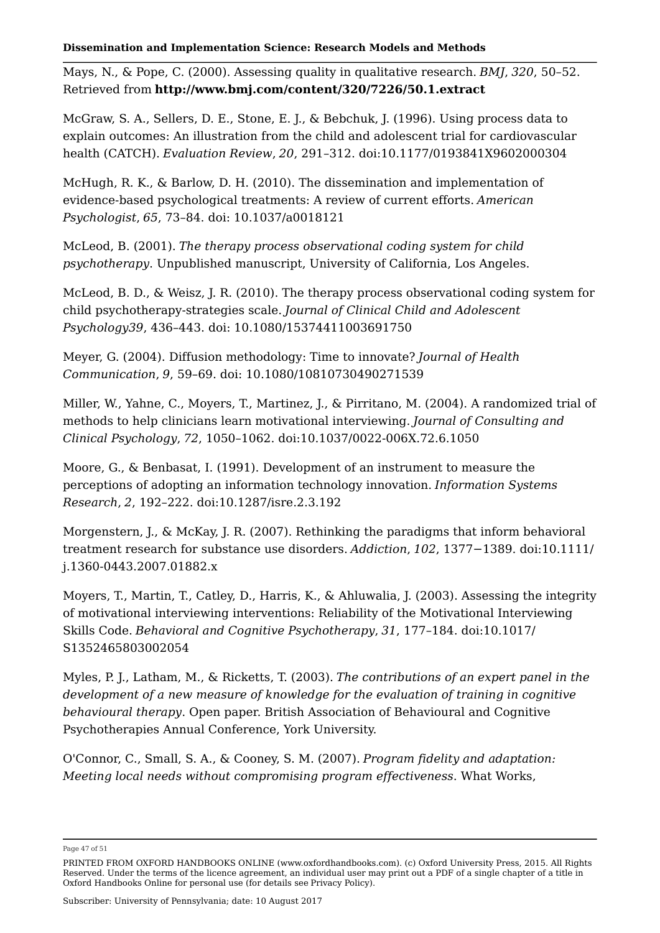Mays, N., & Pope, C. (2000). Assessing quality in qualitative research. *BMJ*, *320*, 50–52. Retrieved from **http://www.bmj.com/content/320/7226/50.1.extract**

McGraw, S. A., Sellers, D. E., Stone, E. J., & Bebchuk, J. (1996). Using process data to explain outcomes: An illustration from the child and adolescent trial for cardiovascular health (CATCH). *Evaluation Review*, *20*, 291–312. doi:10.1177/0193841X9602000304

McHugh, R. K., & Barlow, D. H. (2010). The dissemination and implementation of evidence-based psychological treatments: A review of current efforts. *American Psychologist*, *65*, 73–84. doi: 10.1037/a0018121

McLeod, B. (2001). *The therapy process observational coding system for child psychotherapy*. Unpublished manuscript, University of California, Los Angeles.

McLeod, B. D., & Weisz, J. R. (2010). The therapy process observational coding system for child psychotherapy-strategies scale. *Journal of Clinical Child and Adolescent Psychology39*, 436–443. doi: 10.1080/15374411003691750

Meyer, G. (2004). Diffusion methodology: Time to innovate? *Journal of Health Communication*, *9*, 59–69. doi: 10.1080/10810730490271539

Miller, W., Yahne, C., Moyers, T., Martinez, J., & Pirritano, M. (2004). A randomized trial of methods to help clinicians learn motivational interviewing. *Journal of Consulting and Clinical Psychology*, *72*, 1050–1062. doi:10.1037/0022-006X.72.6.1050

Moore, G., & Benbasat, I. (1991). Development of an instrument to measure the perceptions of adopting an information technology innovation. *Information Systems Research*, *2*, 192–222. doi:10.1287/isre.2.3.192

Morgenstern, J., & McKay, J. R. (2007). Rethinking the paradigms that inform behavioral treatment research for substance use disorders. *Addiction*, *102*, 1377−1389. doi:10.1111/ j.1360-0443.2007.01882.x

Moyers, T., Martin, T., Catley, D., Harris, K., & Ahluwalia, J. (2003). Assessing the integrity of motivational interviewing interventions: Reliability of the Motivational Interviewing Skills Code. *Behavioral and Cognitive Psychotherapy*, *31*, 177–184. doi:10.1017/ S1352465803002054

Myles, P. J., Latham, M., & Ricketts, T. (2003). *The contributions of an expert panel in the development of a new measure of knowledge for the evaluation of training in cognitive behavioural therapy*. Open paper. British Association of Behavioural and Cognitive Psychotherapies Annual Conference, York University.

O'Connor, C., Small, S. A., & Cooney, S. M. (2007). *Program fidelity and adaptation: Meeting local needs without compromising program effectiveness*. What Works,

Page 47 of 51

PRINTED FROM OXFORD HANDBOOKS ONLINE (www.oxfordhandbooks.com). (c) Oxford University Press, 2015. All Rights Reserved. Under the terms of the licence agreement, an individual user may print out a PDF of a single chapter of a title in Oxford Handbooks Online for personal use (for details see Privacy Policy).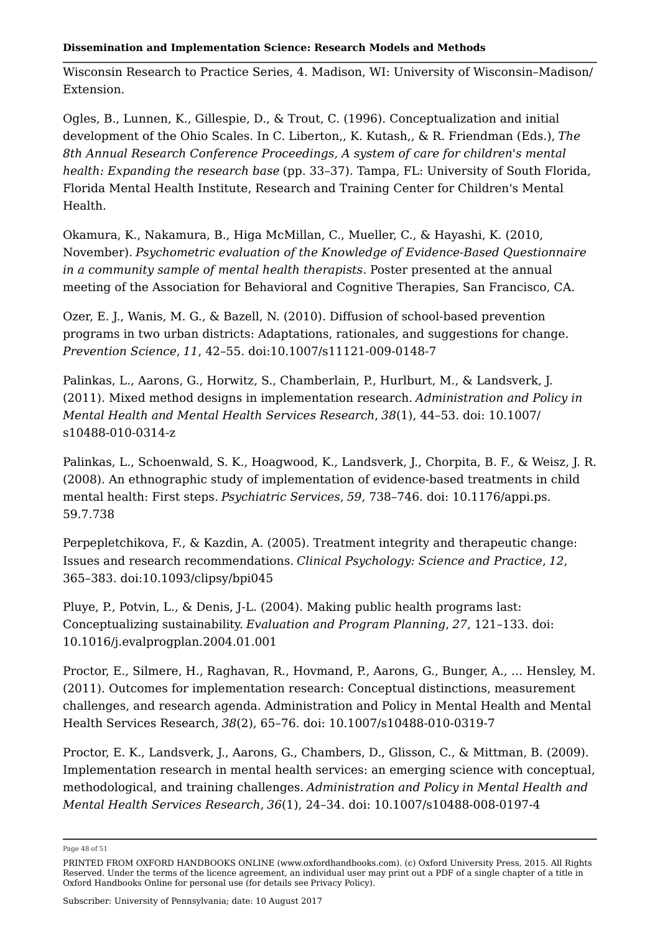Wisconsin Research to Practice Series, 4. Madison, WI: University of Wisconsin–Madison/ Extension.

Ogles, B., Lunnen, K., Gillespie, D., & Trout, C. (1996). Conceptualization and initial development of the Ohio Scales. In C. Liberton,, K. Kutash,, & R. Friendman (Eds.), *The 8th Annual Research Conference Proceedings, A system of care for children's mental health: Expanding the research base* (pp. 33–37). Tampa, FL: University of South Florida, Florida Mental Health Institute, Research and Training Center for Children's Mental Health.

Okamura, K., Nakamura, B., Higa McMillan, C., Mueller, C., & Hayashi, K. (2010, November). *Psychometric evaluation of the Knowledge of Evidence-Based Questionnaire in a community sample of mental health therapists*. Poster presented at the annual meeting of the Association for Behavioral and Cognitive Therapies, San Francisco, CA.

Ozer, E. J., Wanis, M. G., & Bazell, N. (2010). Diffusion of school-based prevention programs in two urban districts: Adaptations, rationales, and suggestions for change. *Prevention Science*, *11*, 42–55. doi:10.1007/s11121-009-0148-7

Palinkas, L., Aarons, G., Horwitz, S., Chamberlain, P., Hurlburt, M., & Landsverk, J. (2011). Mixed method designs in implementation research. *Administration and Policy in Mental Health and Mental Health Services Research*, *38*(1), 44–53. doi: 10.1007/ s10488-010-0314-z

Palinkas, L., Schoenwald, S. K., Hoagwood, K., Landsverk, J., Chorpita, B. F., & Weisz, J. R. (2008). An ethnographic study of implementation of evidence-based treatments in child mental health: First steps. *Psychiatric Services*, *59*, 738–746. doi: 10.1176/appi.ps. 59.7.738

Perpepletchikova, F., & Kazdin, A. (2005). Treatment integrity and therapeutic change: Issues and research recommendations. *Clinical Psychology: Science and Practice*, *12*, 365–383. doi:10.1093/clipsy/bpi045

Pluye, P., Potvin, L., & Denis, J-L. (2004). Making public health programs last: Conceptualizing sustainability. *Evaluation and Program Planning*, *27*, 121–133. doi: 10.1016/j.evalprogplan.2004.01.001

Proctor, E., Silmere, H., Raghavan, R., Hovmand, P., Aarons, G., Bunger, A., … Hensley, M. (2011). Outcomes for implementation research: Conceptual distinctions, measurement challenges, and research agenda. Administration and Policy in Mental Health and Mental Health Services Research, *38*(2), 65–76. doi: 10.1007/s10488-010-0319-7

Proctor, E. K., Landsverk, J., Aarons, G., Chambers, D., Glisson, C., & Mittman, B. (2009). Implementation research in mental health services: an emerging science with conceptual, methodological, and training challenges. *Administration and Policy in Mental Health and Mental Health Services Research*, *36*(1), 24–34. doi: 10.1007/s10488-008-0197-4

Page 48 of 51

PRINTED FROM OXFORD HANDBOOKS ONLINE (www.oxfordhandbooks.com). (c) Oxford University Press, 2015. All Rights Reserved. Under the terms of the licence agreement, an individual user may print out a PDF of a single chapter of a title in Oxford Handbooks Online for personal use (for details see Privacy Policy).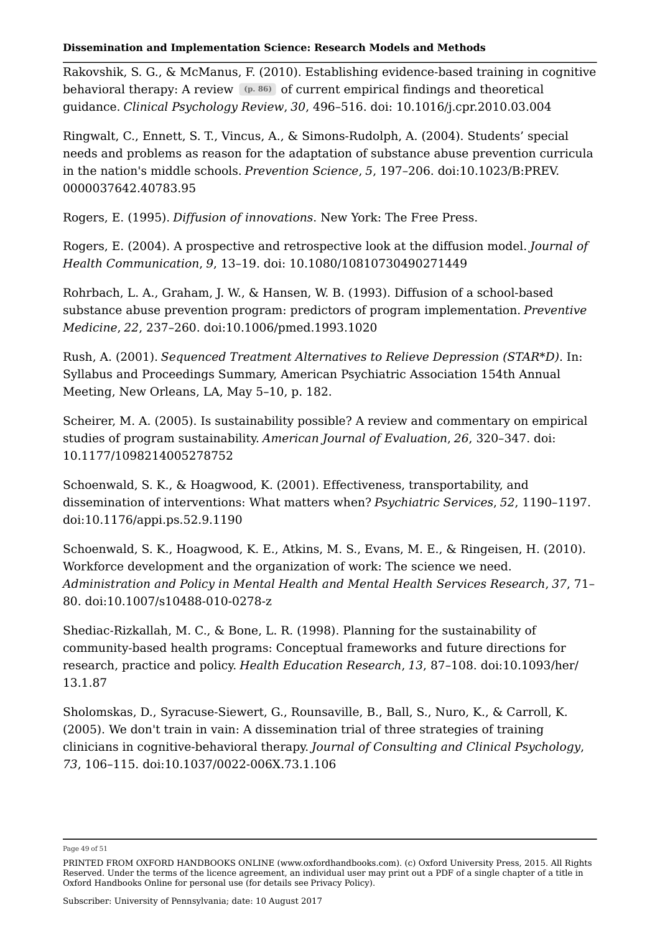Rakovshik, S. G., & McManus, F. (2010). Establishing evidence-based training in cognitive behavioral therapy: A review  $\left(\Phi, 86\right)$  of current empirical findings and theoretical guidance. *Clinical Psychology Review*, *30*, 496–516. doi: 10.1016/j.cpr.2010.03.004

Ringwalt, C., Ennett, S. T., Vincus, A., & Simons-Rudolph, A. (2004). Students' special needs and problems as reason for the adaptation of substance abuse prevention curricula in the nation's middle schools. *Prevention Science*, *5*, 197–206. doi:10.1023/B:PREV. 0000037642.40783.95

Rogers, E. (1995). *Diffusion of innovations*. New York: The Free Press.

Rogers, E. (2004). A prospective and retrospective look at the diffusion model. *Journal of Health Communication*, *9*, 13–19. doi: 10.1080/10810730490271449

Rohrbach, L. A., Graham, J. W., & Hansen, W. B. (1993). Diffusion of a school-based substance abuse prevention program: predictors of program implementation. *Preventive Medicine*, *22*, 237–260. doi:10.1006/pmed.1993.1020

Rush, A. (2001). *Sequenced Treatment Alternatives to Relieve Depression (STAR\*D)*. In: Syllabus and Proceedings Summary, American Psychiatric Association 154th Annual Meeting, New Orleans, LA, May 5–10, p. 182.

Scheirer, M. A. (2005). Is sustainability possible? A review and commentary on empirical studies of program sustainability. *American Journal of Evaluation*, *26*, 320–347. doi: 10.1177/1098214005278752

Schoenwald, S. K., & Hoagwood, K. (2001). Effectiveness, transportability, and dissemination of interventions: What matters when? *Psychiatric Services*, *52*, 1190–1197. doi:10.1176/appi.ps.52.9.1190

Schoenwald, S. K., Hoagwood, K. E., Atkins, M. S., Evans, M. E., & Ringeisen, H. (2010). Workforce development and the organization of work: The science we need. *Administration and Policy in Mental Health and Mental Health Services Research*, *37*, 71– 80. doi:10.1007/s10488-010-0278-z

Shediac-Rizkallah, M. C., & Bone, L. R. (1998). Planning for the sustainability of community-based health programs: Conceptual frameworks and future directions for research, practice and policy. *Health Education Research*, *13*, 87–108. doi:10.1093/her/ 13.1.87

Sholomskas, D., Syracuse-Siewert, G., Rounsaville, B., Ball, S., Nuro, K., & Carroll, K. (2005). We don't train in vain: A dissemination trial of three strategies of training clinicians in cognitive-behavioral therapy. *Journal of Consulting and Clinical Psychology*, *73*, 106–115. doi:10.1037/0022-006X.73.1.106

Page 49 of 51

PRINTED FROM OXFORD HANDBOOKS ONLINE (www.oxfordhandbooks.com). (c) Oxford University Press, 2015. All Rights Reserved. Under the terms of the licence agreement, an individual user may print out a PDF of a single chapter of a title in Oxford Handbooks Online for personal use (for details see Privacy Policy).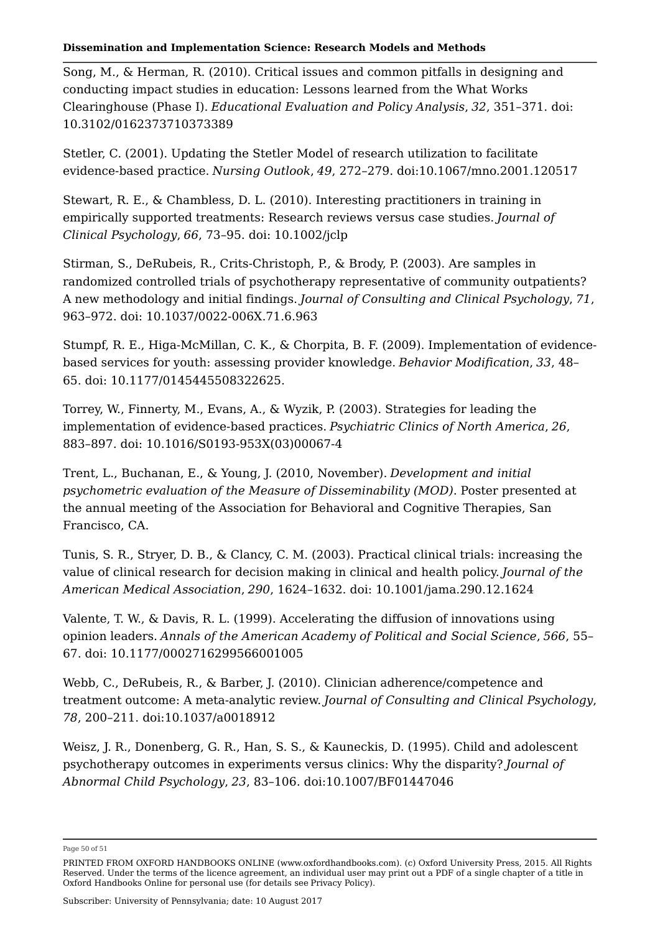Song, M., & Herman, R. (2010). Critical issues and common pitfalls in designing and conducting impact studies in education: Lessons learned from the What Works Clearinghouse (Phase I). *Educational Evaluation and Policy Analysis*, *32*, 351–371. doi: 10.3102/0162373710373389

Stetler, C. (2001). Updating the Stetler Model of research utilization to facilitate evidence-based practice. *Nursing Outlook*, *49*, 272–279. doi:10.1067/mno.2001.120517

Stewart, R. E., & Chambless, D. L. (2010). Interesting practitioners in training in empirically supported treatments: Research reviews versus case studies. *Journal of Clinical Psychology*, *66*, 73–95. doi: 10.1002/jclp

Stirman, S., DeRubeis, R., Crits-Christoph, P., & Brody, P. (2003). Are samples in randomized controlled trials of psychotherapy representative of community outpatients? A new methodology and initial findings. *Journal of Consulting and Clinical Psychology*, *71*, 963–972. doi: 10.1037/0022-006X.71.6.963

Stumpf, R. E., Higa-McMillan, C. K., & Chorpita, B. F. (2009). Implementation of evidencebased services for youth: assessing provider knowledge. *Behavior Modification*, *33*, 48– 65. doi: 10.1177/0145445508322625.

Torrey, W., Finnerty, M., Evans, A., & Wyzik, P. (2003). Strategies for leading the implementation of evidence-based practices. *Psychiatric Clinics of North America*, *26*, 883–897. doi: 10.1016/S0193-953X(03)00067-4

Trent, L., Buchanan, E., & Young, J. (2010, November). *Development and initial psychometric evaluation of the Measure of Disseminability (MOD)*. Poster presented at the annual meeting of the Association for Behavioral and Cognitive Therapies, San Francisco, CA.

Tunis, S. R., Stryer, D. B., & Clancy, C. M. (2003). Practical clinical trials: increasing the value of clinical research for decision making in clinical and health policy. *Journal of the American Medical Association*, *290*, 1624–1632. doi: 10.1001/jama.290.12.1624

Valente, T. W., & Davis, R. L. (1999). Accelerating the diffusion of innovations using opinion leaders. *Annals of the American Academy of Political and Social Science*, *566*, 55– 67. doi: 10.1177/0002716299566001005

Webb, C., DeRubeis, R., & Barber, J. (2010). Clinician adherence/competence and treatment outcome: A meta-analytic review. *Journal of Consulting and Clinical Psychology*, *78*, 200–211. doi:10.1037/a0018912

Weisz, J. R., Donenberg, G. R., Han, S. S., & Kauneckis, D. (1995). Child and adolescent psychotherapy outcomes in experiments versus clinics: Why the disparity? *Journal of Abnormal Child Psychology*, *23*, 83–106. doi:10.1007/BF01447046

Page 50 of 51

PRINTED FROM OXFORD HANDBOOKS ONLINE (www.oxfordhandbooks.com). (c) Oxford University Press, 2015. All Rights Reserved. Under the terms of the licence agreement, an individual user may print out a PDF of a single chapter of a title in Oxford Handbooks Online for personal use (for details see Privacy Policy).